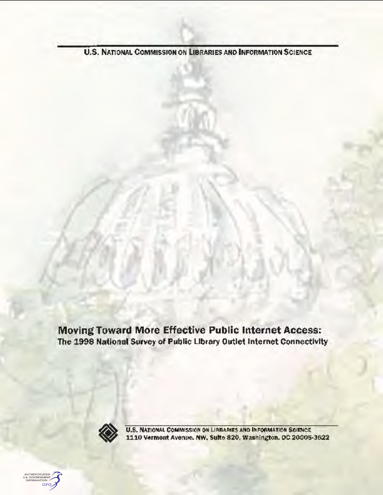**U.S. NATIONAL COMMISSION ON LIBRARIES AND INFORMATION SCIENCE** 

Moving Toward More Effective Public Internet Access: The 1998 National Survey of Public Library Outlet Internet Connectivity



U.S. NATIONAL COMMISSION ON LIBRARIES AND INFORMATION SCIENCE 1110 Vermont Avenue. NW, Suite 820, Washington. DC 20005-3522

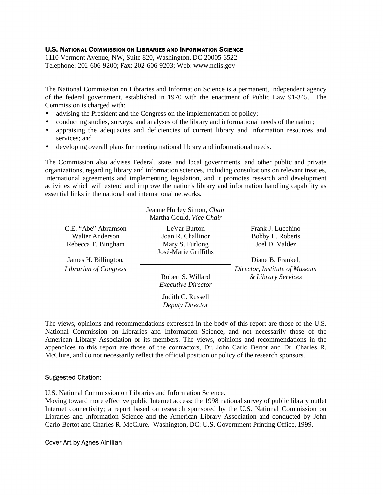#### U.S. NATIONAL COMMISSION ON LIBRARIES AND INFORMATION SCIENCE

1110 Vermont Avenue, NW, Suite 820, Washington, DC 20005-3522 Telephone: 202-606-9200; Fax: 202-606-9203; Web: www.nclis.gov

The National Commission on Libraries and Information Science is a permanent, independent agency of the federal government, established in 1970 with the enactment of Public Law 91-345. The Commission is charged with:

- advising the President and the Congress on the implementation of policy;
- conducting studies, surveys, and analyses of the library and informational needs of the nation;
- appraising the adequacies and deficiencies of current library and information resources and services; and
- developing overall plans for meeting national library and informational needs.

The Commission also advises Federal, state, and local governments, and other public and private organizations, regarding library and information sciences, including consultations on relevant treaties, international agreements and implementing legislation, and it promotes research and development activities which will extend and improve the nation's library and information handling capability as essential links in the national and international networks

|                                        | Jeanne Hurley Simon, Chair<br>Martha Gould, Vice Chair |                                                     |
|----------------------------------------|--------------------------------------------------------|-----------------------------------------------------|
| C.E. "Abe" Abramson<br>Walter Anderson | LeVar Burton<br>Joan R. Challinor                      | Frank J. Lucchino<br>Bobby L. Roberts               |
| Rebecca T. Bingham                     | Mary S. Furlong<br>José-Marie Griffiths                | Joel D. Valdez                                      |
| James H. Billington,                   |                                                        | Diane B. Frankel,                                   |
| Librarian of Congress                  | Robert S. Willard<br><i>Executive Director</i>         | Director, Institute of Museum<br>& Library Services |
|                                        | Judith C. Russell<br>Deputy Director                   |                                                     |

The views, opinions and recommendations expressed in the body of this report are those of the U.S. National Commission on Libraries and Information Science, and not necessarily those of the American Library Association or its members. The views, opinions and recommendations in the appendices to this report are those of the contractors, Dr. John Carlo Bertot and Dr. Charles R. McClure, and do not necessarily reflect the official position or policy of the research sponsors.

#### Suggested Citation:

U.S. National Commission on Libraries and Information Science.

Moving toward more effective public Internet access: the 1998 national survey of public library outlet Internet connectivity; a report based on research sponsored by the U.S. National Commission on Libraries and Information Science and the American Library Association and conducted by John Carlo Bertot and Charles R. McClure. Washington, DC: U.S. Government Printing Office, 1999.

#### Cover Art by Agnes Ainilian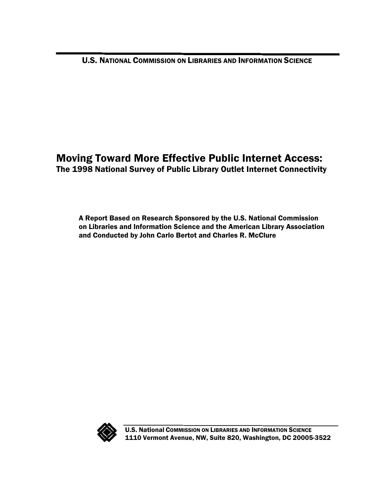U.S. NATIONAL COMMISSION ON LIBRARIES AND INFORMATION SCIENCE

# Moving Toward More Effective Public Internet Access: The 1998 National Survey of Public Library Outlet Internet Connectivity

A Report Based on Research Sponsored by the U.S. National Commission on Libraries and Information Science and the American Library Association and Conducted by John Carlo Bertot and Charles R. McClure



U.S. National COMMISSION ON LIBRARIES AND INFORMATION SCIENCE 1110 Vermont Avenue, NW, Suite 820, Washington, DC 20005-3522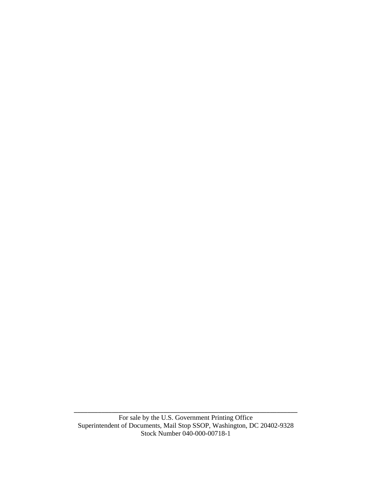BBBBBBBBBBBBBBBBBBBBBBBBBBBBBBBBBBBBBBBBBBBBBBBBBBBBBBBBBBBBBBBBB For sale by the U.S. Government Printing Office Superintendent of Documents, Mail Stop SSOP, Washington, DC 20402-9328 Stock Number 040-000-00718-1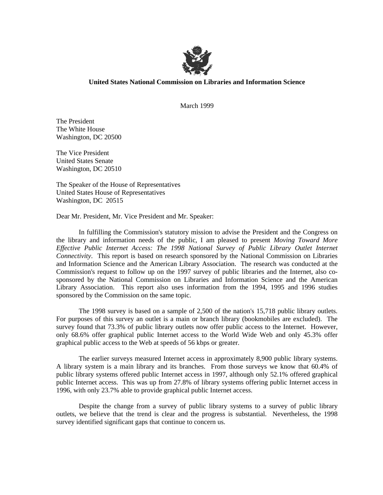

#### **United States National Commission on Libraries and Information Science**

March 1999

The President The White House Washington, DC 20500

The Vice President United States Senate Washington, DC 20510

The Speaker of the House of Representatives United States House of Representatives Washington, DC 20515

Dear Mr. President, Mr. Vice President and Mr. Speaker:

In fulfilling the Commission's statutory mission to advise the President and the Congress on the library and information needs of the public, I am pleased to present *Moving Toward More Effective Public Internet Access: The 1998 National Survey of Public Library Outlet Internet Connectivity*. This report is based on research sponsored by the National Commission on Libraries and Information Science and the American Library Association. The research was conducted at the Commission's request to follow up on the 1997 survey of public libraries and the Internet, also cosponsored by the National Commission on Libraries and Information Science and the American Library Association. This report also uses information from the 1994, 1995 and 1996 studies sponsored by the Commission on the same topic.

The 1998 survey is based on a sample of 2,500 of the nation's 15,718 public library outlets. For purposes of this survey an outlet is a main or branch library (bookmobiles are excluded). The survey found that 73.3% of public library outlets now offer public access to the Internet. However, only 68.6% offer graphical public Internet access to the World Wide Web and only 45.3% offer graphical public access to the Web at speeds of 56 kbps or greater.

The earlier surveys measured Internet access in approximately 8,900 public library systems. A library system is a main library and its branches. From those surveys we know that 60.4% of public library systems offered public Internet access in 1997, although only 52.1% offered graphical public Internet access. This was up from 27.8% of library systems offering public Internet access in 1996, with only 23.7% able to provide graphical public Internet access.

Despite the change from a survey of public library systems to a survey of public library outlets, we believe that the trend is clear and the progress is substantial. Nevertheless, the 1998 survey identified significant gaps that continue to concern us.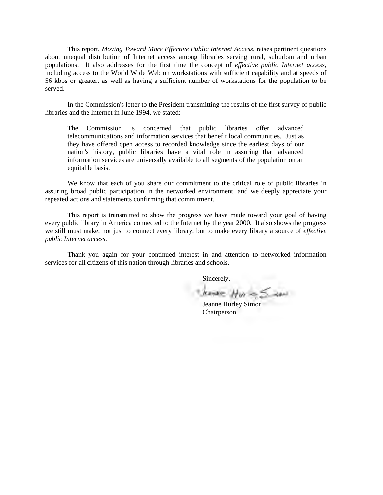This report, *Moving Toward More Effective Public Internet Access*, raises pertinent questions about unequal distribution of Internet access among libraries serving rural, suburban and urban populations. It also addresses for the first time the concept of *effective public Internet access*, including access to the World Wide Web on workstations with sufficient capability and at speeds of 56 kbps or greater, as well as having a sufficient number of workstations for the population to be served.

In the Commission's letter to the President transmitting the results of the first survey of public libraries and the Internet in June 1994, we stated:

The Commission is concerned that public libraries offer advanced telecommunications and information services that benefit local communities. Just as they have offered open access to recorded knowledge since the earliest days of our nation's history, public libraries have a vital role in assuring that advanced information services are universally available to all segments of the population on an equitable basis.

We know that each of you share our commitment to the critical role of public libraries in assuring broad public participation in the networked environment, and we deeply appreciate your repeated actions and statements confirming that commitment.

This report is transmitted to show the progress we have made toward your goal of having every public library in America connected to the Internet by the year 2000. It also shows the progress we still must make, not just to connect every library, but to make every library a source of *effective public Internet access*.

Thank you again for your continued interest in and attention to networked information services for all citizens of this nation through libraries and schools.

Sincerely,

 $J_{\ell} = J_{\ell} = J_{\ell}$ <br>Jeanne Hurley Simon

Chairperson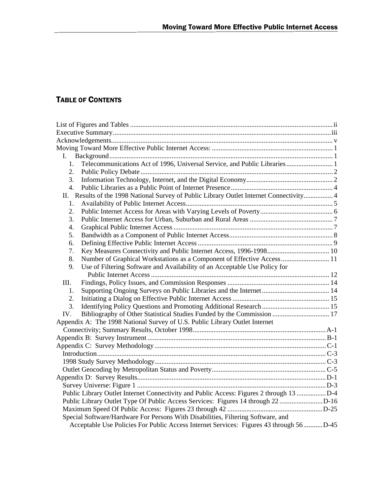# **TABLE OF CONTENTS**

| L.                                                                                       |  |
|------------------------------------------------------------------------------------------|--|
| Telecommunications Act of 1996, Universal Service, and Public Libraries 1<br>1.          |  |
| 2.                                                                                       |  |
| 3.                                                                                       |  |
| $\overline{4}$ .                                                                         |  |
| II. Results of the 1998 National Survey of Public Library Outlet Internet Connectivity 4 |  |
| 1.                                                                                       |  |
| 2.                                                                                       |  |
| 3.                                                                                       |  |
| 4.                                                                                       |  |
| 5.                                                                                       |  |
| 6.                                                                                       |  |
| 7.                                                                                       |  |
| 8.<br>Number of Graphical Workstations as a Component of Effective Access 11             |  |
| Use of Filtering Software and Availability of an Acceptable Use Policy for<br>9.         |  |
|                                                                                          |  |
| III.                                                                                     |  |
| 1.                                                                                       |  |
| 2.                                                                                       |  |
| 3.                                                                                       |  |
| Bibliography of Other Statistical Studies Funded by the Commission  17<br>IV.            |  |
| Appendix A: The 1998 National Survey of U.S. Public Library Outlet Internet              |  |
|                                                                                          |  |
|                                                                                          |  |
|                                                                                          |  |
|                                                                                          |  |
|                                                                                          |  |
|                                                                                          |  |
|                                                                                          |  |
|                                                                                          |  |
| Public Library Outlet Internet Connectivity and Public Access: Figures 2 through 13      |  |
|                                                                                          |  |
|                                                                                          |  |
| Special Software/Hardware For Persons With Disabilities, Filtering Software, and         |  |
| Acceptable Use Policies For Public Access Internet Services: Figures 43 through 56  D-45 |  |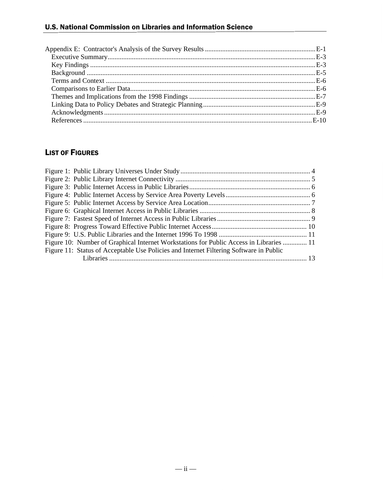### U.S. National Commission on Libraries and Information Science

# LIST OF FIGURES

| Figure 10: Number of Graphical Internet Workstations for Public Access in Libraries  11 |  |
|-----------------------------------------------------------------------------------------|--|
| Figure 11: Status of Acceptable Use Policies and Internet Filtering Software in Public  |  |
|                                                                                         |  |
|                                                                                         |  |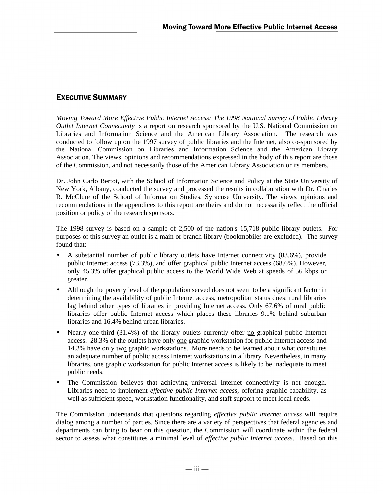### **EXECUTIVE SUMMARY**

*Moving Toward More Effective Public Internet Access: The 1998 National Survey of Public Library Outlet Internet Connectivity* is a report on research sponsored by the U.S. National Commission on Libraries and Information Science and the American Library Association. The research was conducted to follow up on the 1997 survey of public libraries and the Internet, also co-sponsored by the National Commission on Libraries and Information Science and the American Library Association. The views, opinions and recommendations expressed in the body of this report are those of the Commission, and not necessarily those of the American Library Association or its members.

Dr. John Carlo Bertot, with the School of Information Science and Policy at the State University of New York, Albany, conducted the survey and processed the results in collaboration with Dr. Charles R. McClure of the School of Information Studies, Syracuse University. The views, opinions and recommendations in the appendices to this report are theirs and do not necessarily reflect the official position or policy of the research sponsors.

The 1998 survey is based on a sample of 2,500 of the nation's 15,718 public library outlets. For purposes of this survey an outlet is a main or branch library (bookmobiles are excluded). The survey found that:

- A substantial number of public library outlets have Internet connectivity (83.6%), provide public Internet access (73.3%), and offer graphical public Internet access (68.6%). However, only 45.3% offer graphical public access to the World Wide Web at speeds of 56 kbps or greater.
- Although the poverty level of the population served does not seem to be a significant factor in determining the availability of public Internet access, metropolitan status does: rural libraries lag behind other types of libraries in providing Internet access. Only 67.6% of rural public libraries offer public Internet access which places these libraries 9.1% behind suburban libraries and 16.4% behind urban libraries.
- Nearly one-third (31.4%) of the library outlets currently offer <u>no</u> graphical public Internet access. 28.3% of the outlets have only one graphic workstation for public Internet access and 14.3% have only two graphic workstations. More needs to be learned about what constitutes an adequate number of public access Internet workstations in a library. Nevertheless, in many libraries, one graphic workstation for public Internet access is likely to be inadequate to meet public needs.
- The Commission believes that achieving universal Internet connectivity is not enough. Libraries need to implement *effective public Internet access*, offering graphic capability, as well as sufficient speed, workstation functionality, and staff support to meet local needs.

The Commission understands that questions regarding *effective public Internet access* will require dialog among a number of parties. Since there are a variety of perspectives that federal agencies and departments can bring to bear on this question, the Commission will coordinate within the federal sector to assess what constitutes a minimal level of *effective public Internet access*. Based on this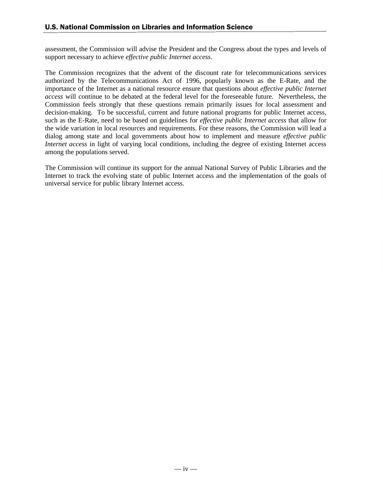assessment, the Commission will advise the President and the Congress about the types and levels of support necessary to achieve *effective public Internet access*.

The Commission recognizes that the advent of the discount rate for telecommunications services authorized by the Telecommunications Act of 1996, popularly known as the E-Rate, and the importance of the Internet as a national resource ensure that questions about *effective public Internet access* will continue to be debated at the federal level for the foreseeable future. Nevertheless, the Commission feels strongly that these questions remain primarily issues for local assessment and decision-making. To be successful, current and future national programs for public Internet access, such as the E-Rate, need to be based on guidelines for *effective public Internet access* that allow for the wide variation in local resources and requirements. For these reasons, the Commission will lead a dialog among state and local governments about how to implement and measure *effective public Internet access* in light of varying local conditions, including the degree of existing Internet access among the populations served.

The Commission will continue its support for the annual National Survey of Public Libraries and the Internet to track the evolving state of public Internet access and the implementation of the goals of universal service for public library Internet access.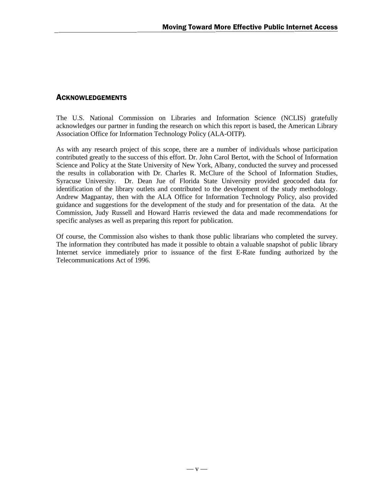#### **ACKNOWLEDGEMENTS**

The U.S. National Commission on Libraries and Information Science (NCLIS) gratefully acknowledges our partner in funding the research on which this report is based, the American Library Association Office for Information Technology Policy (ALA-OITP).

As with any research project of this scope, there are a number of individuals whose participation contributed greatly to the success of this effort. Dr. John Carol Bertot, with the School of Information Science and Policy at the State University of New York, Albany, conducted the survey and processed the results in collaboration with Dr. Charles R. McClure of the School of Information Studies, Syracuse University. Dr. Dean Jue of Florida State University provided geocoded data for identification of the library outlets and contributed to the development of the study methodology. Andrew Magpantay, then with the ALA Office for Information Technology Policy, also provided guidance and suggestions for the development of the study and for presentation of the data. At the Commission, Judy Russell and Howard Harris reviewed the data and made recommendations for specific analyses as well as preparing this report for publication.

Of course, the Commission also wishes to thank those public librarians who completed the survey. The information they contributed has made it possible to obtain a valuable snapshot of public library Internet service immediately prior to issuance of the first E-Rate funding authorized by the Telecommunications Act of 1996.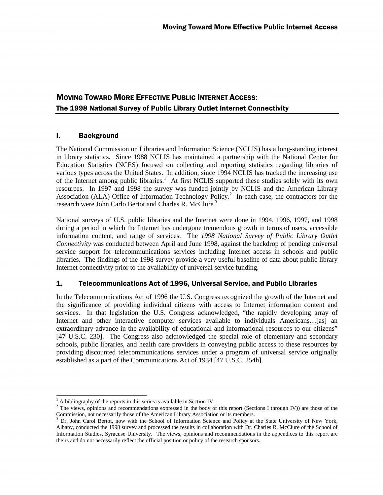## **MOVING TOWARD MORE EFFECTIVE PUBLIC INTERNET ACCESS:** The 1998 National Survey of Public Library Outlet Internet Connectivity

#### l. Background

The National Commission on Libraries and Information Science (NCLIS) has a long-standing interest in library statistics. Since 1988 NCLIS has maintained a partnership with the National Center for Education Statistics (NCES) focused on collecting and reporting statistics regarding libraries of various types across the United States. In addition, since 1994 NCLIS has tracked the increasing use of the Internet among public libraries.<sup>1</sup> At first NCLIS supported these studies solely with its own resources. In 1997 and 1998 the survey was funded jointly by NCLIS and the American Library Association (ALA) Office of Information Technology Policy.<sup>2</sup> In each case, the contractors for the research were John Carlo Bertot and Charles R. McClure.<sup>3</sup>

National surveys of U.S. public libraries and the Internet were done in 1994, 1996, 1997, and 1998 during a period in which the Internet has undergone tremendous growth in terms of users, accessible information content, and range of services. The *1998 National Survey of Public Library Outlet Connectivity* was conducted between April and June 1998, against the backdrop of pending universal service support for telecommunications services including Internet access in schools and public libraries. The findings of the 1998 survey provide a very useful baseline of data about public library Internet connectivity prior to the availability of universal service funding.

#### 1. Telecommunications Act of 1996, Universal Service, and Public Libraries

In the Telecommunications Act of 1996 the U.S. Congress recognized the growth of the Internet and the significance of providing individual citizens with access to Internet information content and services. In that legislation the U.S. Congress acknowledged, "the rapidly developing array of Internet and other interactive computer services available to individuals Americans…[as] an extraordinary advance in the availability of educational and informational resources to our citizens" [47 U.S.C. 230]. The Congress also acknowledged the special role of elementary and secondary schools, public libraries, and health care providers in conveying public access to these resources by providing discounted telecommunications services under a program of universal service originally established as a part of the Communications Act of 1934 [47 U.S.C. 254h].

 $\overline{a}$ 1 A bibliography of the reports in this series is available in Section IV.

 $2$  The views, opinions and recommendations expressed in the body of this report (Sections I through IV)) are those of the Commission, not necessarily those of the American Library Association or its members.

<sup>&</sup>lt;sup>3</sup> Dr. John Carol Bertot, now with the School of Information Science and Policy at the State University of New York, Albany, conducted the 1998 survey and processed the results in collaboration with Dr. Charles R. McClure of the School of Information Studies, Syracuse University. The views, opinions and recommendations in the appendices to this report are theirs and do not necessarily reflect the official position or policy of the research sponsors.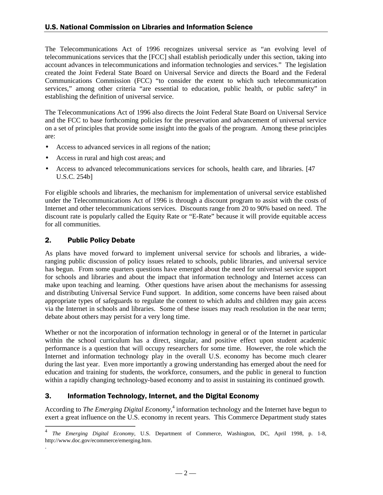The Telecommunications Act of 1996 recognizes universal service as "an evolving level of telecommunications services that the [FCC] shall establish periodically under this section, taking into account advances in telecommunications and information technologies and services." The legislation created the Joint Federal State Board on Universal Service and directs the Board and the Federal Communications Commission (FCC) "to consider the extent to which such telecommunication services," among other criteria "are essential to education, public health, or public safety" in establishing the definition of universal service.

The Telecommunications Act of 1996 also directs the Joint Federal State Board on Universal Service and the FCC to base forthcoming policies for the preservation and advancement of universal service on a set of principles that provide some insight into the goals of the program. Among these principles are:

- Access to advanced services in all regions of the nation;
- Access in rural and high cost areas; and
- Access to advanced telecommunications services for schools, health care, and libraries. [47] U.S.C. 254b]

For eligible schools and libraries, the mechanism for implementation of universal service established under the Telecommunications Act of 1996 is through a discount program to assist with the costs of Internet and other telecommunications services. Discounts range from 20 to 90% based on need. The discount rate is popularly called the Equity Rate or "E-Rate" because it will provide equitable access for all communities.

#### 2. Public Policy Debate

-

.

As plans have moved forward to implement universal service for schools and libraries, a wideranging public discussion of policy issues related to schools, public libraries, and universal service has begun. From some quarters questions have emerged about the need for universal service support for schools and libraries and about the impact that information technology and Internet access can make upon teaching and learning. Other questions have arisen about the mechanisms for assessing and distributing Universal Service Fund support. In addition, some concerns have been raised about appropriate types of safeguards to regulate the content to which adults and children may gain access via the Internet in schools and libraries. Some of these issues may reach resolution in the near term; debate about others may persist for a very long time.

Whether or not the incorporation of information technology in general or of the Internet in particular within the school curriculum has a direct, singular, and positive effect upon student academic performance is a question that will occupy researchers for some time. However, the role which the Internet and information technology play in the overall U.S. economy has become much clearer during the last year. Even more importantly a growing understanding has emerged about the need for education and training for students, the workforce, consumers, and the public in general to function within a rapidly changing technology-based economy and to assist in sustaining its continued growth.

#### 3. Information Technology, Internet, and the Digital Economy

According to *The Emerging Digital Economy*,<sup>4</sup> information technology and the Internet have begun to exert a great influence on the U.S. economy in recent years. This Commerce Department study states

<sup>4</sup> *The Emerging Digital Economy*, U.S. Department of Commerce, Washington, DC, April 1998, p. 1-8, http://www.doc.gov/ecommerce/emerging.htm.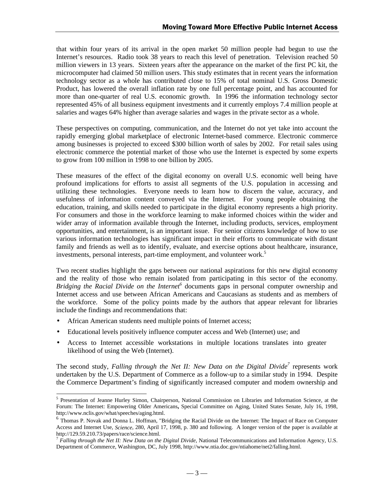that within four years of its arrival in the open market 50 million people had begun to use the Internet's resources. Radio took 38 years to reach this level of penetration. Television reached 50 million viewers in 13 years. Sixteen years after the appearance on the market of the first PC kit, the microcomputer had claimed 50 million users. This study estimates that in recent years the information technology sector as a whole has contributed close to 15% of total nominal U.S. Gross Domestic Product, has lowered the overall inflation rate by one full percentage point, and has accounted for more than one-quarter of real U.S. economic growth. In 1996 the information technology sector represented 45% of all business equipment investments and it currently employs 7.4 million people at salaries and wages 64% higher than average salaries and wages in the private sector as a whole.

These perspectives on computing, communication, and the Internet do not yet take into account the rapidly emerging global marketplace of electronic Internet-based commerce. Electronic commerce among businesses is projected to exceed \$300 billion worth of sales by 2002. For retail sales using electronic commerce the potential market of those who use the Internet is expected by some experts to grow from 100 million in 1998 to one billion by 2005.

These measures of the effect of the digital economy on overall U.S. economic well being have profound implications for efforts to assist all segments of the U.S. population in accessing and utilizing these technologies. Everyone needs to learn how to discern the value, accuracy, and usefulness of information content conveyed via the Internet. For young people obtaining the education, training, and skills needed to participate in the digital economy represents a high priority. For consumers and those in the workforce learning to make informed choices within the wider and wider array of information available through the Internet, including products, services, employment opportunities, and entertainment, is an important issue. For senior citizens knowledge of how to use various information technologies has significant impact in their efforts to communicate with distant family and friends as well as to identify, evaluate, and exercise options about healthcare, insurance, investments, personal interests, part-time employment, and volunteer work.<sup>5</sup>

Two recent studies highlight the gaps between our national aspirations for this new digital economy and the reality of those who remain isolated from participating in this sector of the economy*.* Bridging the Racial Divide on the Internet<sup>6</sup> documents gaps in personal computer ownership and Internet access and use between African Americans and Caucasians as students and as members of the workforce. Some of the policy points made by the authors that appear relevant for libraries include the findings and recommendations that:

- African American students need multiple points of Internet access;
- Educational levels positively influence computer access and Web (Internet) use; and
- Access to Internet accessible workstations in multiple locations translates into greater likelihood of using the Web (Internet).

The second study, *Falling through the Net II: New Data on the Digital Divide<sup>7</sup> represents work* undertaken by the U.S. Department of Commerce as a follow-up to a similar study in 1994. Despite the Commerce Department's finding of significantly increased computer and modem ownership and

<sup>&</sup>lt;sup>5</sup> Presentation of Jeanne Hurley Simon, Chairperson, National Commission on Libraries and Information Science, at the Forum: The Internet: Empowering Older Americans**,** Special Committee on Aging, United States Senate, July 16, 1998, http://www.nclis.gov/what/speeches/aging.html.

<sup>6</sup> Thomas P. Novak and Donna L. Hoffman, "Bridging the Racial Divide on the Internet: The Impact of Race on Computer Access and Internet Use, *Science*, 280, April 17, 1998, p. 380 and following. A longer version of the paper is available at http://129.59.210.73/papers/race/science.html.

<sup>7</sup> *Falling through the Net II: New Data on the Digital Divide*, National Telecommunications and Information Agency, U.S. Department of Commerce, Washington, DC, July 1998, http://www.ntia.doc.gov/ntiahome/net2/falling.html.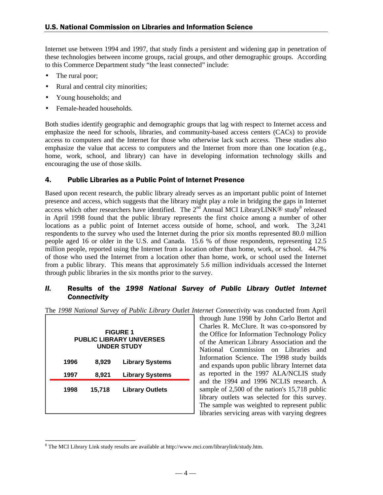Internet use between 1994 and 1997, that study finds a persistent and widening gap in penetration of these technologies between income groups, racial groups, and other demographic groups. According to this Commerce Department study "the least connected" include:

- The rural poor;
- Rural and central city minorities;
- Young households: and
- Female-headed households.

Both studies identify geographic and demographic groups that lag with respect to Internet access and emphasize the need for schools, libraries, and community-based access centers (CACs) to provide access to computers and the Internet for those who otherwise lack such access. These studies also emphasize the value that access to computers and the Internet from more than one location (e.g., home, work, school, and library) can have in developing information technology skills and encouraging the use of those skills.

#### 4. Public Libraries as a Public Point of Internet Presence

Based upon recent research, the public library already serves as an important public point of Internet presence and access, which suggests that the library might play a role in bridging the gaps in Internet access which other researchers have identified. The  $2<sup>nd</sup>$  Annual MCI LibraryLINK® study<sup>8</sup> released in April 1998 found that the public library represents the first choice among a number of other locations as a public point of Internet access outside of home, school, and work. The 3,241 respondents to the survey who used the Internet during the prior six months represented 80.0 million people aged 16 or older in the U.S. and Canada. 15.6 % of those respondents, representing 12.5 million people, reported using the Internet from a location other than home, work, or school. 44.7% of those who used the Internet from a location other than home, work, or school used the Internet from a public library. This means that approximately 5.6 million individuals accessed the Internet through public libraries in the six months prior to the survey.

#### II. Results of the 1998 National Survey of Public Library Outlet Internet Connectivity

| The 1998 National Survey of Public Library Outlet Internet Connectivity was conducted from April |  |  |  |  |  |
|--------------------------------------------------------------------------------------------------|--|--|--|--|--|
|                                                                                                  |  |  |  |  |  |

|      |        | <b>FIGURE 1</b><br><b>PUBLIC LIBRARY UNIVERSES</b><br><b>UNDER STUDY</b> |
|------|--------|--------------------------------------------------------------------------|
| 1996 | 8,929  | <b>Library Systems</b>                                                   |
| 1997 | 8,921  | <b>Library Systems</b>                                                   |
| 1998 | 15,718 | <b>Library Outlets</b>                                                   |

through June 1998 by John Carlo Bertot and Charles R. McClure. It was co-sponsored by the Office for Information Technology Policy of the American Library Association and the National Commission on Libraries and Information Science. The 1998 study builds and expands upon public library Internet data as reported in the 1997 ALA/NCLIS study and the 1994 and 1996 NCLIS research. A sample of 2,500 of the nation's 15,718 public library outlets was selected for this survey. The sample was weighted to represent public libraries servicing areas with varying degrees

<sup>-</sup> $8$  The MCI Library Link study results are available at http://www.mci.com/librarylink/study.htm.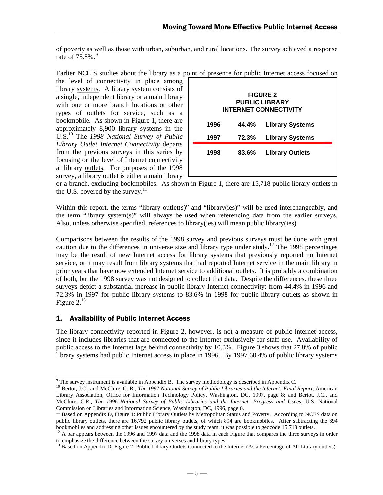of poverty as well as those with urban, suburban, and rural locations. The survey achieved a response rate of 75.5%.<sup>9</sup>

Earlier NCLIS studies about the library as a point of presence for public Internet access focused on

the level of connectivity in place among library systems. A library system consists of a single, independent library or a main library with one or more branch locations or other types of outlets for service, such as a bookmobile. As shown in Figure 1, there are approximately 8,900 library systems in the U.S.10 The *1998 National Survey of Public Library Outlet Internet Connectivity* departs from the previous surveys in this series by focusing on the level of Internet connectivity at library outlets. For purposes of the 1998 survey, a library outlet is either a main library

|      |       | <b>FIGURE 2</b><br><b>PUBLIC LIBRARY</b><br><b>INTERNET CONNECTIVITY</b> |  |
|------|-------|--------------------------------------------------------------------------|--|
| 1996 | 44.4% | <b>Library Systems</b>                                                   |  |
| 1997 | 72.3% | <b>Library Systems</b>                                                   |  |
| 1998 | 83.6% | <b>Library Outlets</b>                                                   |  |

or a branch, excluding bookmobiles. As shown in Figure 1, there are 15,718 public library outlets in the U.S. covered by the survey.<sup>11</sup>

Within this report, the terms "library outlet(s)" and "library(ies)" will be used interchangeably, and the term "library system(s)" will always be used when referencing data from the earlier surveys. Also, unless otherwise specified, references to library(ies) will mean public library(ies).

Comparisons between the results of the 1998 survey and previous surveys must be done with great caution due to the differences in universe size and library type under study.<sup>12</sup> The 1998 percentages may be the result of new Internet access for library systems that previously reported no Internet service, or it may result from library systems that had reported Internet service in the main library in prior years that have now extended Internet service to additional outlets. It is probably a combination of both, but the 1998 survey was not designed to collect that data. Despite the differences, these three surveys depict a substantial increase in public library Internet connectivity: from 44.4% in 1996 and 72.3% in 1997 for public library systems to 83.6% in 1998 for public library outlets as shown in Figure  $2.^{13}$ 

#### 1. Availability of Public Internet Access

The library connectivity reported in Figure 2, however, is not a measure of public Internet access, since it includes libraries that are connected to the Internet exclusively for staff use. Availability of public access to the Internet lags behind connectivity by 10.3%. Figure 3 shows that 27.8% of public library systems had public Internet access in place in 1996. By 1997 60.4% of public library systems

<sup>&</sup>lt;sup>9</sup> The survey instrument is available in Appendix B. The survey methodology is described in Appendix C.

<sup>&</sup>lt;sup>10</sup> Bertot, J.C., and McClure, C. R., *The 1997 National Survey of Public Libraries and the Internet: Final Report*, American Library Association, Office for Information Technology Policy, Washington, DC, 1997, page 8; and Bertot, J.C., and McClure, C.R., *The 1996 National Survey of Public Libraries and the Internet: Progress and Issues,* U.S. National Commission on Libraries and Information Science, Washington, DC, 1996, page 6.

<sup>&</sup>lt;sup>11</sup> Based on Appendix D, Figure 1: Public Library Outlets by Metropolitan Status and Poverty. According to NCES data on public library outlets, there are 16,792 public library outlets, of which 894 are bookmobiles. After subtracting the 894 bookmobiles and addressing other issues encountered by the study team, it was possible to geocode 15,718 outlets.

<sup>&</sup>lt;sup>12</sup> A bar appears between the 1996 and 1997 data and the 1998 data in each Figure that compares the three surveys in order to emphasize the difference between the survey universes and library types.

<sup>&</sup>lt;sup>13</sup> Based on Appendix D, Figure 2: Public Library Outlets Connected to the Internet (As a Percentage of All Library outlets).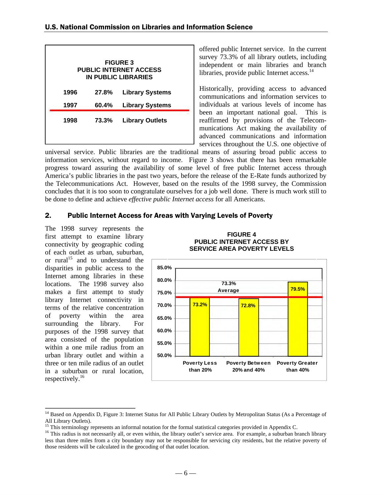|      |       | <b>FIGURE 3</b><br><b>PUBLIC INTERNET ACCESS</b><br>IN PUBLIC LIBRARIES |
|------|-------|-------------------------------------------------------------------------|
| 1996 | 27.8% | <b>Library Systems</b>                                                  |
| 1997 | 60.4% | <b>Library Systems</b>                                                  |
| 1998 | 73.3% | <b>Library Outlets</b>                                                  |

offered public Internet service. In the current survey 73.3% of all library outlets, including independent or main libraries and branch libraries, provide public Internet access.<sup>14</sup>

Historically, providing access to advanced communications and information services to individuals at various levels of income has been an important national goal. This is reaffirmed by provisions of the Telecommunications Act making the availability of advanced communications and information services throughout the U.S. one objective of

universal service. Public libraries are the traditional means of assuring broad public access to information services, without regard to income. Figure 3 shows that there has been remarkable progress toward assuring the availability of some level of free public Internet access through America's public libraries in the past two years, before the release of the E-Rate funds authorized by the Telecommunications Act. However, based on the results of the 1998 survey, the Commission concludes that it is too soon to congratulate ourselves for a job well done. There is much work still to be done to define and achieve *effective public Internet access* for all Americans.

#### 2. Public Internet Access for Areas with Varying Levels of Poverty

The 1998 survey represents the first attempt to examine library connectivity by geographic coding of each outlet as urban, suburban, or rural<sup>15</sup> and to understand the disparities in public access to the Internet among libraries in these locations. The 1998 survey also makes a first attempt to study library Internet connectivity in terms of the relative concentration of poverty within the area surrounding the library. For purposes of the 1998 survey that area consisted of the population within a one mile radius from an urban library outlet and within a three or ten mile radius of an outlet in a suburban or rural location, respectively.16

 $\overline{a}$ 



#### **FIGURE 4 PUBLIC INTERNET ACCESS BY SERVICE AREA POVERTY LEVELS**

<sup>&</sup>lt;sup>14</sup> Based on Appendix D, Figure 3: Internet Status for All Public Library Outlets by Metropolitan Status (As a Percentage of All Library Outlets).

<sup>&</sup>lt;sup>15</sup> This terminology represents an informal notation for the formal statistical categories provided in Appendix C.

<sup>&</sup>lt;sup>16</sup> This radius is not necessarily all, or even within, the library outlet's service area. For example, a suburban branch library less than three miles from a city boundary may not be responsible for servicing city residents, but the relative poverty of those residents will be calculated in the geocoding of that outlet location.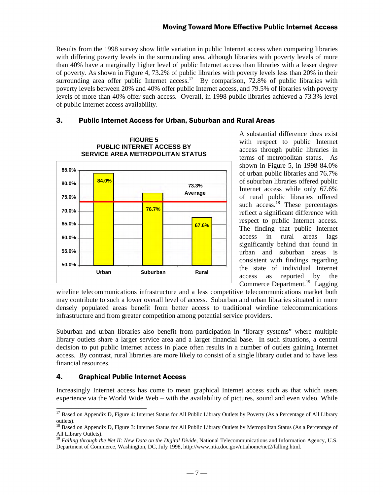Results from the 1998 survey show little variation in public Internet access when comparing libraries with differing poverty levels in the surrounding area, although libraries with poverty levels of more than 40% have a marginally higher level of public Internet access than libraries with a lesser degree of poverty. As shown in Figure 4, 73.2% of public libraries with poverty levels less than 20% in their surrounding area offer public Internet access.<sup>17</sup> By comparison, 72.8% of public libraries with poverty levels between 20% and 40% offer public Internet access, and 79.5% of libraries with poverty levels of more than 40% offer such access. Overall, in 1998 public libraries achieved a 73.3% level of public Internet access availability.

#### 3. Public Internet Access for Urban, Suburban and Rural Areas



A substantial difference does exist with respect to public Internet access through public libraries in terms of metropolitan status. As shown in Figure 5, in 1998 84.0% of urban public libraries and 76.7% of suburban libraries offered public Internet access while only 67.6% of rural public libraries offered such access.<sup>18</sup> These percentages reflect a significant difference with respect to public Internet access. The finding that public Internet access in rural areas lags significantly behind that found in urban and suburban areas is consistent with findings regarding the state of individual Internet access as reported by the Commerce Department.<sup>19</sup> Lagging

wireline telecommunications infrastructure and a less competitive telecommunications market both may contribute to such a lower overall level of access. Suburban and urban libraries situated in more densely populated areas benefit from better access to traditional wireline telecommunications infrastructure and from greater competition among potential service providers.

Suburban and urban libraries also benefit from participation in "library systems" where multiple library outlets share a larger service area and a larger financial base. In such situations, a central decision to put public Internet access in place often results in a number of outlets gaining Internet access. By contrast, rural libraries are more likely to consist of a single library outlet and to have less financial resources.

#### 4. Graphical Public Internet Access

Increasingly Internet access has come to mean graphical Internet access such as that which users experience via the World Wide Web – with the availability of pictures, sound and even video. While

 $\overline{a}$  $17$  Based on Appendix D, Figure 4: Internet Status for All Public Library Outlets by Poverty (As a Percentage of All Library outlets).

<sup>&</sup>lt;sup>18</sup> Based on Appendix D, Figure 3: Internet Status for All Public Library Outlets by Metropolitan Status (As a Percentage of All Library Outlets).

<sup>&</sup>lt;sup>19</sup> Falling through the Net II: New Data on the Digital Divide, National Telecommunications and Information Agency, U.S. Department of Commerce, Washington, DC, July 1998, http://www.ntia.doc.gov/ntiahome/net2/falling.html.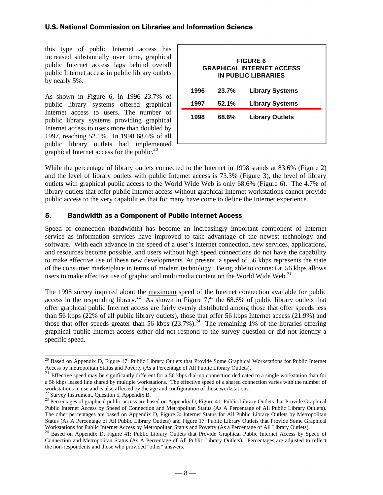this type of public Internet access has increased substantially over time, graphical public Internet access lags behind overall public Internet access in public library outlets by nearly 5%.

As shown in Figure 6, in 1996 23.7% of public library systems offered graphical Internet access to users. The number of public library systems providing graphical Internet access to users more than doubled by 1997, reaching 52.1%. In 1998 68.6% of all public library outlets had implemented graphical Internet access for the public. $20$ 

While the percentage of library outlets connected to the Internet in 1998 stands at 83.6% (Figure 2) and the level of library outlets with public Internet access is 73.3% (Figure 3), the level of library outlets with graphical public access to the World Wide Web is only 68.6% (Figure 6). The 4.7% of library outlets that offer public Internet access without graphical Internet workstations cannot provide public access to the very capabilities that for many have come to define the Internet experience.

#### 5. Bandwidth as a Component of Public Internet Access

Speed of connection (bandwidth) has become an increasingly important component of Internet service as information services have improved to take advantage of the newest technology and software. With each advance in the speed of a user's Internet connection, new services, applications, and resources become possible, and users without high speed connections do not have the capability to make effective use of these new developments. At present, a speed of 56 kbps represents the state of the consumer marketplace in terms of modem technology. Being able to connect at 56 kbps allows users to make effective use of graphic and multimedia content on the World Wide Web. $^{21}$ 

The 1998 survey inquired about the maximum speed of the Internet connection available for public access in the responding library.<sup>22</sup> As shown in Figure  $7<sup>23</sup>$ , the 68.6% of public library outlets that offer graphical public Internet access are fairly evenly distributed among those that offer speeds less than 56 kbps (22% of all public library outlets), those that offer 56 kbps Internet access (21.9%) and those that offer speeds greater than 56 kbps  $(23.7\%)$ <sup>24</sup> The remaining 1% of the libraries offering graphical public Internet access either did not respond to the survey question or did not identify a specific speed.

 $\overline{a}$ 

 $20$  Based on Appendix D, Figure 17: Public Library Outlets that Provide Some Graphical Workstations for Public Internet Access by metropolitan Status and Poverty (As a Percentage of All Public Library Outlets).

<sup>21</sup> Effective speed may be significantly different for a 56 kbps dial-up connection dedicated to a single workstation than for a 56 kbps leased line shared by multiple workstations. The effective speed of a shared connection varies with the number of workstations in use and is also affected by the age and configuration of those workstations.

<sup>22</sup> Survey Instrument, Question 5, Appendix B.

<sup>&</sup>lt;sup>23</sup> Percentages of graphical public access are based on Appendix D, Figure 41: Public Library Outlets that Provide Graphical Public Internet Access by Speed of Connection and Metropolitan Status (As A Percentage of All Public Library Outlets). The other percentages are based on Appendix D, Figure 3: Internet Status for All Public Library Outlets by Metropolitan Status (As A Percentage of All Public Library Outlets) and Figure 17. Public Library Outlets that Provide Some Graphical Workstations for Public Internet Access by Metropolitan Status and Poverty (As a Percentage of All Library Outlets).

<sup>&</sup>lt;sup>24</sup> Based on Appendix D, Figure 41: Public Library Outlets that Provide Graphical Public Internet Access by Speed of Connection and Metropolitan Status (As A Percentage of All Public Library Outlets). Percentages are adjusted to reflect the non-respondents and those who provided "other" answers.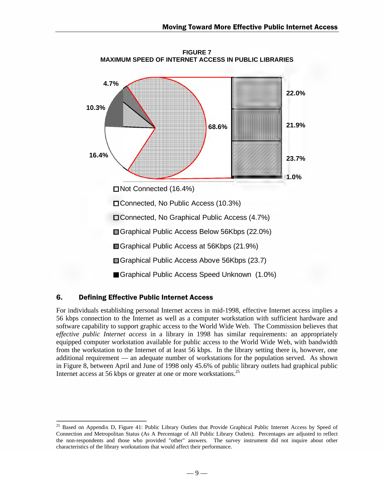

**FIGURE 7**

#### 6. Defining Effective Public Internet Access

 $\overline{\phantom{a}}$ 

For individuals establishing personal Internet access in mid-1998, effective Internet access implies a 56 kbps connection to the Internet as well as a computer workstation with sufficient hardware and software capability to support graphic access to the World Wide Web. The Commission believes that e*ffective public Internet access* in a library in 1998 has similar requirements: an appropriately equipped computer workstation available for public access to the World Wide Web, with bandwidth from the workstation to the Internet of at least 56 kbps. In the library setting there is, however, one additional requirement — an adequate number of workstations for the population served. As shown in Figure 8, between April and June of 1998 only 45.6% of public library outlets had graphical public Internet access at 56 kbps or greater at one or more workstations.<sup>25</sup>

<sup>&</sup>lt;sup>25</sup> Based on Appendix D, Figure 41: Public Library Outlets that Provide Graphical Public Internet Access by Speed of Connection and Metropolitan Status (As A Percentage of All Public Library Outlets). Percentages are adjusted to reflect the non-respondents and those who provided "other" answers. The survey instrument did not inquire about other characteristics of the library workstations that would affect their performance.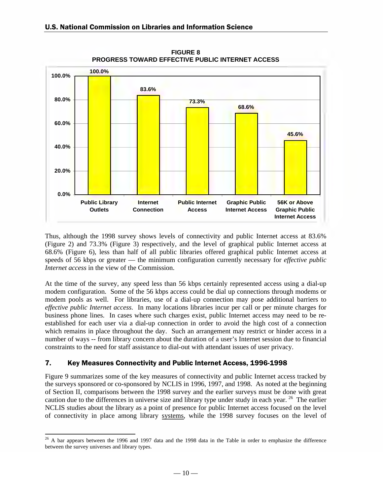

**FIGURE 8 PROGRESS TOWARD EFFECTIVE PUBLIC INTERNET ACCESS**

Thus, although the 1998 survey shows levels of connectivity and public Internet access at 83.6% (Figure 2) and 73.3% (Figure 3) respectively, and the level of graphical public Internet access at 68.6% (Figure 6), less than half of all public libraries offered graphical public Internet access at speeds of 56 kbps or greater — the minimum configuration currently necessary for *effective public Internet access* in the view of the Commission.

At the time of the survey, any speed less than 56 kbps certainly represented access using a dial-up modem configuration. Some of the 56 kbps access could be dial up connections through modems or modem pools as well. For libraries, use of a dial-up connection may pose additional barriers to *effective public Internet access.* In many locations libraries incur per call or per minute charges for business phone lines. In cases where such charges exist, public Internet access may need to be reestablished for each user via a dial-up connection in order to avoid the high cost of a connection which remains in place throughout the day. Such an arrangement may restrict or hinder access in a number of ways -- from library concern about the duration of a user's Internet session due to financial constraints to the need for staff assistance to dial-out with attendant issues of user privacy.

#### 7. Key Measures Connectivity and Public Internet Access, 1996-1998

Figure 9 summarizes some of the key measures of connectivity and public Internet access tracked by the surveys sponsored or co-sponsored by NCLIS in 1996, 1997, and 1998. As noted at the beginning of Section II, comparisons between the 1998 survey and the earlier surveys must be done with great caution due to the differences in universe size and library type under study in each year. 26 The earlier NCLIS studies about the library as a point of presence for public Internet access focused on the level of connectivity in place among library systems, while the 1998 survey focuses on the level of

 $\overline{a}$  $26$  A bar appears between the 1996 and 1997 data and the 1998 data in the Table in order to emphasize the difference between the survey universes and library types.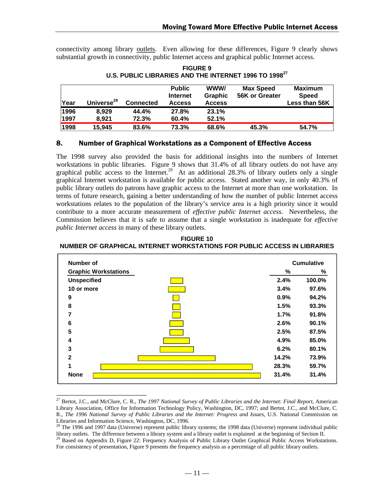connectivity among library outlets. Even allowing for these differences, Figure 9 clearly shows substantial growth in connectivity, public Internet access and graphical public Internet access.

| <b>FIGURE 9</b>                                                   |
|-------------------------------------------------------------------|
| U.S. PUBLIC LIBRARIES AND THE INTERNET 1996 TO 1998 <sup>27</sup> |

| Year | Universe <sup>28</sup> | <b>Connected</b> | <b>Public</b><br><b>Internet</b><br><b>Access</b> | WWW/<br>Graphic<br><b>Access</b> | <b>Max Speed</b><br>56K or Greater | <b>Maximum</b><br><b>Speed</b><br>Less than 56K |
|------|------------------------|------------------|---------------------------------------------------|----------------------------------|------------------------------------|-------------------------------------------------|
| 1996 | 8.929                  | 44.4%            | 27.8%                                             | 23.1%                            |                                    |                                                 |
| 1997 | 8.921                  | 72.3%            | 60.4%                                             | 52.1%                            |                                    |                                                 |
| 1998 | 15.945                 | 83.6%            | 73.3%                                             | 68.6%                            | 45.3%                              | 54.7%                                           |

#### 8. Number of Graphical Workstations as a Component of Effective Access

The 1998 survey also provided the basis for additional insights into the numbers of Internet workstations in public libraries. Figure 9 shows that 31.4% of all library outlets do not have any graphical public access to the Internet.<sup>29</sup> At an additional 28.3% of library outlets only a single graphical Internet workstation is available for public access. Stated another way, in only 40.3% of public library outlets do patrons have graphic access to the Internet at more than one workstation. In terms of future research, gaining a better understanding of how the number of public Internet access workstations relates to the population of the library's service area is a high priority since it would contribute to a more accurate measurement of *effective public Internet access*. Nevertheless, the Commission believes that it is safe to assume that a single workstation is inadequate for *effective public Internet access* in many of these library outlets.

**FIGURE 10 NUMBER OF GRAPHICAL INTERNET WORKSTATIONS FOR PUBLIC ACCESS IN LIBRARIES**

| Number of                   |       | <b>Cumulative</b> |
|-----------------------------|-------|-------------------|
| <b>Graphic Workstations</b> | %     | %                 |
| <b>Unspecified</b>          | 2.4%  | 100.0%            |
| 10 or more                  | 3.4%  | 97.6%             |
| 9                           | 0.9%  | 94.2%             |
| 8                           | 1.5%  | 93.3%             |
| $\overline{7}$              | 1.7%  | 91.8%             |
| 6                           | 2.6%  | 90.1%             |
| 5                           | 2.5%  | 87.5%             |
| 4                           | 4.9%  | 85.0%             |
| 3                           | 6.2%  | 80.1%             |
| $\overline{2}$              | 14.2% | 73.9%             |
| 1                           | 28.3% | 59.7%             |
| <b>None</b>                 | 31.4% | 31.4%             |

<sup>&</sup>lt;sup>27</sup> Bertot, J.C., and McClure, C. R., *The 1997 National Survey of Public Libraries and the Internet: Final Report, American* Library Association, Office for Information Technology Policy, Washington, DC, 1997; and Bertot, J.C., and McClure, C. R., *The 1996 National Survey of Public Libraries and the Internet: Progress and Issues,* U.S. National Commission on Libraries and Information Science, Washington, DC, 1996.

 $\overline{\phantom{a}}$ 

 $28$  The 1996 and 1997 data (Universe) represent public library systems; the 1998 data (Universe) represent individual public library outlets. The difference between a library system and a library outlet is explained at the beginning of Section II.

<sup>&</sup>lt;sup>29</sup> Based on Appendix D, Figure 22: Frequency Analysis of Public Library Outlet Graphical Public Access Workstations. For consistency of presentation, Figure 9 presents the frequency analysis as a percentage of all public library outlets.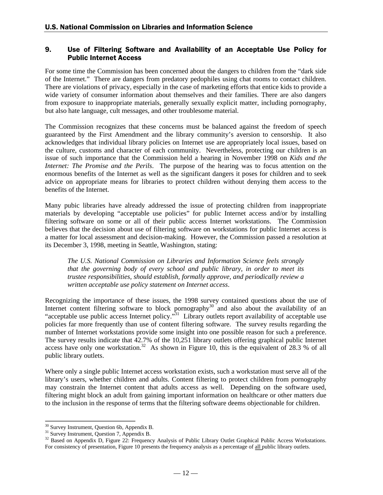#### 9. Use of Filtering Software and Availability of an Acceptable Use Policy for **Public Internet Access**

For some time the Commission has been concerned about the dangers to children from the "dark side of the Internet." There are dangers from predatory pedophiles using chat rooms to contact children. There are violations of privacy, especially in the case of marketing efforts that entice kids to provide a wide variety of consumer information about themselves and their families. There are also dangers from exposure to inappropriate materials, generally sexually explicit matter, including pornography, but also hate language, cult messages, and other troublesome material.

The Commission recognizes that these concerns must be balanced against the freedom of speech guaranteed by the First Amendment and the library community's aversion to censorship. It also acknowledges that individual library policies on Internet use are appropriately local issues, based on the culture, customs and character of each community. Nevertheless, protecting our children is an issue of such importance that the Commission held a hearing in November 1998 on *Kids and the Internet: The Promise and the Perils*. The purpose of the hearing was to focus attention on the enormous benefits of the Internet as well as the significant dangers it poses for children and to seek advice on appropriate means for libraries to protect children without denying them access to the benefits of the Internet.

Many pubic libraries have already addressed the issue of protecting children from inappropriate materials by developing "acceptable use policies" for public Internet access and/or by installing filtering software on some or all of their public access Internet workstations. The Commission believes that the decision about use of filtering software on workstations for public Internet access is a matter for local assessment and decision-making. However, the Commission passed a resolution at its December 3, 1998, meeting in Seattle, Washington, stating:

*The U.S. National Commission on Libraries and Information Science feels strongly that the governing body of every school and public library, in order to meet its trustee responsibilities, should establish, formally approve, and periodically review a written acceptable use policy statement on Internet access*.

Recognizing the importance of these issues, the 1998 survey contained questions about the use of Internet content filtering software to block pornography<sup>30</sup> and also about the availability of an "acceptable use public access Internet policy."31 Library outlets report availability of acceptable use policies far more frequently than use of content filtering software. The survey results regarding the number of Internet workstations provide some insight into one possible reason for such a preference. The survey results indicate that 42.7% of the 10,251 library outlets offering graphical public Internet access have only one workstation.<sup>32</sup> As shown in Figure 10, this is the equivalent of 28.3 % of all public library outlets.

Where only a single public Internet access workstation exists, such a workstation must serve all of the library's users, whether children and adults. Content filtering to protect children from pornography may constrain the Internet content that adults access as well. Depending on the software used, filtering might block an adult from gaining important information on healthcare or other matters due to the inclusion in the response of terms that the filtering software deems objectionable for children.

 $\overline{a}$ 

<sup>&</sup>lt;sup>30</sup> Survey Instrument, Question 6b, Appendix B.

<sup>&</sup>lt;sup>31</sup> Survey Instrument, Question 7, Appendix B.

<sup>&</sup>lt;sup>32</sup> Based on Appendix D, Figure 22: Frequency Analysis of Public Library Outlet Graphical Public Access Workstations. For consistency of presentation, Figure 10 presents the frequency analysis as a percentage of all public library outlets.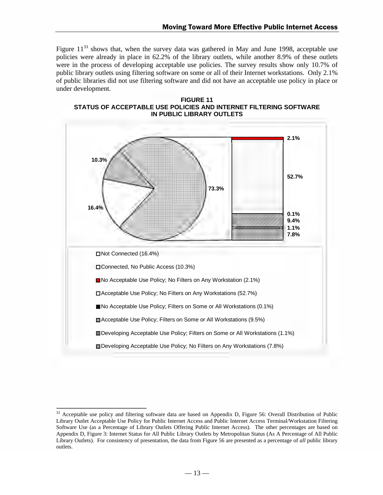Figure  $11^{33}$  shows that, when the survey data was gathered in May and June 1998, acceptable use policies were already in place in 62.2% of the library outlets, while another 8.9% of these outlets were in the process of developing acceptable use policies. The survey results show only 10.7% of public library outlets using filtering software on some or all of their Internet workstations. Only 2.1% of public libraries did not use filtering software and did not have an acceptable use policy in place or under development.





 $\overline{a}$ 

 $33$  Acceptable use policy and filtering software data are based on Appendix D, Figure 56: Overall Distribution of Public Library Outlet Acceptable Use Policy for Public Internet Access and Public Internet Access Terminal/Workstation Filtering Software Use (as a Percentage of Library Outlets Offering Public Internet Access). The other percentages are based on Appendix D, Figure 3: Internet Status for All Public Library Outlets by Metropolitan Status (As A Percentage of All Public Library Outlets). For consistency of presentation, the data from Figure 56 are presented as a percentage of *all* public library outlets.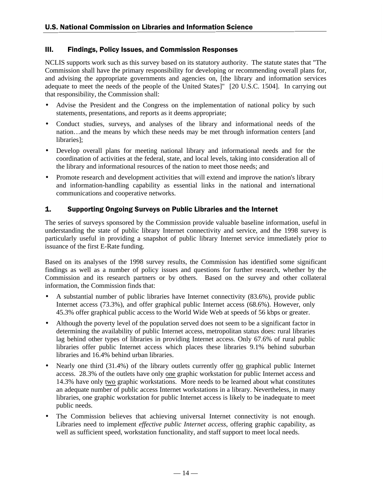#### III. Findings, Policy Issues, and Commission Responses

NCLIS supports work such as this survey based on its statutory authority. The statute states that "The Commission shall have the primary responsibility for developing or recommending overall plans for, and advising the appropriate governments and agencies on, [the library and information services adequate to meet the needs of the people of the United States]" [20 U.S.C. 1504]. In carrying out that responsibility, the Commission shall:

- Advise the President and the Congress on the implementation of national policy by such statements, presentations, and reports as it deems appropriate;
- Conduct studies, surveys, and analyses of the library and informational needs of the nation…and the means by which these needs may be met through information centers [and libraries];
- Develop overall plans for meeting national library and informational needs and for the coordination of activities at the federal, state, and local levels, taking into consideration all of the library and informational resources of the nation to meet those needs; and
- Promote research and development activities that will extend and improve the nation's library and information-handling capability as essential links in the national and international communications and cooperative networks.

#### 1. Supporting Ongoing Surveys on Public Libraries and the Internet

The series of surveys sponsored by the Commission provide valuable baseline information, useful in understanding the state of public library Internet connectivity and service, and the 1998 survey is particularly useful in providing a snapshot of public library Internet service immediately prior to issuance of the first E-Rate funding.

Based on its analyses of the 1998 survey results, the Commission has identified some significant findings as well as a number of policy issues and questions for further research, whether by the Commission and its research partners or by others. Based on the survey and other collateral information, the Commission finds that:

- A substantial number of public libraries have Internet connectivity (83.6%), provide public Internet access (73.3%), and offer graphical public Internet access (68.6%). However, only 45.3% offer graphical public access to the World Wide Web at speeds of 56 kbps or greater.
- Although the poverty level of the population served does not seem to be a significant factor in determining the availability of public Internet access, metropolitan status does: rural libraries lag behind other types of libraries in providing Internet access. Only 67.6% of rural public libraries offer public Internet access which places these libraries 9.1% behind suburban libraries and 16.4% behind urban libraries.
- Nearly one third (31.4%) of the library outlets currently offer no graphical public Internet access. 28.3% of the outlets have only one graphic workstation for public Internet access and 14.3% have only two graphic workstations. More needs to be learned about what constitutes an adequate number of public access Internet workstations in a library. Nevertheless, in many libraries, one graphic workstation for public Internet access is likely to be inadequate to meet public needs.
- The Commission believes that achieving universal Internet connectivity is not enough. Libraries need to implement *effective public Internet access*, offering graphic capability, as well as sufficient speed, workstation functionality, and staff support to meet local needs.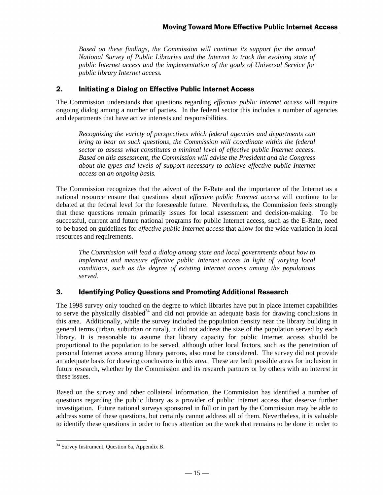*Based on these findings, the Commission will continue its support for the annual National Survey of Public Libraries and the Internet to track the evolving state of public Internet access and the implementation of the goals of Universal Service for public library Internet access.*

#### 2. Initiating a Dialog on Effective Public Internet Access

The Commission understands that questions regarding *effective public Internet access* will require ongoing dialog among a number of parties. In the federal sector this includes a number of agencies and departments that have active interests and responsibilities.

*Recognizing the variety of perspectives which federal agencies and departments can bring to bear on such questions, the Commission will coordinate within the federal sector to assess what constitutes a minimal level of effective public Internet access. Based on this assessment, the Commission will advise the President and the Congress about the types and levels of support necessary to achieve effective public Internet access on an ongoing basis.*

The Commission recognizes that the advent of the E-Rate and the importance of the Internet as a national resource ensure that questions about *effective public Internet access* will continue to be debated at the federal level for the foreseeable future. Nevertheless, the Commission feels strongly that these questions remain primarily issues for local assessment and decision-making. To be successful, current and future national programs for public Internet access, such as the E-Rate, need to be based on guidelines for *effective public Internet access* that allow for the wide variation in local resources and requirements.

*The Commission will lead a dialog among state and local governments about how to implement and measure effective public Internet access in light of varying local conditions, such as the degree of existing Internet access among the populations served.*

#### 3. Identifying Policy Questions and Promoting Additional Research

The 1998 survey only touched on the degree to which libraries have put in place Internet capabilities to serve the physically disabled<sup>34</sup> and did not provide an adequate basis for drawing conclusions in this area. Additionally, while the survey included the population density near the library building in general terms (urban, suburban or rural), it did not address the size of the population served by each library. It is reasonable to assume that library capacity for public Internet access should be proportional to the population to be served, although other local factors, such as the penetration of personal Internet access among library patrons, also must be considered. The survey did not provide an adequate basis for drawing conclusions in this area. These are both possible areas for inclusion in future research, whether by the Commission and its research partners or by others with an interest in these issues.

Based on the survey and other collateral information, the Commission has identified a number of questions regarding the public library as a provider of public Internet access that deserve further investigation. Future national surveys sponsored in full or in part by the Commission may be able to address some of these questions, but certainly cannot address all of them. Nevertheless, it is valuable to identify these questions in order to focus attention on the work that remains to be done in order to

<sup>-</sup><sup>34</sup> Survey Instrument, Question 6a, Appendix B.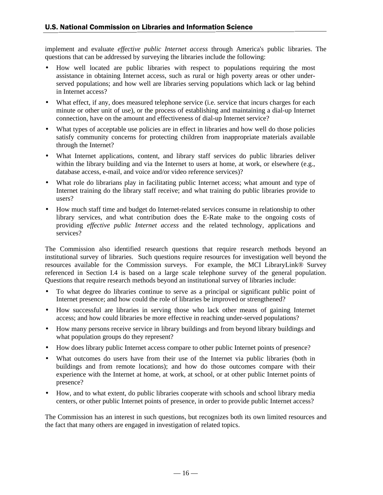implement and evaluate *effective public Internet access* through America's public libraries. The questions that can be addressed by surveying the libraries include the following:

- How well located are public libraries with respect to populations requiring the most assistance in obtaining Internet access, such as rural or high poverty areas or other underserved populations; and how well are libraries serving populations which lack or lag behind in Internet access?
- What effect, if any, does measured telephone service (i.e. service that incurs charges for each minute or other unit of use), or the process of establishing and maintaining a dial-up Internet connection, have on the amount and effectiveness of dial-up Internet service?
- What types of acceptable use policies are in effect in libraries and how well do those policies satisfy community concerns for protecting children from inappropriate materials available through the Internet?
- What Internet applications, content, and library staff services do public libraries deliver within the library building and via the Internet to users at home, at work, or elsewhere (e.g., database access, e-mail, and voice and/or video reference services)?
- What role do librarians play in facilitating public Internet access; what amount and type of Internet training do the library staff receive; and what training do public libraries provide to users?
- How much staff time and budget do Internet-related services consume in relationship to other library services, and what contribution does the E-Rate make to the ongoing costs of providing *effective public Internet access* and the related technology, applications and services?

The Commission also identified research questions that require research methods beyond an institutional survey of libraries. Such questions require resources for investigation well beyond the resources available for the Commission surveys. For example, the MCI LibraryLink® Survey referenced in Section I.4 is based on a large scale telephone survey of the general population. Questions that require research methods beyond an institutional survey of libraries include:

- To what degree do libraries continue to serve as a principal or significant public point of Internet presence; and how could the role of libraries be improved or strengthened?
- How successful are libraries in serving those who lack other means of gaining Internet access; and how could libraries be more effective in reaching under-served populations?
- How many persons receive service in library buildings and from beyond library buildings and what population groups do they represent?
- How does library public Internet access compare to other public Internet points of presence?
- What outcomes do users have from their use of the Internet via public libraries (both in buildings and from remote locations); and how do those outcomes compare with their experience with the Internet at home, at work, at school, or at other public Internet points of presence?
- How, and to what extent, do public libraries cooperate with schools and school library media centers, or other public Internet points of presence, in order to provide public Internet access?

The Commission has an interest in such questions, but recognizes both its own limited resources and the fact that many others are engaged in investigation of related topics.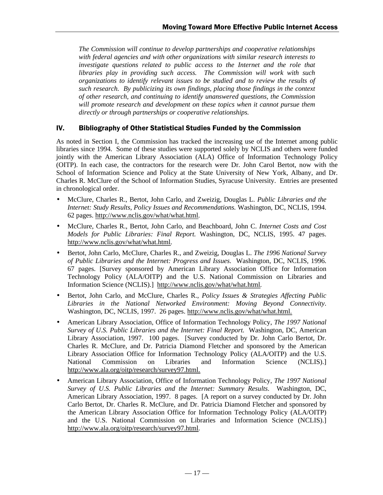*The Commission will continue to develop partnerships and cooperative relationships with federal agencies and with other organizations with similar research interests to investigate questions related to public access to the Internet and the role that libraries play in providing such access. The Commission will work with such organizations to identify relevant issues to be studied and to review the results of such research. By publicizing its own findings, placing those findings in the context of other research, and continuing to identify unanswered questions, the Commission will promote research and development on these topics when it cannot pursue them directly or through partnerships or cooperative relationships.*

#### IV. Bibliography of Other Statistical Studies Funded by the Commission

As noted in Section I, the Commission has tracked the increasing use of the Internet among public libraries since 1994. Some of these studies were supported solely by NCLIS and others were funded jointly with the American Library Association (ALA) Office of Information Technology Policy (OITP). In each case, the contractors for the research were Dr. John Carol Bertot, now with the School of Information Science and Policy at the State University of New York, Albany, and Dr. Charles R. McClure of the School of Information Studies, Syracuse University. Entries are presented in chronological order.

- McClure, Charles R., Bertot, John Carlo, and Zweizig, Douglas L. *Public Libraries and the Internet: Study Results, Policy Issues and Recommendations.* Washington, DC, NCLIS, 1994. 62 pages. http://www.nclis.gov/what/what.html.
- McClure, Charles R., Bertot, John Carlo, and Beachboard, John C. *Internet Costs and Cost Models for Public Libraries: Final Report.* Washington, DC, NCLIS, 1995. 47 pages. http://www.nclis.gov/what/what.html.
- Bertot, John Carlo, McClure, Charles R., and Zweizig, Douglas L. *The 1996 National Survey of Public Libraries and the Internet: Progress and Issues.* Washington, DC, NCLIS, 1996. 67 pages. [Survey sponsored by American Library Association Office for Information Technology Policy (ALA/OITP) and the U.S. National Commission on Libraries and Information Science (NCLIS).] http://www.nclis.gov/what/what.html.
- Bertot, John Carlo, and McClure, Charles R., *Policy Issues & Strategies Affecting Public Libraries in the National Networked Environment: Moving Beyond Connectivity*. Washington, DC, NCLIS, 1997. 26 pages. http://www.nclis.gov/what/what.html.
- American Library Association, Office of Information Technology Policy, *The 1997 National Survey of U.S. Public Libraries and the Internet: Final Report.* Washington, DC, American Library Association, 1997. 100 pages. [Survey conducted by Dr. John Carlo Bertot, Dr. Charles R. McClure, and Dr. Patricia Diamond Fletcher and sponsored by the American Library Association Office for Information Technology Policy (ALA/OITP) and the U.S.<br>National Commission on Libraries and Information Science (NCLIS). National Commission on Libraries and Information Science (NCLIS).] http://www.ala.org/oitp/research/survey97.html.
- American Library Association, Office of Information Technology Policy, *The 1997 National Survey of U.S. Public Libraries and the Internet: Summary Results*. Washington, DC, American Library Association, 1997. 8 pages. [A report on a survey conducted by Dr. John Carlo Bertot, Dr. Charles R. McClure, and Dr. Patricia Diamond Fletcher and sponsored by the American Library Association Office for Information Technology Policy (ALA/OITP) and the U.S. National Commission on Libraries and Information Science (NCLIS).] http://www.ala.org/oitp/research/survey97.html.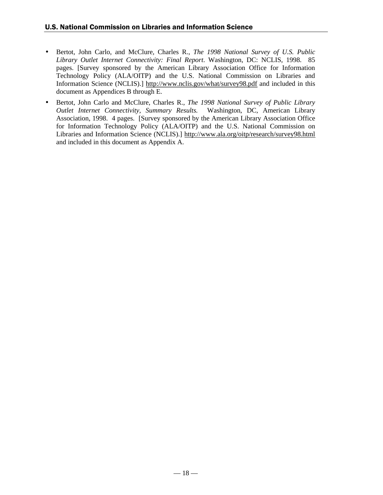- Bertot, John Carlo, and McClure, Charles R., *The 1998 National Survey of U.S. Public Library Outlet Internet Connectivity: Final Report*. Washington, DC: NCLIS, 1998. 85 pages. [Survey sponsored by the American Library Association Office for Information Technology Policy (ALA/OITP) and the U.S. National Commission on Libraries and Information Science (NCLIS).] http://www.nclis.gov/what/survey98.pdf and included in this document as Appendices B through E.
- Bertot, John Carlo and McClure, Charles R., *The 1998 National Survey of Public Library Outlet Internet Connectivity, Summary Results.* Washington, DC, American Library Association, 1998. 4 pages. [Survey sponsored by the American Library Association Office for Information Technology Policy (ALA/OITP) and the U.S. National Commission on Libraries and Information Science (NCLIS).] http://www.ala.org/oitp/research/survey98.html and included in this document as Appendix A.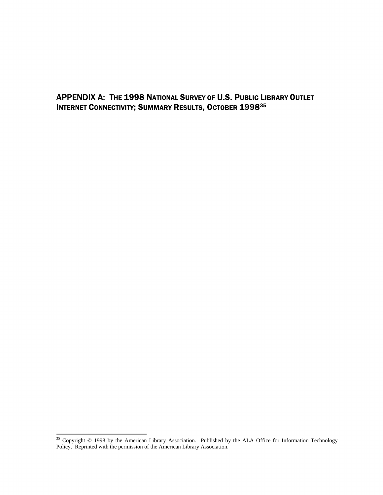APPENDIX A: THE 1998 NATIONAL SURVEY OF U.S. PUBLIC LIBRARY OUTLET INTERNET CONNECTIVITY; SUMMARY RESULTS, OCTOBER 199835

 $\overline{\phantom{a}}$ 

<sup>&</sup>lt;sup>35</sup> Copyright © 1998 by the American Library Association. Published by the ALA Office for Information Technology Policy. Reprinted with the permission of the American Library Association.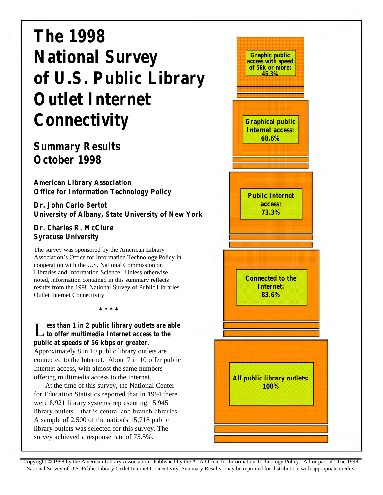# **The 1998 National Survey of U.S. Public Library Outlet Internet Connectivity**

# **Summary Results October 1998**

**American Library Association Office for Information Technology Policy**

**Dr. John Carlo Bertot University of Albany, State University of New York**

#### **Dr. Charles R. McClure Syracuse University**

The survey was sponsored by the American Library Association's Office for Information Technology Policy in cooperation with the U.S. National Commission on Libraries and Information Science. Unless otherwise noted, information contained in this summary reflects results from the 1998 National Survey of Public Libraries Outlet Internet Connectivity.

**\* \* \* \***

L **ess than 1 in 2 public library outlets are able to offer multimedia Internet access to the public at speeds of 56 kbps or greater.**

Approximately 8 in 10 public library outlets are connected to the Internet. About 7 in 10 offer public Internet access, with almost the same numbers offering multimedia access to the Internet.

At the time of this survey, the National Center for Education Statistics reported that in 1994 there were 8,921 library systems representing 15,945 library outlets—that is central and branch libraries. A sample of 2,500 of the nation's 15,718 public library outlets was selected for this survey. The survey achieved a response rate of 75.5%.

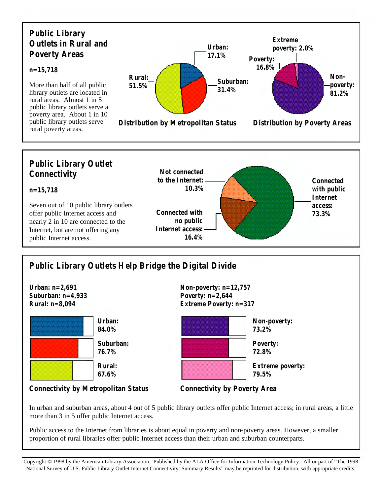



# **Public Library Outlets Help Bridge the Digital Divide**



**Connectivity by Metropolitan Status Connectivity by Poverty Area**



In urban and suburban areas, about 4 out of 5 public library outlets offer public Internet access; in rural areas, a little more than 3 in 5 offer public Internet access.

Public access to the Internet from libraries is about equal in poverty and non-poverty areas. However, a smaller proportion of rural libraries offer public Internet access than their urban and suburban counterparts.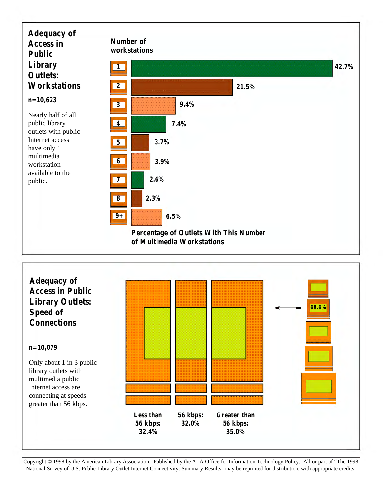

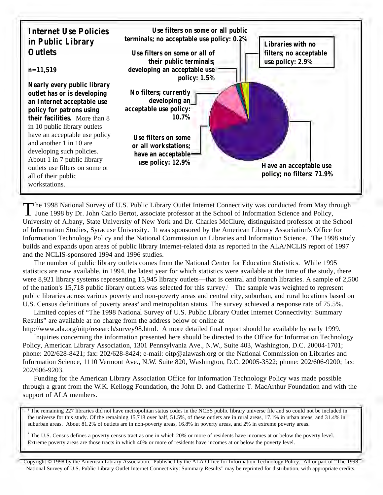

The 1998 National Survey of U.S. Public Library Outlet Internet Connectivity was conducted from May the June 1998 by Dr. John Carlo Bertot, associate professor at the School of Information Science and Policy, **he 1998 National Survey of U.S. Public Library Outlet Internet Connectivity was conducted from May through** University of Albany, State University of New York and Dr. Charles McClure, distinguished professor at the School of Information Studies, Syracuse University. It was sponsored by the American Library Association's Office for Information Technology Policy and the National Commission on Libraries and Information Science. The 1998 study builds and expands upon areas of public library Internet-related data as reported in the ALA/NCLIS report of 1997 and the NCLIS-sponsored 1994 and 1996 studies.

The number of public library outlets comes from the National Center for Education Statistics. While 1995 statistics are now available, in 1994, the latest year for which statistics were available at the time of the study, there were 8,921 library systems representing 15,945 library outlets—that is central and branch libraries. A sample of 2,500 of the nation's 15,718 public library outlets was selected for this survey. <sup>1</sup> The sample was weighted to represent public libraries across various poverty and non-poverty areas and central city, suburban, and rural locations based on U.S. Census definitions of poverty areas<sup>2</sup> and metropolitan status. The survey achieved a response rate of 75.5%.

Limited copies of "The 1998 National Survey of U.S. Public Library Outlet Internet Connectivity: Summary Results" are available at no charge from the address below or online at

http://www.ala.org/oitp/research/survey98.html. A more detailed final report should be available by early 1999. Inquiries concerning the information presented here should be directed to the Office for Information Technology Policy, American Library Association, 1301 Pennsylvania Ave., N.W., Suite 403, Washington, D.C. 20004-1701; phone: 202/628-8421; fax: 202/628-8424; e-mail: oitp@alawash.org or the National Commission on Libraries and Information Science, 1110 Vermont Ave., N.W. Suite 820, Washington, D.C. 20005-3522; phone: 202/606-9200; fax: 202/606-9203.

Funding for the American Library Association Office for Information Technology Policy was made possible through a grant from the W.K. Kellogg Foundation, the John D. and Catherine T. MacArthur Foundation and with the support of ALA members.

<sup>1</sup> The remaining 227 libraries did not have metropolitan status codes in the NCES public library universe file and so could not be included in the universe for this study. Of the remaining 15,718 over half, 51.5%, of these outlets are in rural areas, 17.1% in urban areas, and 31.4% in suburban areas. About 81.2% of outlets are in non-poverty areas, 16.8% in poverty areas, and 2% in extreme poverty areas.

<sup>2</sup> The U.S. Census defines a poverty census tract as one in which 20% or more of residents have incomes at or below the poverty level. Extreme poverty areas are those tracts in which 40% or more of residents have incomes at or below the poverty level.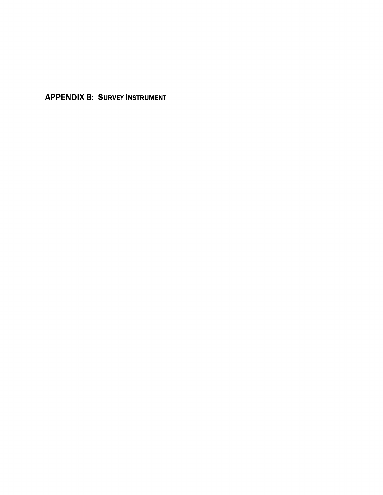**APPENDIX B: SURVEY INSTRUMENT**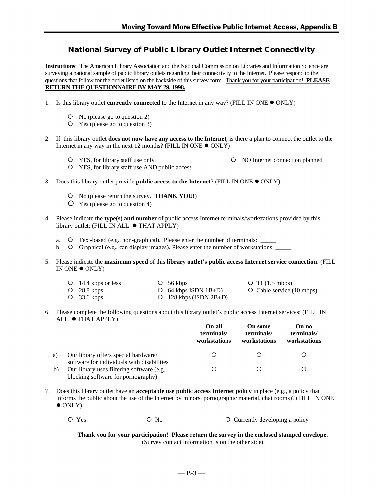# **National Survey of Public Library Outlet Internet Connectivity**

**Instructions**: The American Library Association and the National Commission on Libraries and Information Science are surveying a national sample of public library outlets regarding their connectivity to the Internet. Please respond to the questions that follow for the outlet listed on the backside of this survey form. Thank you for your participation! **PLEASE RETURN THE QUESTIONNAIRE BY MAY 29, 1998.**

- 1. Is this library outlet **currently connected** to the Internet in any way? (FILL IN ONE  $\bullet$  ONLY)
	- { No (please go to question 2)
	- { Yes (please go to question 3)
- 2. If this library outlet **does not now have any access to the Internet**, is there a plan to connect the outlet to the Internet in any way in the next 12 months? (FILL IN ONE  $\bullet$  ONLY)
	- { YES, for library staff use only { NO Internet connection planned

- { YES, for library staff use AND public access
- 3. Does this library outlet provide **public access to the Internet**? (FILL IN ONE  $\bullet$  ONLY)
	- { No (please return the survey. **THANK YOU!**)
	- $\overline{O}$  Yes (please go to question 4)
- 4. Please indicate the **type(s) and number** of public access Internet terminals/workstations provided by this library outlet: (FILL IN ALL  $\bullet$  THAT APPLY)
	- a.  $\circ$  Text-based (e.g., non-graphical). Please enter the number of terminals: \_\_\_\_\_\_\_
	- b.  $\circ$  Graphical (e.g., can display images). Please enter the number of workstations:
- 5. Please indicate the **maximum speed** of this **library outlet's public access Internet service connection**: (FILL IN ONE  $\bullet$  ONLY)

| $O$ 14.4 kbps or less | $\circ$ 56 kbps            | $\circ$ T1 (1.5 mbps)           |
|-----------------------|----------------------------|---------------------------------|
| $O$ 28.8 kbps         | $\circ$ 64 kbps ISDN 1B+D) | $\circ$ Cable service (10 mbps) |
| $O$ 33.6 kbps         | $O$ 128 kbps (ISDN 2B+D)   |                                 |

6. Please complete the following questions about this library outlet's public access Internet services: (FILL IN ALL  $\bullet$  THAT APPLY)

|              |                                                                                    | On all<br>terminals/<br>workstations | <b>On some</b><br>terminals/<br>workstations | On no<br>terminals/<br>workstations |
|--------------|------------------------------------------------------------------------------------|--------------------------------------|----------------------------------------------|-------------------------------------|
| a)           | Our library offers special hardware/<br>software for individuals with disabilities |                                      |                                              |                                     |
| $\mathbf{b}$ | Our library uses filtering software (e.g.,<br>blocking software for pornography)   |                                      |                                              |                                     |

- 7. Does this library outlet have an **acceptable use public access Internet policy** in place (e.g., a policy that informs the public about the use of the Internet by minors, pornographic material, chat rooms)? (FILL IN ONE  $\bullet$  ONLY)
	- ${\rm O}$  Yes  ${\rm O}$  No  ${\rm O}$  Currently developing a policy

**Thank you for your participation! Please return the survey in the enclosed stamped envelope.** (Survey contact information is on the other side).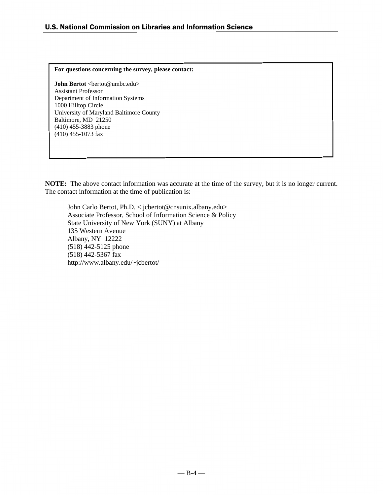### **For questions concerning the survey, please contact:**

**John Bertot** <bertot@umbc.edu> Assistant Professor Department of Information Systems 1000 Hilltop Circle University of Maryland Baltimore County Baltimore, MD 21250 (410) 455-3883 phone (410) 455-1073 fax

**NOTE:** The above contact information was accurate at the time of the survey, but it is no longer current. The contact information at the time of publication is:

John Carlo Bertot, Ph.D. < jcbertot@cnsunix.albany.edu> Associate Professor, School of Information Science & Policy State University of New York (SUNY) at Albany 135 Western Avenue Albany, NY 12222 (518) 442-5125 phone (518) 442-5367 fax http://www.albany.edu/~jcbertot/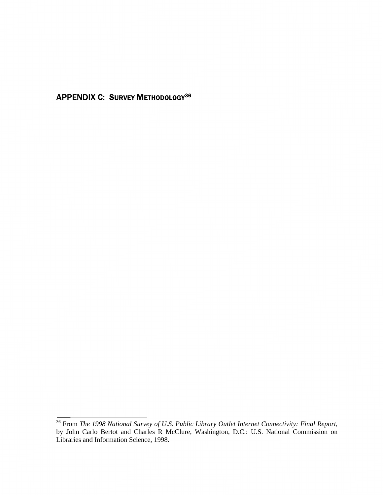**APPENDIX C: SURVEY METHODOLOGY36** 

<sup>&</sup>lt;sup>36</sup> From *The 1998 National Survey of U.S. Public Library Outlet Internet Connectivity: Final Report, by John Carlo Bertot and Charles R McClure, Washington, D.C.: U.S. National Commission on Libraries and Information Sci*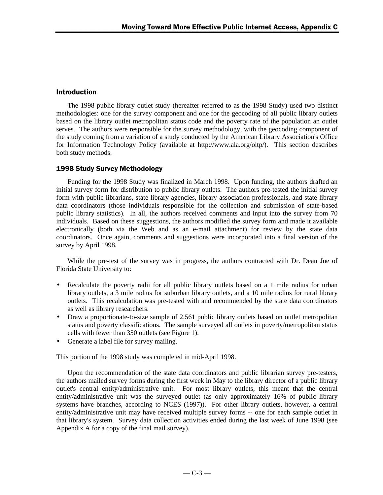# **Introduction**

The 1998 public library outlet study (hereafter referred to as the 1998 Study) used two distinct methodologies: one for the survey component and one for the geocoding of all public library outlets based on the library outlet metropolitan status code and the poverty rate of the population an outlet serves. The authors were responsible for the survey methodology, with the geocoding component of the study coming from a variation of a study conducted by the American Library Association's Office for Information Technology Policy (available at http://www.ala.org/oitp/). This section describes both study methods.

# 1998 Study Survey Methodology

Funding for the 1998 Study was finalized in March 1998. Upon funding, the authors drafted an initial survey form for distribution to public library outlets. The authors pre-tested the initial survey form with public librarians, state library agencies, library association professionals, and state library data coordinators (those individuals responsible for the collection and submission of state-based public library statistics). In all, the authors received comments and input into the survey from 70 individuals. Based on these suggestions, the authors modified the survey form and made it available electronically (both via the Web and as an e-mail attachment) for review by the state data coordinators. Once again, comments and suggestions were incorporated into a final version of the survey by April 1998.

While the pre-test of the survey was in progress, the authors contracted with Dr. Dean Jue of Florida State University to:

- Recalculate the poverty radii for all public library outlets based on a 1 mile radius for urban library outlets, a 3 mile radius for suburban library outlets, and a 10 mile radius for rural library outlets. This recalculation was pre-tested with and recommended by the state data coordinators as well as library researchers.
- Draw a proportionate-to-size sample of 2,561 public library outlets based on outlet metropolitan status and poverty classifications. The sample surveyed all outlets in poverty/metropolitan status cells with fewer than 350 outlets (see Figure 1).
- Generate a label file for survey mailing.

This portion of the 1998 study was completed in mid-April 1998.

Upon the recommendation of the state data coordinators and public librarian survey pre-testers, the authors mailed survey forms during the first week in May to the library director of a public library outlet's central entity/administrative unit. For most library outlets, this meant that the central entity/administrative unit was the surveyed outlet (as only approximately 16% of public library systems have branches, according to NCES (1997)). For other library outlets, however, a central entity/administrative unit may have received multiple survey forms -- one for each sample outlet in that library's system. Survey data collection activities ended during the last week of June 1998 (see Appendix A for a copy of the final mail survey).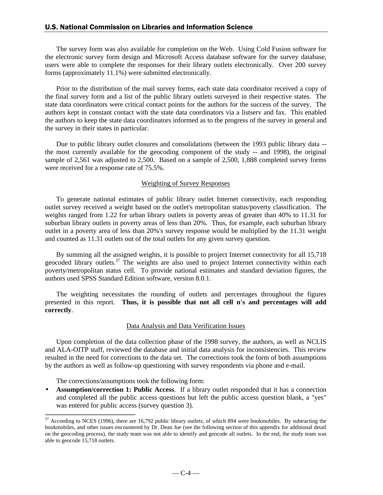The survey form was also available for completion on the Web. Using Cold Fusion software for the electronic survey form design and Microsoft Access database software for the survey database, users were able to complete the responses for their library outlets electronically. Over 200 survey forms (approximately 11.1%) were submitted electronically.

Prior to the distribution of the mail survey forms, each state data coordinator received a copy of the final survey form and a list of the public library outlets surveyed in their respective states. The state data coordinators were critical contact points for the authors for the success of the survey. The authors kept in constant contact with the state data coordinators via a listserv and fax. This enabled the authors to keep the state data coordinators informed as to the progress of the survey in general and the survey in their states in particular.

Due to public library outlet closures and consolidations (between the 1993 public library data - the most currently available for the geocoding component of the study -- and 1998), the original sample of 2,561 was adjusted to 2,500. Based on a sample of 2,500, 1,888 completed survey forms were received for a response rate of 75.5%.

### Weighting of Survey Responses

To generate national estimates of public library outlet Internet connectivity, each responding outlet survey received a weight based on the outlet's metropolitan status/poverty classification. The weights ranged from 1.22 for urban library outlets in poverty areas of greater than 40% to 11.31 for suburban library outlets in poverty areas of less than 20%. Thus, for example, each suburban library outlet in a poverty area of less than 20%'s survey response would be multiplied by the 11.31 weight and counted as 11.31 outlets out of the total outlets for any given survey question.

By summing all the assigned weights, it is possible to project Internet connectivity for all 15,718 geocoded library outlets.<sup>37</sup> The weights are also used to project Internet connectivity within each poverty/metropolitan status cell. To provide national estimates and standard deviation figures, the authors used SPSS Standard Edition software, version 8.0.1.

The weighting necessitates the rounding of outlets and percentages throughout the figures presented in this report. **Thus, it is possible that not all cell n's and percentages will add correctly**.

#### Data Analysis and Data Verification Issues

Upon completion of the data collection phase of the 1998 survey, the authors, as well as NCLIS and ALA-OITP staff, reviewed the database and initial data analysis for inconsistencies. This review resulted in the need for corrections to the data set. The corrections took the form of both assumptions by the authors as well as follow-up questioning with survey respondents via phone and e-mail.

The corrections/assumptions took the following form:

 $\overline{a}$ 

• **Assumption/correction 1: Public Access**. If a library outlet responded that it has a connection and completed all the public access questions but left the public access question blank, a "yes" was entered for public access (survey question 3).

 $37$  According to NCES (1996), there are 16,792 public library outlets, of which 894 were bookmobiles. By subtracting the bookmobiles, and other issues encountered by Dr. Dean Jue (see the following section of this appendix for additional detail on the geocoding process), the study team was not able to identify and geocode all outlets. In the end, the study team was able to geocode 15,718 outlets.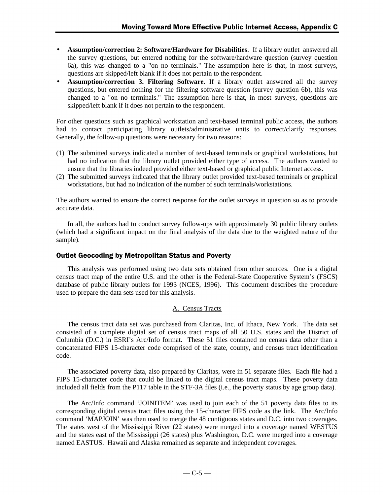- **Assumption/correction 2: Software/Hardware for Disabilities**. If a library outlet answered all the survey questions, but entered nothing for the software/hardware question (survey question 6a), this was changed to a "on no terminals." The assumption here is that, in most surveys, questions are skipped/left blank if it does not pertain to the respondent.
- **Assumption/correction 3. Filtering Software**. If a library outlet answered all the survey questions, but entered nothing for the filtering software question (survey question 6b), this was changed to a "on no terminals." The assumption here is that, in most surveys, questions are skipped/left blank if it does not pertain to the respondent.

For other questions such as graphical workstation and text-based terminal public access, the authors had to contact participating library outlets/administrative units to correct/clarify responses. Generally, the follow-up questions were necessary for two reasons:

- (1) The submitted surveys indicated a number of text-based terminals or graphical workstations, but had no indication that the library outlet provided either type of access. The authors wanted to ensure that the libraries indeed provided either text-based or graphical public Internet access.
- (2) The submitted surveys indicated that the library outlet provided text-based terminals or graphical workstations, but had no indication of the number of such terminals/workstations.

The authors wanted to ensure the correct response for the outlet surveys in question so as to provide accurate data.

In all, the authors had to conduct survey follow-ups with approximately 30 public library outlets (which had a significant impact on the final analysis of the data due to the weighted nature of the sample).

### Outlet Geocoding by Metropolitan Status and Poverty

This analysis was performed using two data sets obtained from other sources. One is a digital census tract map of the entire U.S. and the other is the Federal-State Cooperative System's (FSCS) database of public library outlets for 1993 (NCES, 1996). This document describes the procedure used to prepare the data sets used for this analysis.

### A. Census Tracts

The census tract data set was purchased from Claritas, Inc. of Ithaca, New York. The data set consisted of a complete digital set of census tract maps of all 50 U.S. states and the District of Columbia (D.C.) in ESRI's Arc/Info format. These 51 files contained no census data other than a concatenated FIPS 15-character code comprised of the state, county, and census tract identification code.

The associated poverty data, also prepared by Claritas, were in 51 separate files. Each file had a FIPS 15-character code that could be linked to the digital census tract maps. These poverty data included all fields from the P117 table in the STF-3A files (i.e., the poverty status by age group data).

The Arc/Info command 'JOINITEM' was used to join each of the 51 poverty data files to its corresponding digital census tract files using the 15-character FIPS code as the link. The Arc/Info command 'MAPJOIN' was then used to merge the 48 contiguous states and D.C. into two coverages. The states west of the Mississippi River (22 states) were merged into a coverage named WESTUS and the states east of the Mississippi (26 states) plus Washington, D.C. were merged into a coverage named EASTUS. Hawaii and Alaska remained as separate and independent coverages.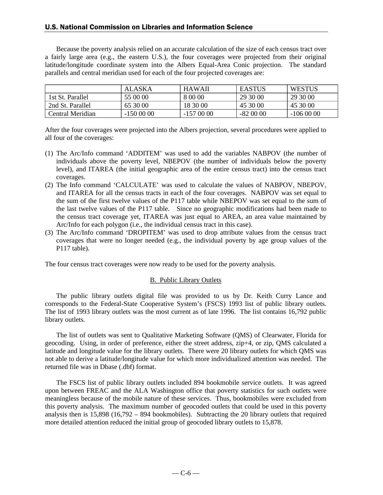## U.S. National Commission on Libraries and Information Science

Because the poverty analysis relied on an accurate calculation of the size of each census tract over a fairly large area (e.g., the eastern U.S.), the four coverages were projected from their original latitude/longitude coordinate system into the Albers Equal-Area Conic projection. The standard parallels and central meridian used for each of the four projected coverages are:

|                  | ALASKA     | <b>HAWAII</b> | <b>EASTUS</b> | <b>WESTUS</b> |
|------------------|------------|---------------|---------------|---------------|
| 1st St. Parallel | 55 00 00   | 8 00 00       | 29 30 00      | 29 30 00      |
| 2nd St. Parallel | 65 30 00   | 18 30 00      | 45 30 00      | 45 30 00      |
| Central Meridian | $-1500000$ | $-1570000$    | $-820000$     | $-106000$     |

After the four coverages were projected into the Albers projection, several procedures were applied to all four of the coverages:

- (1) The Arc/Info command 'ADDITEM' was used to add the variables NABPOV (the number of individuals above the poverty level, NBEPOV (the number of individuals below the poverty level), and ITAREA (the initial geographic area of the entire census tract) into the census tract coverages.
- (2) The Info command 'CALCULATE' was used to calculate the values of NABPOV, NBEPOV, and ITAREA for all the census tracts in each of the four coverages. NABPOV was set equal to the sum of the first twelve values of the P117 table while NBEPOV was set equal to the sum of the last twelve values of the P117 table. Since no geographic modifications had been made to the census tract coverage yet, ITAREA was just equal to AREA, an area value maintained by Arc/Info for each polygon (i.e., the individual census tract in this case).
- (3) The Arc/Info command 'DROPITEM' was used to drop attribute values from the census tract coverages that were no longer needed (e.g., the individual poverty by age group values of the P117 table).

The four census tract coverages were now ready to be used for the poverty analysis.

#### B. Public Library Outlets

The public library outlets digital file was provided to us by Dr. Keith Curry Lance and corresponds to the Federal-State Cooperative System's (FSCS) 1993 list of public library outlets. The list of 1993 library outlets was the most current as of late 1996. The list contains 16,792 public library outlets.

The list of outlets was sent to Qualitative Marketing Software (QMS) of Clearwater, Florida for geocoding. Using, in order of preference, either the street address, zip+4, or zip, QMS calculated a latitude and longitude value for the library outlets. There were 20 library outlets for which QMS was not able to derive a latitude/longitude value for which more individualized attention was needed. The returned file was in Dbase (.dbf) format.

The FSCS list of public library outlets included 894 bookmobile service outlets. It was agreed upon between FREAC and the ALA Washington office that poverty statistics for such outlets were meaningless because of the mobile nature of these services. Thus, bookmobiles were excluded from this poverty analysis. The maximum number of geocoded outlets that could be used in this poverty analysis then is 15,898 (16,792 – 894 bookmobiles). Subtracting the 20 library outlets that required more detailed attention reduced the initial group of geocoded library outlets to 15,878.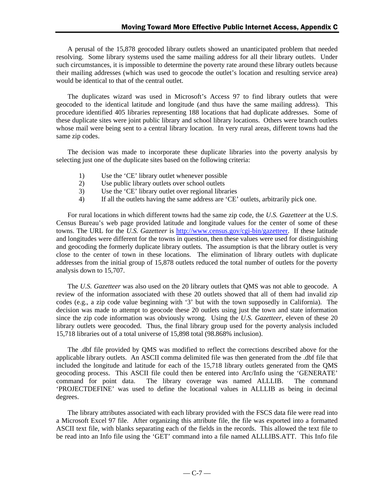A perusal of the 15,878 geocoded library outlets showed an unanticipated problem that needed resolving. Some library systems used the same mailing address for all their library outlets. Under such circumstances, it is impossible to determine the poverty rate around these library outlets because their mailing addresses (which was used to geocode the outlet's location and resulting service area) would be identical to that of the central outlet.

The duplicates wizard was used in Microsoft's Access 97 to find library outlets that were geocoded to the identical latitude and longitude (and thus have the same mailing address). This procedure identified 405 libraries representing 188 locations that had duplicate addresses. Some of these duplicate sites were joint public library and school library locations. Others were branch outlets whose mail were being sent to a central library location. In very rural areas, different towns had the same zip codes.

The decision was made to incorporate these duplicate libraries into the poverty analysis by selecting just one of the duplicate sites based on the following criteria:

- 1) Use the 'CE' library outlet whenever possible
- 2) Use public library outlets over school outlets
- 3) Use the 'CE' library outlet over regional libraries
- 4) If all the outlets having the same address are 'CE' outlets, arbitrarily pick one.

For rural locations in which different towns had the same zip code, the *U.S. Gazetteer* at the U.S. Census Bureau's web page provided latitude and longitude values for the center of some of these towns. The URL for the *U.S. Gazetteer* is http://www.census.gov/cgi-bin/gazetteer. If these latitude and longitudes were different for the towns in question, then these values were used for distinguishing and geocoding the formerly duplicate library outlets. The assumption is that the library outlet is very close to the center of town in these locations. The elimination of library outlets with duplicate addresses from the initial group of 15,878 outlets reduced the total number of outlets for the poverty analysis down to 15,707.

The *U.S. Gazetteer* was also used on the 20 library outlets that QMS was not able to geocode. A review of the information associated with these 20 outlets showed that all of them had invalid zip codes (e.g., a zip code value beginning with '3' but with the town supposedly in California). The decision was made to attempt to geocode these 20 outlets using just the town and state information since the zip code information was obviously wrong. Using the *U.S. Gazetteer*, eleven of these 20 library outlets were geocoded. Thus, the final library group used for the poverty analysis included 15,718 libraries out of a total universe of 15,898 total (98.868% inclusion).

The .dbf file provided by QMS was modified to reflect the corrections described above for the applicable library outlets. An ASCII comma delimited file was then generated from the .dbf file that included the longitude and latitude for each of the 15,718 library outlets generated from the QMS geocoding process. This ASCII file could then be entered into Arc/Info using the 'GENERATE' command for point data. The library coverage was named ALLLIB. The command 'PROJECTDEFINE' was used to define the locational values in ALLLIB as being in decimal degrees.

The library attributes associated with each library provided with the FSCS data file were read into a Microsoft Excel 97 file. After organizing this attribute file, the file was exported into a formatted ASCII text file, with blanks separating each of the fields in the records. This allowed the text file to be read into an Info file using the 'GET' command into a file named ALLLIBS.ATT. This Info file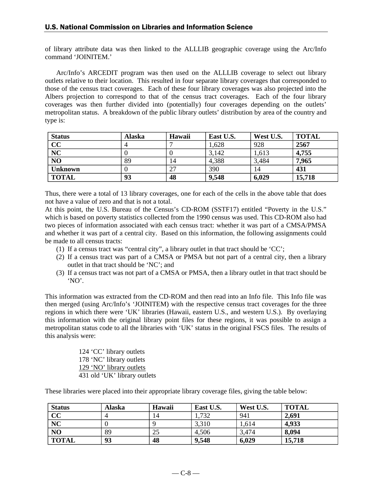of library attribute data was then linked to the ALLLIB geographic coverage using the Arc/Info command 'JOINITEM.'

Arc/Info's ARCEDIT program was then used on the ALLLIB coverage to select out library outlets relative to their location. This resulted in four separate library coverages that corresponded to those of the census tract coverages. Each of these four library coverages was also projected into the Albers projection to correspond to that of the census tract coverages. Each of the four library coverages was then further divided into (potentially) four coverages depending on the outlets' metropolitan status. A breakdown of the public library outlets' distribution by area of the country and type is:

| <b>Status</b>  | <b>Alaska</b> | Hawaii | East U.S. | West U.S. | <b>TOTAL</b> |
|----------------|---------------|--------|-----------|-----------|--------------|
| CC             | 4             |        | 1,628     | 928       | 2567         |
| <b>NC</b>      |               |        | 3,142     | 1,613     | 4,755        |
| N <sub>O</sub> | 89            | 14     | 4,388     | 3,484     | 7,965        |
| <b>Unknown</b> |               | 27     | 390       | 14        | 431          |
| <b>TOTAL</b>   | 93            | 48     | 9,548     | 6,029     | 15,718       |

Thus, there were a total of 13 library coverages, one for each of the cells in the above table that does not have a value of zero and that is not a total.

At this point, the U.S. Bureau of the Census's CD-ROM (SSTF17) entitled "Poverty in the U.S." which is based on poverty statistics collected from the 1990 census was used. This CD-ROM also had two pieces of information associated with each census tract: whether it was part of a CMSA/PMSA and whether it was part of a central city. Based on this information, the following assignments could be made to all census tracts:

- (1) If a census tract was "central city", a library outlet in that tract should be 'CC';
- (2) If a census tract was part of a CMSA or PMSA but not part of a central city, then a library outlet in that tract should be 'NC'; and
- (3) If a census tract was not part of a CMSA or PMSA, then a library outlet in that tract should be 'NO'.

This information was extracted from the CD-ROM and then read into an Info file. This Info file was then merged (using Arc/Info's 'JOINITEM) with the respective census tract coverages for the three regions in which there were 'UK' libraries (Hawaii, eastern U.S., and western U.S.). By overlaying this information with the original library point files for these regions, it was possible to assign a metropolitan status code to all the libraries with 'UK' status in the original FSCS files. The results of this analysis were:

> 124 'CC' library outlets 178 'NC' library outlets 129 'NO' library outlets 431 old 'UK' library outlets

These libraries were placed into their appropriate library coverage files, giving the table below:

| <b>Status</b>           | Alaska | Hawaii | East U.S. | West U.S. | <b>TOTAL</b> |
|-------------------------|--------|--------|-----------|-----------|--------------|
| $\overline{\mathbf{c}}$ |        | 14     | 1,732     | 941       | 2,691        |
| <b>NC</b>               |        |        | 3,310     | 1,614     | 4,933        |
| NO                      | 89     | 25     | 4,506     | 3,474     | 8,094        |
| <b>TOTAL</b>            | 93     | 48     | 9,548     | 6,029     | 15,718       |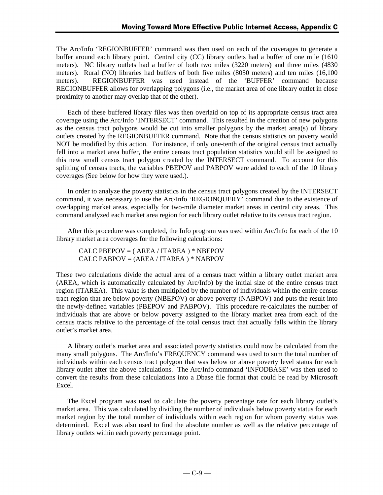The Arc/Info 'REGIONBUFFER' command was then used on each of the coverages to generate a buffer around each library point. Central city (CC) library outlets had a buffer of one mile (1610 meters). NC library outlets had a buffer of both two miles (3220 meters) and three miles (4830 meters). Rural (NO) libraries had buffers of both five miles (8050 meters) and ten miles (16,100 meters). REGIONBUFFER was used instead of the 'BUFFER' command because REGIONBUFFER allows for overlapping polygons (i.e., the market area of one library outlet in close proximity to another may overlap that of the other).

Each of these buffered library files was then overlaid on top of its appropriate census tract area coverage using the Arc/Info 'INTERSECT' command. This resulted in the creation of new polygons as the census tract polygons would be cut into smaller polygons by the market area(s) of library outlets created by the REGIONBUFFER command. Note that the census statistics on poverty would NOT be modified by this action. For instance, if only one-tenth of the original census tract actually fell into a market area buffer, the entire census tract population statistics would still be assigned to this new small census tract polygon created by the INTERSECT command. To account for this splitting of census tracts, the variables PBEPOV and PABPOV were added to each of the 10 library coverages (See below for how they were used.).

In order to analyze the poverty statistics in the census tract polygons created by the INTERSECT command, it was necessary to use the Arc/Info 'REGIONQUERY' command due to the existence of overlapping market areas, especially for two-mile diameter market areas in central city areas. This command analyzed each market area region for each library outlet relative to its census tract region.

After this procedure was completed, the Info program was used within Arc/Info for each of the 10 library market area coverages for the following calculations:

CALC PBEPOV = ( AREA / ITAREA ) \* NBEPOV CALC PABPOV = (AREA / ITAREA ) \* NABPOV

These two calculations divide the actual area of a census tract within a library outlet market area (AREA, which is automatically calculated by Arc/Info) by the initial size of the entire census tract region (ITAREA). This value is then multiplied by the number of individuals within the entire census tract region that are below poverty (NBEPOV) or above poverty (NABPOV) and puts the result into the newly-defined variables (PBEPOV and PABPOV). This procedure re-calculates the number of individuals that are above or below poverty assigned to the library market area from each of the census tracts relative to the percentage of the total census tract that actually falls within the library outlet's market area.

A library outlet's market area and associated poverty statistics could now be calculated from the many small polygons. The Arc/Info's FREQUENCY command was used to sum the total number of individuals within each census tract polygon that was below or above poverty level status for each library outlet after the above calculations. The Arc/Info command 'INFODBASE' was then used to convert the results from these calculations into a Dbase file format that could be read by Microsoft Excel.

The Excel program was used to calculate the poverty percentage rate for each library outlet's market area. This was calculated by dividing the number of individuals below poverty status for each market region by the total number of individuals within each region for whom poverty status was determined. Excel was also used to find the absolute number as well as the relative percentage of library outlets within each poverty percentage point.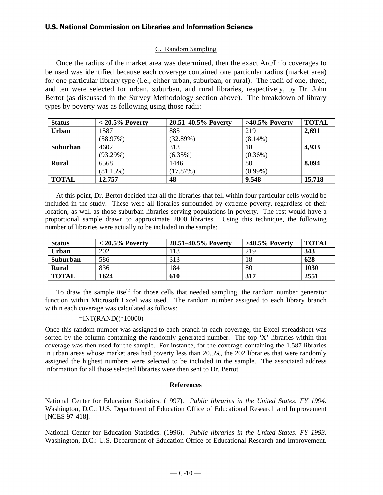### C. Random Sampling

Once the radius of the market area was determined, then the exact Arc/Info coverages to be used was identified because each coverage contained one particular radius (market area) for one particular library type (i.e., either urban, suburban, or rural). The radii of one, three, and ten were selected for urban, suburban, and rural libraries, respectively, by Dr. John Bertot (as discussed in the Survey Methodology section above). The breakdown of library types by poverty was as following using those radii:

| <b>Status</b> | $< 20.5\%$ Poverty | 20.51-40.5% Poverty | $>40.5\%$ Poverty | <b>TOTAL</b> |
|---------------|--------------------|---------------------|-------------------|--------------|
| <b>Urban</b>  | 1587               | 885                 | 219               | 2,691        |
|               | (58.97%)           | (32.89%)            | $(8.14\%)$        |              |
| Suburban      | 4602               | 313                 | 18                | 4,933        |
|               | (93.29%)           | $(6.35\%)$          | $(0.36\%)$        |              |
| <b>Rural</b>  | 6568               | 1446                | 80                | 8,094        |
|               | (81.15%)           | (17.87%)            | $(0.99\%)$        |              |
| <b>TOTAL</b>  | 12,757             | 48                  | 9,548             | 15,718       |

At this point, Dr. Bertot decided that all the libraries that fell within four particular cells would be included in the study. These were all libraries surrounded by extreme poverty, regardless of their location, as well as those suburban libraries serving populations in poverty. The rest would have a proportional sample drawn to approximate 2000 libraries. Using this technique, the following number of libraries were actually to be included in the sample:

| <b>Status</b>   | $< 20.5\%$ Poverty | 20.51–40.5% Poverty | $>40.5\%$ Poverty | <b>TOTAL</b> |
|-----------------|--------------------|---------------------|-------------------|--------------|
| <b>Urban</b>    | 202                | 113                 | 219               | 343          |
| <b>Suburban</b> | 586                | 313                 | 18                | 628          |
| Rural           | 836                | 184                 | 80                | 1030         |
| <b>TOTAL</b>    | 1624               | 610                 | 317               | 2551         |

To draw the sample itself for those cells that needed sampling, the random number generator function within Microsoft Excel was used. The random number assigned to each library branch within each coverage was calculated as follows:

### $=INT(RAND() * 10000)$

Once this random number was assigned to each branch in each coverage, the Excel spreadsheet was sorted by the column containing the randomly-generated number. The top 'X' libraries within that coverage was then used for the sample. For instance, for the coverage containing the 1,587 libraries in urban areas whose market area had poverty less than 20.5%, the 202 libraries that were randomly assigned the highest numbers were selected to be included in the sample. The associated address information for all those selected libraries were then sent to Dr. Bertot.

### **References**

National Center for Education Statistics. (1997). *Public libraries in the United States: FY 1994*. Washington, D.C.: U.S. Department of Education Office of Educational Research and Improvement [NCES 97-418].

National Center for Education Statistics. (1996). *Public libraries in the United States: FY 1993*. Washington, D.C.: U.S. Department of Education Office of Educational Research and Improvement.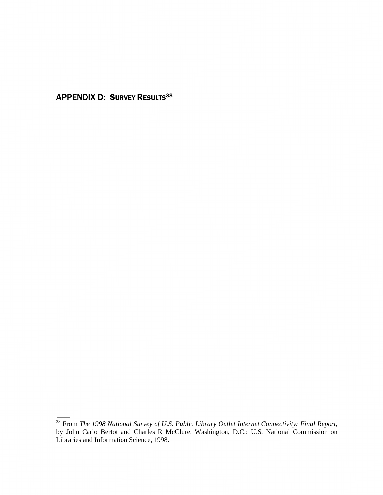**APPENDIX D: SURVEY RESULTS38** 

<sup>&</sup>lt;sup>38</sup> From *The 1998 National Survey of U.S. Public Library Outlet Internet Connectivity: Final Report, by John Carlo Bertot and Charles R McClure, Washington, D.C.: U.S. National Commission on Libraries and Information Sci*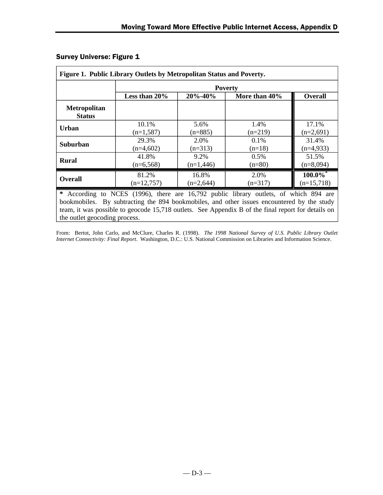|                                      |               |               | <b>Poverty</b> |                |
|--------------------------------------|---------------|---------------|----------------|----------------|
|                                      | Less than 20% | $20\% - 40\%$ | More than 40%  | <b>Overall</b> |
| <b>Metropolitan</b><br><b>Status</b> |               |               |                |                |
| <b>Urban</b>                         | 10.1%         | 5.6%          | 1.4%           | 17.1%          |
|                                      | $(n=1,587)$   | $(n=885)$     | $(n=219)$      | $(n=2,691)$    |
| <b>Suburban</b>                      | 29.3%         | 2.0%          | $0.1\%$        | 31.4%          |
|                                      | $(n=4,602)$   | $(n=313)$     | $(n=18)$       | $(n=4,933)$    |
| <b>Rural</b>                         | 41.8%         | 9.2%          | 0.5%           | 51.5%          |
|                                      | $(n=6,568)$   | $(n=1,446)$   | $(n=80)$       | $(n=8,094)$    |
| <b>Overall</b>                       | 81.2%         | 16.8%         | 2.0%           | $100.0\%$      |
|                                      | $(n=12,757)$  | $(n=2,644)$   | $(n=317)$      | $(n=15,718)$   |

# Survey Universe: Figure 1

**\*** According to NCES (1996), there are 16,792 public library outlets, of which 894 are bookmobiles. By subtracting the 894 bookmobiles, and other issues encountered by the study team, it was possible to geocode 15,718 outlets. See Appendix B of the final report for details on the outlet geocoding process.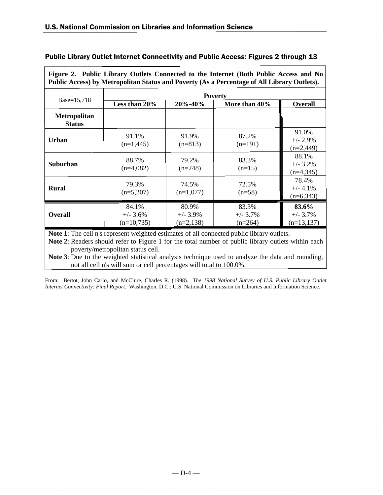Г

| Figure 2. Public Library Outlets Connected to the Internet (Both Public Access and No<br>Public Access) by Metropolitan Status and Poverty (As a Percentage of All Library Outlets). |                                     |                                     |                                  |                                      |  |  |  |
|--------------------------------------------------------------------------------------------------------------------------------------------------------------------------------------|-------------------------------------|-------------------------------------|----------------------------------|--------------------------------------|--|--|--|
|                                                                                                                                                                                      |                                     | <b>Poverty</b>                      |                                  |                                      |  |  |  |
| Base=15,718                                                                                                                                                                          | Less than 20%                       | 20%-40%                             | More than 40%                    | <b>Overall</b>                       |  |  |  |
| <b>Metropolitan</b><br><b>Status</b>                                                                                                                                                 |                                     |                                     |                                  |                                      |  |  |  |
| <b>Urban</b>                                                                                                                                                                         | 91.1%<br>$(n=1,445)$                | 91.9%<br>$(n=813)$                  | 87.2%<br>$(n=191)$               | 91.0%<br>$+/- 2.9\%$<br>$(n=2,449)$  |  |  |  |
| Suburban                                                                                                                                                                             | 88.7%<br>$(n=4,082)$                | 79.2%<br>$(n=248)$                  | 83.3%<br>$(n=15)$                | 88.1%<br>$+/- 3.2%$<br>$(n=4,345)$   |  |  |  |
| <b>Rural</b>                                                                                                                                                                         | 79.3%<br>$(n=5,207)$                | 74.5%<br>$(n=1,077)$                | 72.5%<br>$(n=58)$                | 78.4%<br>$+/- 4.1%$<br>$(n=6,343)$   |  |  |  |
| <b>Overall</b>                                                                                                                                                                       | 84.1%<br>$+/- 3.6%$<br>$(n=10,735)$ | 80.9%<br>$+/- 3.9\%$<br>$(n=2,138)$ | 83.3%<br>$+/- 3.7%$<br>$(n=264)$ | 83.6%<br>$+/- 3.7%$<br>$(n=13, 137)$ |  |  |  |

# Public Library Outlet Internet Connectivity and Public Access: Figures 2 through 13

**Note 1**: The cell n's represent weighted estimates of all connected public library outlets.

**Note 2**: Readers should refer to Figure 1 for the total number of public library outlets within each poverty/metropolitan status cell.

**Note 3**: Due to the weighted statistical analysis technique used to analyze the data and rounding, not all cell n's will sum or cell percentages will total to 100.0%.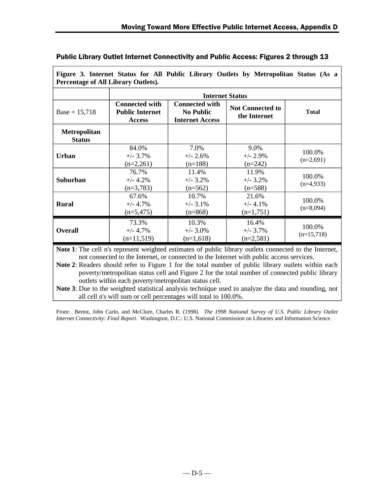|                                      | <b>Internet Status</b>                                           |                                                                     |                                         |                        |  |  |
|--------------------------------------|------------------------------------------------------------------|---------------------------------------------------------------------|-----------------------------------------|------------------------|--|--|
| $Base = 15,718$                      | <b>Connected with</b><br><b>Public Internet</b><br><b>Access</b> | <b>Connected with</b><br><b>No Public</b><br><b>Internet Access</b> | <b>Not Connected to</b><br>the Internet | <b>Total</b>           |  |  |
| <b>Metropolitan</b><br><b>Status</b> |                                                                  |                                                                     |                                         |                        |  |  |
| <b>Urban</b>                         | 84.0%<br>$+/- 3.7\%$<br>$(n=2,261)$                              | 7.0%<br>$+/- 2.6%$<br>$(n=188)$                                     | 9.0%<br>$+/- 2.9%$<br>$(n=242)$         | 100.0%<br>$(n=2,691)$  |  |  |
| Suburban                             | 76.7%<br>$+/- 4.2%$<br>$(n=3,783)$                               | 11.4%<br>$+/- 3.2\%$<br>$(n=562)$                                   | 11.9%<br>$+/- 3.2%$<br>$(n=588)$        | 100.0%<br>$(n=4,933)$  |  |  |
| <b>Rural</b>                         | 67.6%<br>$+/- 4.7%$<br>$(n=5,475)$                               | 10.7%<br>$+/- 3.1\%$<br>$(n=868)$                                   | 21.6%<br>$+/- 4.1%$<br>$(n=1,751)$      | 100.0%<br>$(n=8,094)$  |  |  |
| <b>Overall</b>                       | 73.3%<br>$+/- 4.7%$<br>$(n=11,519)$                              | 10.3%<br>$+/- 3.0\%$<br>$(n=1,618)$                                 | 16.4%<br>$+/- 3.7\%$<br>$(n=2,581)$     | 100.0%<br>$(n=15,718)$ |  |  |

**Figure 3. Internet Status for All Public Library Outlets by Metropolitan Status (As a**

not connected to the Internet, or connected to the Internet with public access services.

**Note 2**: Readers should refer to Figure 1 for the total number of public library outlets within each poverty/metropolitan status cell and Figure 2 for the total number of connected public library outlets within each poverty/metropolitan status cell.

**Note 3**: Due to the weighted statistical analysis technique used to analyze the data and rounding, not all cell n's will sum or cell percentages will total to 100.0%.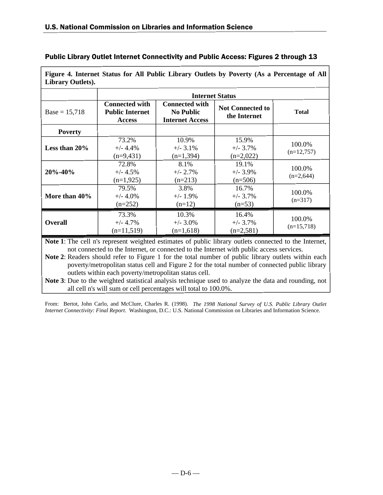| <b>Library Outlets).</b> |                                                                  |                                                                     |                                         |                        |  |
|--------------------------|------------------------------------------------------------------|---------------------------------------------------------------------|-----------------------------------------|------------------------|--|
|                          | <b>Internet Status</b>                                           |                                                                     |                                         |                        |  |
| $Base = 15,718$          | <b>Connected with</b><br><b>Public Internet</b><br><b>Access</b> | <b>Connected with</b><br><b>No Public</b><br><b>Internet Access</b> | <b>Not Connected to</b><br>the Internet | <b>Total</b>           |  |
| <b>Poverty</b>           |                                                                  |                                                                     |                                         |                        |  |
| Less than 20%            | 73.2%<br>$+/- 4.4%$<br>$(n=9,431)$                               | 10.9%<br>$+/-$ 3.1%<br>$(n=1,394)$                                  | 15.9%<br>$+/- 3.7\%$<br>$(n=2,022)$     | 100.0%<br>$(n=12,757)$ |  |
| $20\% - 40\%$            | 72.8%<br>$+/- 4.5%$<br>$(n=1,925)$                               | 8.1%<br>$+/- 2.7\%$<br>$(n=213)$                                    | 19.1%<br>$+/- 3.9\%$<br>$(n=506)$       | 100.0%<br>$(n=2,644)$  |  |
| More than 40%            | 79.5%<br>$+/- 4.0%$<br>$(n=252)$                                 | 3.8%<br>$+/- 1.9\%$<br>$(n=12)$                                     | 16.7%<br>$+/- 3.7\%$<br>$(n=53)$        | 100.0%<br>$(n=317)$    |  |
| <b>Overall</b>           | 73.3%<br>$+/- 4.7\%$<br>$(n=11,519)$                             | 10.3%<br>$+/- 3.0\%$<br>$(n=1,618)$                                 | 16.4%<br>$+/- 3.7\%$<br>$(n=2,581)$     | 100.0%<br>$(n=15,718)$ |  |

**Figure 4. Internet Status for All Public Library Outlets by Poverty (As a Percentage of All**

**Note 1**: The cell n's represent weighted estimates of public library outlets connected to the Internet, not connected to the Internet, or connected to the Internet with public access services.

**Note 2**: Readers should refer to Figure 1 for the total number of public library outlets within each poverty/metropolitan status cell and Figure 2 for the total number of connected public library outlets within each poverty/metropolitan status cell.

**Note 3**: Due to the weighted statistical analysis technique used to analyze the data and rounding, not all cell n's will sum or cell percentages will total to 100.0%.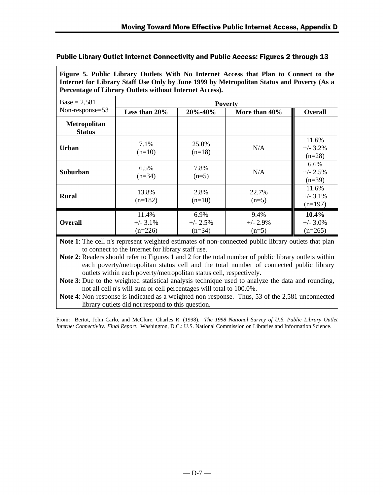| Figure 5. Public Library Outlets With No Internet Access that Plan to Connect to the      |
|-------------------------------------------------------------------------------------------|
| Internet for Library Staff Use Only by June 1999 by Metropolitan Status and Poverty (As a |
| <b>Percentage of Library Outlets without Internet Access).</b>                            |

| $Base = 2,581$                       | <b>Poverty</b>                    |                                |                               |                                   |  |
|--------------------------------------|-----------------------------------|--------------------------------|-------------------------------|-----------------------------------|--|
| Non-response=53                      | Less than 20%                     | $20\% - 40\%$                  | More than 40%                 | <b>Overall</b>                    |  |
| <b>Metropolitan</b><br><b>Status</b> |                                   |                                |                               |                                   |  |
| Urban                                | 7.1%<br>$(n=10)$                  | 25.0%<br>$(n=18)$              | N/A                           | 11.6%<br>$+/- 3.2%$<br>$(n=28)$   |  |
| <b>Suburban</b>                      | 6.5%<br>$(n=34)$                  | 7.8%<br>$(n=5)$                | N/A                           | 6.6%<br>$+/- 2.5%$<br>$(n=39)$    |  |
| <b>Rural</b>                         | 13.8%<br>$(n=182)$                | 2.8%<br>$(n=10)$               | 22.7%<br>$(n=5)$              | 11.6%<br>$+/- 3.1%$<br>$(n=197)$  |  |
| <b>Overall</b>                       | 11.4%<br>$+/- 3.1\%$<br>$(n=226)$ | 6.9%<br>$+/- 2.5%$<br>$(n=34)$ | 9.4%<br>$+/- 2.9%$<br>$(n=5)$ | 10.4%<br>$+/- 3.0\%$<br>$(n=265)$ |  |

**Note 1**: The cell n's represent weighted estimates of non-connected public library outlets that plan to connect to the Internet for library staff use.

**Note 2**: Readers should refer to Figures 1 and 2 for the total number of public library outlets within each poverty/metropolitan status cell and the total number of connected public library outlets within each poverty/metropolitan status cell, respectively.

**Note 3**: Due to the weighted statistical analysis technique used to analyze the data and rounding, not all cell n's will sum or cell percentages will total to 100.0%.

**Note 4**: Non-response is indicated as a weighted non-response. Thus, 53 of the 2,581 unconnected library outlets did not respond to this question.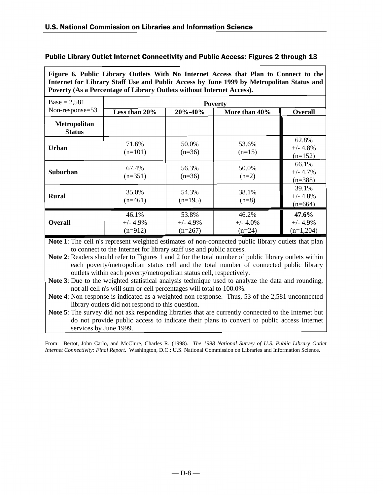| $\mathbf{v}$ . Tanz England<br>Internet for Library Staff Use and Public Access by June 1999 by Metropolitan Status and<br>Poverty (As a Percentage of Library Outlets without Internet Access). |                                   |                                  |                                  |                                    |
|--------------------------------------------------------------------------------------------------------------------------------------------------------------------------------------------------|-----------------------------------|----------------------------------|----------------------------------|------------------------------------|
| $Base = 2,581$                                                                                                                                                                                   |                                   |                                  | <b>Poverty</b>                   |                                    |
| Non-response=53                                                                                                                                                                                  | Less than 20%                     | 20%-40%                          | More than 40%                    | <b>Overall</b>                     |
| <b>Metropolitan</b><br><b>Status</b>                                                                                                                                                             |                                   |                                  |                                  |                                    |
| <b>Urban</b>                                                                                                                                                                                     | 71.6%<br>$(n=101)$                | 50.0%<br>$(n=36)$                | 53.6%<br>$(n=15)$                | 62.8%<br>$+/- 4.8%$<br>$(n=152)$   |
| <b>Suburban</b>                                                                                                                                                                                  | 67.4%<br>$(n=351)$                | 56.3%<br>$(n=36)$                | 50.0%<br>$(n=2)$                 | 66.1%<br>$+/- 4.7%$<br>$(n=388)$   |
| <b>Rural</b>                                                                                                                                                                                     | 35.0%<br>$(n=461)$                | 54.3%<br>$(n=195)$               | 38.1%<br>$(n=8)$                 | 39.1%<br>$+/- 4.8%$<br>$(n=664)$   |
| <b>Overall</b>                                                                                                                                                                                   | 46.1%<br>$+/- 4.9\%$<br>$(n=912)$ | 53.8%<br>$+/- 4.9%$<br>$(n=267)$ | 46.2%<br>$+/- 4.0\%$<br>$(n=24)$ | 47.6%<br>$+/- 4.9%$<br>$(n=1,204)$ |

**Figure 6. Public Library Outlets With No Internet Access that Plan to Connect to the**

**Note 1**: The cell n's represent weighted estimates of non-connected public library outlets that plan to connect to the Internet for library staff use and public access.

**Note 2**: Readers should refer to Figures 1 and 2 for the total number of public library outlets within each poverty/metropolitan status cell and the total number of connected public library outlets within each poverty/metropolitan status cell, respectively.

**Note 3**: Due to the weighted statistical analysis technique used to analyze the data and rounding, not all cell n's will sum or cell percentages will total to 100.0%.

**Note 4**: Non-response is indicated as a weighted non-response. Thus, 53 of the 2,581 unconnected library outlets did not respond to this question.

**Note 5**: The survey did not ask responding libraries that are currently connected to the Internet but do not provide public access to indicate their plans to convert to public access Internet services by June 1999.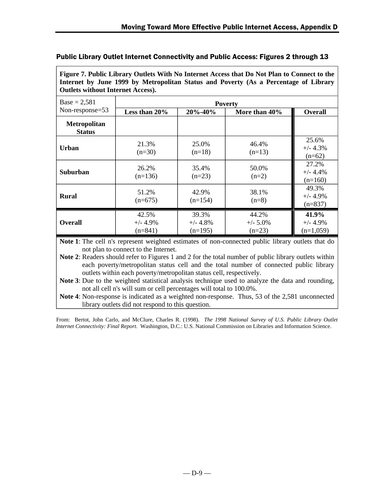| Figure 7. Public Library Outlets With No Internet Access that Do Not Plan to Connect to the |
|---------------------------------------------------------------------------------------------|
| Internet by June 1999 by Metropolitan Status and Poverty (As a Percentage of Library        |
| <b>Outlets without Internet Access).</b>                                                    |

| $Base = 2,581$                       | <b>Poverty</b>                   |                                   |                                  |                                    |  |
|--------------------------------------|----------------------------------|-----------------------------------|----------------------------------|------------------------------------|--|
| Non-response=53                      | Less than 20%                    | $20\% - 40\%$                     | More than 40%                    | <b>Overall</b>                     |  |
| <b>Metropolitan</b><br><b>Status</b> |                                  |                                   |                                  |                                    |  |
| Urban                                | 21.3%<br>$(n=30)$                | 25.0%<br>$(n=18)$                 | 46.4%<br>$(n=13)$                | 25.6%<br>$+/- 4.3%$<br>$(n=62)$    |  |
| <b>Suburban</b>                      | 26.2%<br>$(n=136)$               | 35.4%<br>$(n=23)$                 | 50.0%<br>$(n=2)$                 | 27.2%<br>$+/- 4.4%$<br>$(n=160)$   |  |
| <b>Rural</b>                         | 51.2%<br>$(n=675)$               | 42.9%<br>$(n=154)$                | 38.1%<br>$(n=8)$                 | 49.3%<br>$+/- 4.9%$<br>$(n=837)$   |  |
| <b>Overall</b>                       | 42.5%<br>$+/- 4.9%$<br>$(n=841)$ | 39.3%<br>$+/- 4.8\%$<br>$(n=195)$ | 44.2%<br>$+/- 5.0\%$<br>$(n=23)$ | 41.9%<br>$+/- 4.9%$<br>$(n=1,059)$ |  |

**Note 1**: The cell n's represent weighted estimates of non-connected public library outlets that do not plan to connect to the Internet.

**Note 2**: Readers should refer to Figures 1 and 2 for the total number of public library outlets within each poverty/metropolitan status cell and the total number of connected public library outlets within each poverty/metropolitan status cell, respectively.

**Note 3**: Due to the weighted statistical analysis technique used to analyze the data and rounding, not all cell n's will sum or cell percentages will total to 100.0%.

**Note 4**: Non-response is indicated as a weighted non-response. Thus, 53 of the 2,581 unconnected library outlets did not respond to this question.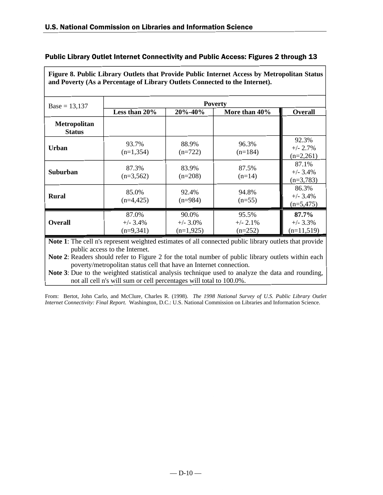| Figure 8. Public Library Outlets that Provide Public Internet Access by Metropolitan Status<br>and Poverty (As a Percentage of Library Outlets Connected to the Internet). |                                     |                                     |                                   |                                      |
|----------------------------------------------------------------------------------------------------------------------------------------------------------------------------|-------------------------------------|-------------------------------------|-----------------------------------|--------------------------------------|
| $Base = 13,137$                                                                                                                                                            |                                     |                                     | <b>Poverty</b>                    |                                      |
|                                                                                                                                                                            | Less than 20%                       | 20%-40%                             | More than 40%                     | <b>Overall</b>                       |
| <b>Metropolitan</b><br><b>Status</b>                                                                                                                                       |                                     |                                     |                                   |                                      |
| <b>Urban</b>                                                                                                                                                               | 93.7%<br>$(n=1,354)$                | 88.9%<br>$(n=722)$                  | 96.3%<br>$(n=184)$                | 92.3%<br>$+/- 2.7\%$<br>$(n=2,261)$  |
| <b>Suburban</b>                                                                                                                                                            | 87.3%<br>$(n=3,562)$                | 83.9%<br>$(n=208)$                  | 87.5%<br>$(n=14)$                 | 87.1%<br>$+/- 3.4%$<br>$(n=3,783)$   |
| <b>Rural</b>                                                                                                                                                               | 85.0%<br>$(n=4,425)$                | 92.4%<br>$(n=984)$                  | 94.8%<br>$(n=55)$                 | 86.3%<br>$+/- 3.4\%$<br>$(n=5,475)$  |
| <b>Overall</b>                                                                                                                                                             | 87.0%<br>$+/- 3.4\%$<br>$(n=9,341)$ | 90.0%<br>$+/- 3.0\%$<br>$(n=1,925)$ | 95.5%<br>$+/- 2.1\%$<br>$(n=252)$ | 87.7%<br>$+/- 3.3\%$<br>$(n=11,519)$ |

**Note 1**: The cell n's represent weighted estimates of all connected public library outlets that provide public access to the Internet.

**Note 2**: Readers should refer to Figure 2 for the total number of public library outlets within each poverty/metropolitan status cell that have an Internet connection.

**Note 3**: Due to the weighted statistical analysis technique used to analyze the data and rounding, not all cell n's will sum or cell percentages will total to 100.0%.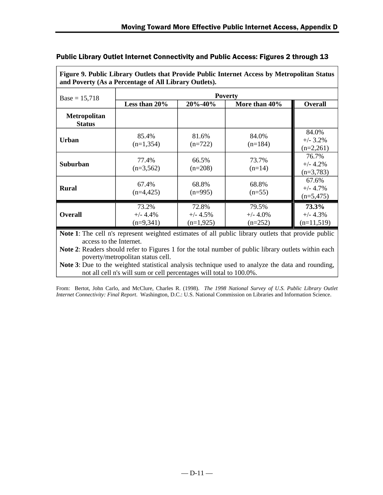| and Poverty (As a Percentage of All Library Outlets). |                                    |                                    |                                   |                                     |
|-------------------------------------------------------|------------------------------------|------------------------------------|-----------------------------------|-------------------------------------|
| $Base = 15,718$                                       | <b>Poverty</b>                     |                                    |                                   |                                     |
|                                                       | Less than 20%                      | 20%-40%                            | More than 40%                     | <b>Overall</b>                      |
| <b>Metropolitan</b><br><b>Status</b>                  |                                    |                                    |                                   |                                     |
| Urban                                                 | 85.4%<br>$(n=1,354)$               | 81.6%<br>$(n=722)$                 | 84.0%<br>$(n=184)$                | 84.0%<br>$+/- 3.2\%$<br>$(n=2,261)$ |
| Suburban                                              | 77.4%<br>$(n=3,562)$               | 66.5%<br>$(n=208)$                 | 73.7%<br>$(n=14)$                 | 76.7%<br>$+/- 4.2%$<br>$(n=3,783)$  |
| <b>Rural</b>                                          | 67.4%<br>$(n=4,425)$               | 68.8%<br>$(n=995)$                 | 68.8%<br>$(n=55)$                 | 67.6%<br>$+/- 4.7%$<br>$(n=5,475)$  |
| <b>Overall</b>                                        | 73.2%<br>$+/- 4.4%$<br>$(n=9,341)$ | 72.8%<br>$+/- 4.5%$<br>$(n=1,925)$ | 79.5%<br>$+/- 4.0\%$<br>$(n=252)$ | 73.3%<br>$+/- 4.3%$<br>$(n=11,519)$ |

**Figure 9. Public Library Outlets that Provide Public Internet Access by Metropolitan Status**

**Note 1**: The cell n's represent weighted estimates of all public library outlets that provide public access to the Internet.

**Note 2**: Readers should refer to Figures 1 for the total number of public library outlets within each poverty/metropolitan status cell.

**Note 3**: Due to the weighted statistical analysis technique used to analyze the data and rounding, not all cell n's will sum or cell percentages will total to 100.0%.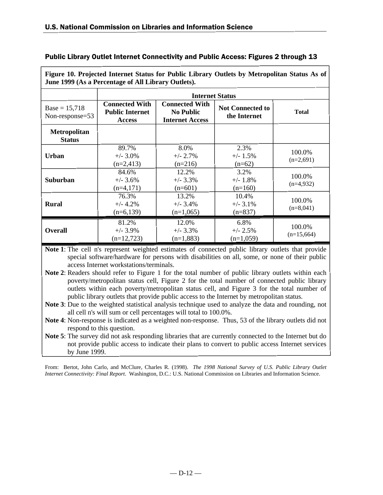| June 1999 (As a Percentage of All Library Outlets). |                                                                  |                                                                     |                                         |                        |
|-----------------------------------------------------|------------------------------------------------------------------|---------------------------------------------------------------------|-----------------------------------------|------------------------|
|                                                     |                                                                  |                                                                     | <b>Internet Status</b>                  |                        |
| $Base = 15,718$<br>Non-response=53                  | <b>Connected With</b><br><b>Public Internet</b><br><b>Access</b> | <b>Connected With</b><br><b>No Public</b><br><b>Internet Access</b> | <b>Not Connected to</b><br>the Internet | <b>Total</b>           |
| <b>Metropolitan</b><br><b>Status</b>                |                                                                  |                                                                     |                                         |                        |
| <b>Urban</b>                                        | 89.7%<br>$+/- 3.0\%$<br>$(n=2,413)$                              | 8.0%<br>$+/- 2.7%$<br>$(n=216)$                                     | 2.3%<br>$+/- 1.5%$<br>$(n=62)$          | 100.0%<br>$(n=2,691)$  |
| Suburban                                            | 84.6%<br>$+/- 3.6%$<br>$(n=4,171)$                               | 12.2%<br>$+/- 3.3%$<br>$(n=601)$                                    | 3.2%<br>$+/- 1.8%$<br>$(n=160)$         | 100.0%<br>$(n=4,932)$  |
| <b>Rural</b>                                        | 76.3%<br>$+/- 4.2\%$<br>$(n=6,139)$                              | 13.2%<br>$+/- 3.4\%$<br>$(n=1,065)$                                 | 10.4%<br>$+/- 3.1\%$<br>$(n=837)$       | 100.0%<br>$(n=8,041)$  |
| <b>Overall</b>                                      | 81.2%<br>$+/- 3.9%$<br>$(n=12,723)$                              | 12.0%<br>$+/- 3.3%$<br>$(n=1,883)$                                  | 6.8%<br>$+/- 2.5%$<br>$(n=1,059)$       | 100.0%<br>$(n=15,664)$ |

**Figure 10. Projected Internet Status for Public Library Outlets by Metropolitan Status As of**

**Note 1**: The cell n's represent weighted estimates of connected public library outlets that provide special software/hardware for persons with disabilities on all, some, or none of their public access Internet workstations/terminals.

**Note 2**: Readers should refer to Figure 1 for the total number of public library outlets within each poverty/metropolitan status cell, Figure 2 for the total number of connected public library outlets within each poverty/metropolitan status cell, and Figure 3 for the total number of public library outlets that provide public access to the Internet by metropolitan status.

**Note 3**: Due to the weighted statistical analysis technique used to analyze the data and rounding, not all cell n's will sum or cell percentages will total to 100.0%.

**Note 4**: Non-response is indicated as a weighted non-response. Thus, 53 of the library outlets did not respond to this question.

**Note 5**: The survey did not ask responding libraries that are currently connected to the Internet but do not provide public access to indicate their plans to convert to public access Internet services by June 1999.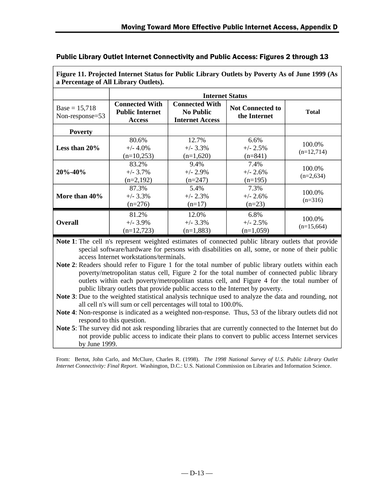| a Percentage of All Library Outlets). |                                                                  |                                                                     |                                         |                        |  |
|---------------------------------------|------------------------------------------------------------------|---------------------------------------------------------------------|-----------------------------------------|------------------------|--|
|                                       | <b>Internet Status</b>                                           |                                                                     |                                         |                        |  |
| $Base = 15,718$<br>Non-response=53    | <b>Connected With</b><br><b>Public Internet</b><br><b>Access</b> | <b>Connected With</b><br><b>No Public</b><br><b>Internet Access</b> | <b>Not Connected to</b><br>the Internet | <b>Total</b>           |  |
| <b>Poverty</b>                        |                                                                  |                                                                     |                                         |                        |  |
| Less than $20\%$                      | 80.6%<br>$+/- 4.0\%$<br>$(n=10,253)$                             | 12.7%<br>$+/- 3.3\%$<br>$(n=1,620)$                                 | 6.6%<br>$+/- 2.5\%$<br>$(n=841)$        | 100.0%<br>$(n=12,714)$ |  |
| $20\% - 40\%$                         | 83.2%<br>$+/- 3.7\%$<br>$(n=2,192)$                              | 9.4%<br>$+/- 2.9\%$<br>$(n=247)$                                    | 7.4%<br>$+/- 2.6%$<br>$(n=195)$         | 100.0%<br>$(n=2,634)$  |  |
| More than 40%                         | 87.3%<br>$+/- 3.3\%$<br>$(n=276)$                                | 5.4%<br>$+/- 2.3\%$<br>$(n=17)$                                     | 7.3%<br>$+/- 2.6%$<br>$(n=23)$          | 100.0%<br>$(n=316)$    |  |
| <b>Overall</b>                        | 81.2%<br>$+/- 3.9\%$<br>$(n=12,723)$                             | 12.0%<br>$+/- 3.3\%$<br>$(n=1,883)$                                 | 6.8%<br>$+/- 2.5\%$<br>$(n=1,059)$      | 100.0%<br>$(n=15,664)$ |  |

**Figure 11. Projected Internet Status for Public Library Outlets by Poverty As of June 1999 (As**

**Note 1**: The cell n's represent weighted estimates of connected public library outlets that provide special software/hardware for persons with disabilities on all, some, or none of their public access Internet workstations/terminals.

**Note 2**: Readers should refer to Figure 1 for the total number of public library outlets within each poverty/metropolitan status cell, Figure 2 for the total number of connected public library outlets within each poverty/metropolitan status cell, and Figure 4 for the total number of public library outlets that provide public access to the Internet by poverty.

**Note 3**: Due to the weighted statistical analysis technique used to analyze the data and rounding, not all cell n's will sum or cell percentages will total to 100.0%.

**Note 4**: Non-response is indicated as a weighted non-response. Thus, 53 of the library outlets did not respond to this question.

**Note 5**: The survey did not ask responding libraries that are currently connected to the Internet but do not provide public access to indicate their plans to convert to public access Internet services by June 1999.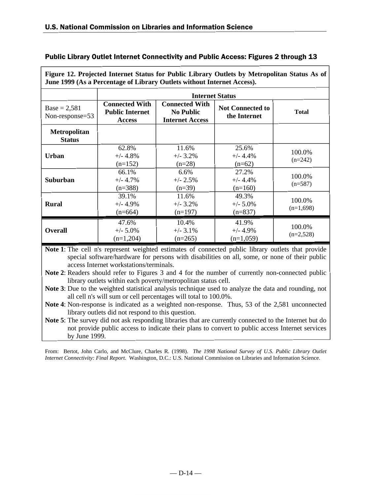| June 1999 (As a Percentage of Library Outlets without Internet Access). |                                                                  |                                                                                                                                |                                    |                       |  |  |  |
|-------------------------------------------------------------------------|------------------------------------------------------------------|--------------------------------------------------------------------------------------------------------------------------------|------------------------------------|-----------------------|--|--|--|
|                                                                         |                                                                  |                                                                                                                                | <b>Internet Status</b>             |                       |  |  |  |
| $Base = 2,581$<br>Non-response=53                                       | <b>Connected With</b><br><b>Public Internet</b><br><b>Access</b> | <b>Connected With</b><br><b>Not Connected to</b><br><b>No Public</b><br><b>Total</b><br>the Internet<br><b>Internet Access</b> |                                    |                       |  |  |  |
| <b>Metropolitan</b><br><b>Status</b>                                    |                                                                  |                                                                                                                                |                                    |                       |  |  |  |
| Urban                                                                   | 62.8%<br>$+/- 4.8%$<br>$(n=152)$                                 | 11.6%<br>$+/- 3.2\%$<br>$(n=28)$                                                                                               | 25.6%<br>$+/- 4.4%$<br>$(n=62)$    | 100.0%<br>$(n=242)$   |  |  |  |
| Suburban                                                                | 66.1%<br>$+/- 4.7%$<br>$(n=388)$                                 | 6.6%<br>$+/- 2.5%$<br>$(n=39)$                                                                                                 | 27.2%<br>$+/- 4.4%$<br>$(n=160)$   | 100.0%<br>$(n=587)$   |  |  |  |
| <b>Rural</b>                                                            | 39.1%<br>$+/- 4.9\%$<br>$(n=664)$                                | 11.6%<br>$+/- 3.2\%$<br>$(n=197)$                                                                                              | 49.3%<br>$+/- 5.0\%$<br>$(n=837)$  | 100.0%<br>$(n=1,698)$ |  |  |  |
| <b>Overall</b>                                                          | 47.6%<br>$+/- 5.0\%$<br>$(n=1,204)$                              | 10.4%<br>$+/- 3.1\%$<br>$(n=265)$                                                                                              | 41.9%<br>$+/- 4.9%$<br>$(n=1,059)$ | 100.0%<br>$(n=2,528)$ |  |  |  |

**Figure 12. Projected Internet Status for Public Library Outlets by Metropolitan Status As of**

**Note 1**: The cell n's represent weighted estimates of connected public library outlets that provide special software/hardware for persons with disabilities on all, some, or none of their public access Internet workstations/terminals.

**Note 2**: Readers should refer to Figures 3 and 4 for the number of currently non-connected public library outlets within each poverty/metropolitan status cell.

**Note 3**: Due to the weighted statistical analysis technique used to analyze the data and rounding, not all cell n's will sum or cell percentages will total to 100.0%.

**Note 4**: Non-response is indicated as a weighted non-response. Thus, 53 of the 2,581 unconnected library outlets did not respond to this question.

**Note 5**: The survey did not ask responding libraries that are currently connected to the Internet but do not provide public access to indicate their plans to convert to public access Internet services by June 1999.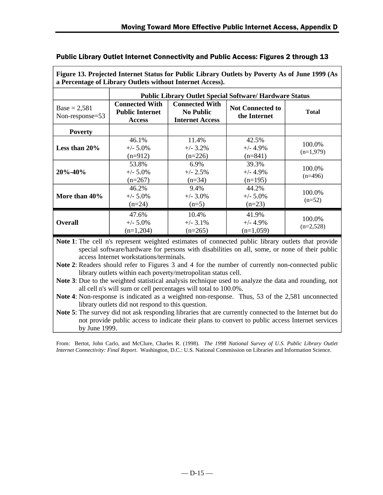| Figure 13. Projected Internet Status for Public Library Outlets by Poverty As of June 1999 (As<br>a Percentage of Library Outlets without Internet Access). |                                                                  |                                                                     |                                                                |                       |  |
|-------------------------------------------------------------------------------------------------------------------------------------------------------------|------------------------------------------------------------------|---------------------------------------------------------------------|----------------------------------------------------------------|-----------------------|--|
|                                                                                                                                                             |                                                                  |                                                                     | <b>Public Library Outlet Special Software/ Hardware Status</b> |                       |  |
| $Base = 2,581$<br>Non-response=53                                                                                                                           | <b>Connected With</b><br><b>Public Internet</b><br><b>Access</b> | <b>Connected With</b><br><b>No Public</b><br><b>Internet Access</b> | <b>Not Connected to</b><br>the Internet                        | <b>Total</b>          |  |
| <b>Poverty</b>                                                                                                                                              |                                                                  |                                                                     |                                                                |                       |  |
| Less than $20\%$                                                                                                                                            | 46.1%<br>$+/- 5.0\%$<br>$(n=912)$                                | 11.4%<br>$+/- 3.2\%$<br>$(n=226)$                                   | 42.5%<br>$+/- 4.9%$<br>$(n=841)$                               | 100.0%<br>$(n=1,979)$ |  |
| $20\% - 40\%$                                                                                                                                               | 53.8%<br>$+/- 5.0\%$<br>$(n=267)$                                | 6.9%<br>$+/- 2.5%$<br>$(n=34)$                                      | 39.3%<br>$+/- 4.9%$<br>$(n=195)$                               | 100.0%<br>$(n=496)$   |  |
| More than 40%                                                                                                                                               | 46.2%<br>$+/- 5.0\%$<br>$(n=24)$                                 | 9.4%<br>$+/- 3.0\%$<br>$(n=5)$                                      | 44.2%<br>$+/- 5.0\%$<br>$(n=23)$                               | 100.0%<br>$(n=52)$    |  |
| <b>Overall</b>                                                                                                                                              | 47.6%<br>$+/- 5.0\%$<br>$(n=1,204)$                              | 10.4%<br>$+/-$ 3.1%<br>$(n=265)$                                    | 41.9%<br>$+/- 4.9%$<br>$(n=1,059)$                             | 100.0%<br>$(n=2,528)$ |  |

**Note 1**: The cell n's represent weighted estimates of connected public library outlets that provide special software/hardware for persons with disabilities on all, some, or none of their public access Internet workstations/terminals.

**Note 2**: Readers should refer to Figures 3 and 4 for the number of currently non-connected public library outlets within each poverty/metropolitan status cell.

**Note 3**: Due to the weighted statistical analysis technique used to analyze the data and rounding, not all cell n's will sum or cell percentages will total to 100.0%.

**Note 4**: Non-response is indicated as a weighted non-response. Thus, 53 of the 2,581 unconnected library outlets did not respond to this question.

**Note 5**: The survey did not ask responding libraries that are currently connected to the Internet but do not provide public access to indicate their plans to convert to public access Internet services by June 1999.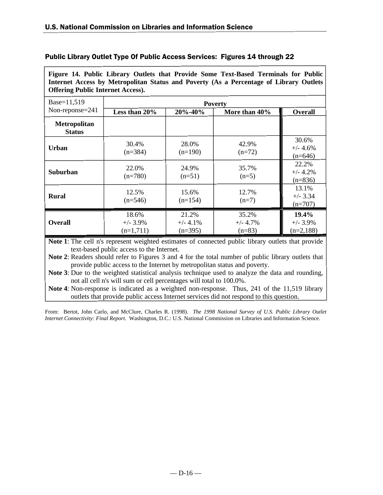| Public Library Outlet Type Of Public Access Services: Figures 14 through 22 |  |  |
|-----------------------------------------------------------------------------|--|--|
|-----------------------------------------------------------------------------|--|--|

**Figure 14. Public Library Outlets that Provide Some Text-Based Terminals for Public Internet Access by Metropolitan Status and Poverty (As a Percentage of Library Outlets Offering Public Internet Access).**

| Base=11,519                          | <b>Poverty</b>                      |                                   |                                 |                                     |  |
|--------------------------------------|-------------------------------------|-----------------------------------|---------------------------------|-------------------------------------|--|
| Non-reponse $=$ 241                  | Less than 20%                       | 20%-40%                           | More than 40%                   | Overall                             |  |
| <b>Metropolitan</b><br><b>Status</b> |                                     |                                   |                                 |                                     |  |
| Urban                                | 30.4%<br>$(n=384)$                  | 28.0%<br>$(n=190)$                | 42.9%<br>$(n=72)$               | 30.6%<br>$+/- 4.6%$<br>$(n=646)$    |  |
| <b>Suburban</b>                      | 22.0%<br>$(n=780)$                  | 24.9%<br>$(n=51)$                 | 35.7%<br>$(n=5)$                | 22.2%<br>$+/- 4.2%$<br>$(n=836)$    |  |
| <b>Rural</b>                         | 12.5%<br>$(n=546)$                  | 15.6%<br>$(n=154)$                | 12.7%<br>$(n=7)$                | 13.1%<br>$+/- 3.34$<br>$(n=707)$    |  |
| <b>Overall</b>                       | 18.6%<br>$+/- 3.9\%$<br>$(n=1,711)$ | 21.2%<br>$+/- 4.1\%$<br>$(n=395)$ | 35.2%<br>$+/- 4.7%$<br>$(n=83)$ | 19.4%<br>$+/- 3.9\%$<br>$(n=2,188)$ |  |

**Note 1**: The cell n's represent weighted estimates of connected public library outlets that provide text-based public access to the Internet.

**Note 2**: Readers should refer to Figures 3 and 4 for the total number of public library outlets that provide public access to the Internet by metropolitan status and poverty.

**Note 3**: Due to the weighted statistical analysis technique used to analyze the data and rounding, not all cell n's will sum or cell percentages will total to 100.0%.

**Note 4**: Non-response is indicated as a weighted non-response. Thus, 241 of the 11,519 library outlets that provide public access Internet services did not respond to this question.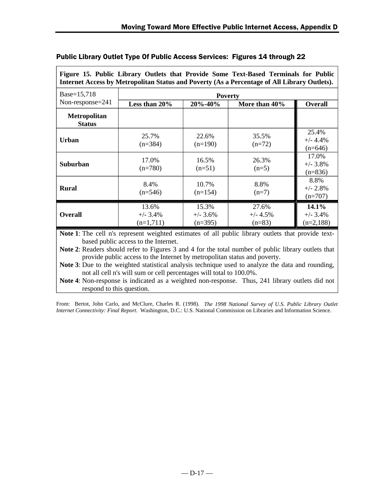| Internet Access by Metropolitan Status and Poverty (As a Percentage of All Library Outlets). |                                     |                                  |                                 |                                     |
|----------------------------------------------------------------------------------------------|-------------------------------------|----------------------------------|---------------------------------|-------------------------------------|
| Base=15,718                                                                                  | <b>Poverty</b>                      |                                  |                                 |                                     |
| Non-response=241                                                                             | Less than 20%                       | 20%-40%                          | More than 40%                   | <b>Overall</b>                      |
| <b>Metropolitan</b><br><b>Status</b>                                                         |                                     |                                  |                                 |                                     |
| Urban                                                                                        | 25.7%<br>$(n=384)$                  | 22.6%<br>$(n=190)$               | 35.5%<br>$(n=72)$               | 25.4%<br>$+/- 4.4%$<br>$(n=646)$    |
| Suburban                                                                                     | 17.0%<br>$(n=780)$                  | 16.5%<br>$(n=51)$                | 26.3%<br>$(n=5)$                | 17.0%<br>$+/- 3.8\%$<br>$(n=836)$   |
| <b>Rural</b>                                                                                 | 8.4%<br>$(n=546)$                   | 10.7%<br>$(n=154)$               | 8.8%<br>$(n=7)$                 | 8.8%<br>$+/- 2.8\%$<br>$(n=707)$    |
| <b>Overall</b>                                                                               | 13.6%<br>$+/- 3.4\%$<br>$(n=1,711)$ | 15.3%<br>$+/- 3.6%$<br>$(n=395)$ | 27.6%<br>$+/- 4.5%$<br>$(n=83)$ | 14.1%<br>$+/- 3.4\%$<br>$(n=2,188)$ |

**Figure 15. Public Library Outlets that Provide Some Text-Based Terminals for Public**

# Public Library Outlet Type Of Public Access Services: Figures 14 through 22

**Note 1**: The cell n's represent weighted estimates of all public library outlets that provide textbased public access to the Internet.

**Note 2**: Readers should refer to Figures 3 and 4 for the total number of public library outlets that provide public access to the Internet by metropolitan status and poverty.

**Note 3**: Due to the weighted statistical analysis technique used to analyze the data and rounding, not all cell n's will sum or cell percentages will total to 100.0%.

**Note 4**: Non-response is indicated as a weighted non-response. Thus, 241 library outlets did not respond to this question.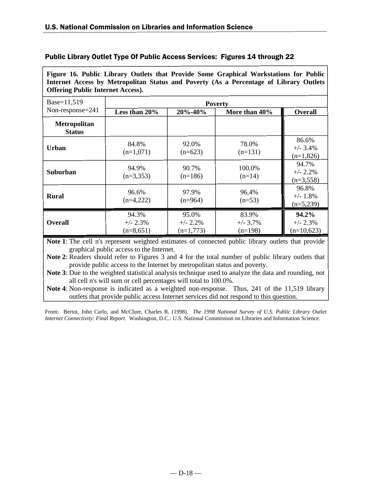# Public Library Outlet Type Of Public Access Services: Figures 14 through 22

**Figure 16. Public Library Outlets that Provide Some Graphical Workstations for Public Internet Access by Metropolitan Status and Poverty (As a Percentage of Library Outlets Offering Public Internet Access).**

| Base=11,519                          | <b>Poverty</b>                     |                                     |                                   |                                     |
|--------------------------------------|------------------------------------|-------------------------------------|-----------------------------------|-------------------------------------|
| Non-response= $241$                  | Less than 20%                      | $20\% - 40\%$                       | More than 40%                     | <b>Overall</b>                      |
| <b>Metropolitan</b><br><b>Status</b> |                                    |                                     |                                   |                                     |
| Urban                                | 84.8%<br>$(n=1,071)$               | 92.0%<br>$(n=623)$                  | 78.0%<br>$(n=131)$                | 86.6%<br>$+/- 3.4%$<br>$(n=1,826)$  |
| <b>Suburban</b>                      | 94.9%<br>$(n=3,353)$               | 90.7%<br>$(n=186)$                  | 100.0%<br>$(n=14)$                | 94.7%<br>$+/- 2.2%$<br>$(n=3,558)$  |
| <b>Rural</b>                         | 96.6%<br>$(n=4,222)$               | 97.9%<br>$(n=964)$                  | 96.4%<br>$(n=53)$                 | 96.8%<br>$+/- 1.8%$<br>$(n=5,239)$  |
| <b>Overall</b>                       | 94.3%<br>$+/- 2.3%$<br>$(n=8,651)$ | 95.0%<br>$+/- 2.2\%$<br>$(n=1,773)$ | 83.9%<br>$+/- 3.7\%$<br>$(n=198)$ | 94.2%<br>$+/- 2.3%$<br>$(n=10,623)$ |

**Note 1**: The cell n's represent weighted estimates of connected public library outlets that provide graphical public access to the Internet.

**Note 2**: Readers should refer to Figures 3 and 4 for the total number of public library outlets that provide public access to the Internet by metropolitan status and poverty.

**Note 3**: Due to the weighted statistical analysis technique used to analyze the data and rounding, not all cell n's will sum or cell percentages will total to 100.0%.

**Note 4**: Non-response is indicated as a weighted non-response. Thus, 241 of the 11,519 library outlets that provide public access Internet services did not respond to this question.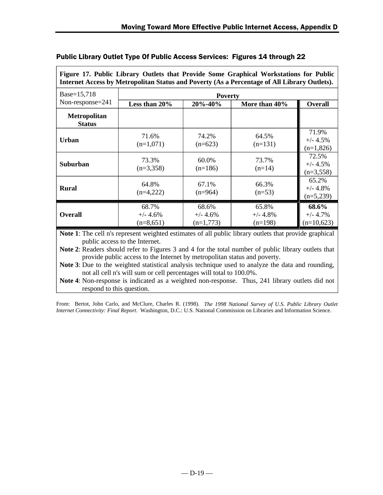| Internet Access by Metropolitan Status and Poverty (As a Percentage of All Library Outlets). |                                    |                                    |                                  |                                     |
|----------------------------------------------------------------------------------------------|------------------------------------|------------------------------------|----------------------------------|-------------------------------------|
| Base=15,718                                                                                  | <b>Poverty</b>                     |                                    |                                  |                                     |
| Non-response=241                                                                             | Less than 20%                      | 20%-40%                            | More than 40%                    | <b>Overall</b>                      |
| <b>Metropolitan</b><br><b>Status</b>                                                         |                                    |                                    |                                  |                                     |
| Urban                                                                                        | 71.6%<br>$(n=1,071)$               | 74.2%<br>$(n=623)$                 | 64.5%<br>$(n=131)$               | 71.9%<br>$+/- 4.5%$<br>$(n=1,826)$  |
| Suburban                                                                                     | 73.3%<br>$(n=3,358)$               | 60.0%<br>$(n=186)$                 | 73.7%<br>$(n=14)$                | 72.5%<br>$+/- 4.5%$<br>$(n=3,558)$  |
| <b>Rural</b>                                                                                 | 64.8%<br>$(n=4,222)$               | 67.1%<br>$(n=964)$                 | 66.3%<br>$(n=53)$                | 65.2%<br>$+/- 4.8%$<br>$(n=5,239)$  |
| <b>Overall</b>                                                                               | 68.7%<br>$+/- 4.6%$<br>$(n=8,651)$ | 68.6%<br>$+/- 4.6%$<br>$(n=1,773)$ | 65.8%<br>$+/- 4.8%$<br>$(n=198)$ | 68.6%<br>$+/- 4.7%$<br>$(n=10,623)$ |

**Figure 17. Public Library Outlets that Provide Some Graphical Workstations for Public**

# Public Library Outlet Type Of Public Access Services: Figures 14 through 22

**Note 1**: The cell n's represent weighted estimates of all public library outlets that provide graphical public access to the Internet.

**Note 2**: Readers should refer to Figures 3 and 4 for the total number of public library outlets that provide public access to the Internet by metropolitan status and poverty.

**Note 3**: Due to the weighted statistical analysis technique used to analyze the data and rounding, not all cell n's will sum or cell percentages will total to 100.0%.

**Note 4**: Non-response is indicated as a weighted non-response. Thus, 241 library outlets did not respond to this question.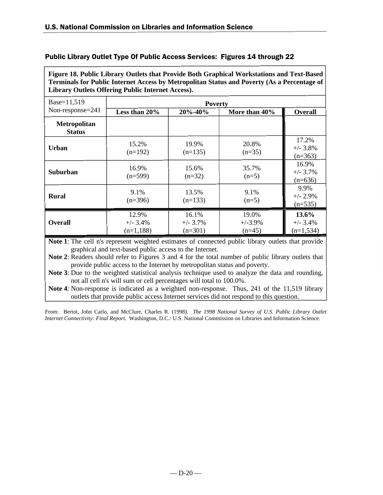|  | Public Library Outlet Type Of Public Access Services: Figures 14 through 22 |  |  |
|--|-----------------------------------------------------------------------------|--|--|
|--|-----------------------------------------------------------------------------|--|--|

**Figure 18. Public Library Outlets that Provide Both Graphical Workstations and Text-Based Terminals for Public Internet Access by Metropolitan Status and Poverty (As a Percentage of Library Outlets Offering Public Internet Access).**

| Base=11,519                          | <b>Poverty</b>                     |                                   |                                 |                                    |
|--------------------------------------|------------------------------------|-----------------------------------|---------------------------------|------------------------------------|
| Non-response=241                     | Less than $20\%$                   | 20%-40%                           | More than 40%                   | <b>Overall</b>                     |
| <b>Metropolitan</b><br><b>Status</b> |                                    |                                   |                                 |                                    |
| Urban                                | 15.2%<br>$(n=192)$                 | 19.9%<br>$(n=135)$                | 20.8%<br>$(n=35)$               | 17.2%<br>$+/- 3.8%$<br>$(n=363)$   |
| Suburban                             | 16.9%<br>$(n=599)$                 | 15.6%<br>$(n=32)$                 | 35.7%<br>$(n=5)$                | 16.9%<br>$+/- 3.7%$<br>$(n=636)$   |
| <b>Rural</b>                         | 9.1%<br>$(n=396)$                  | 13.5%<br>$(n=133)$                | 9.1%<br>$(n=5)$                 | 9.9%<br>$+/- 2.9%$<br>$(n=535)$    |
| <b>Overall</b>                       | 12.9%<br>$+/- 3.4%$<br>$(n=1,188)$ | 16.1%<br>$+/- 3.7\%$<br>$(n=301)$ | 19.0%<br>$+/-3.9\%$<br>$(n=45)$ | 13.6%<br>$+/- 3.4%$<br>$(n=1,534)$ |

**Note 1**: The cell n's represent weighted estimates of connected public library outlets that provide graphical and text-based public access to the Internet.

**Note 2**: Readers should refer to Figures 3 and 4 for the total number of public library outlets that provide public access to the Internet by metropolitan status and poverty.

**Note 3**: Due to the weighted statistical analysis technique used to analyze the data and rounding, not all cell n's will sum or cell percentages will total to 100.0%.

**Note 4**: Non-response is indicated as a weighted non-response. Thus, 241 of the 11,519 library outlets that provide public access Internet services did not respond to this question.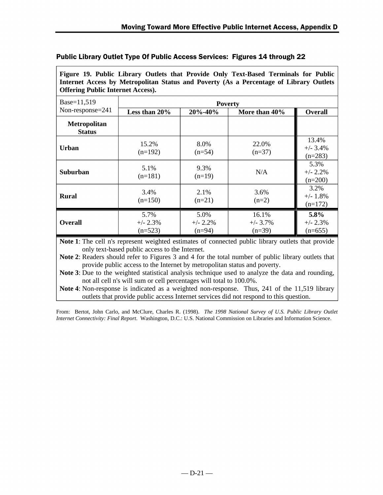# Public Library Outlet Type Of Public Access Services: Figures 14 through 22

**Figure 19. Public Library Outlets that Provide Only Text-Based Terminals for Public Internet Access by Metropolitan Status and Poverty (As a Percentage of Library Outlets Offering Public Internet Access).**

| Base=11,519                          | <b>Poverty</b>                  |                                 |                                  |                                  |
|--------------------------------------|---------------------------------|---------------------------------|----------------------------------|----------------------------------|
| Non-response= $241$                  | Less than 20%                   | $20\% - 40\%$                   | More than 40%                    | Overall                          |
| <b>Metropolitan</b><br><b>Status</b> |                                 |                                 |                                  |                                  |
| Urban                                | 15.2%<br>$(n=192)$              | 8.0%<br>$(n=54)$                | 22.0%<br>$(n=37)$                | 13.4%<br>$+/- 3.4%$<br>$(n=283)$ |
| Suburban                             | 5.1%<br>$(n=181)$               | 9.3%<br>$(n=19)$                | N/A                              | 5.3%<br>$+/- 2.2%$<br>$(n=200)$  |
| <b>Rural</b>                         | 3.4%<br>$(n=150)$               | 2.1%<br>$(n=21)$                | 3.6%<br>$(n=2)$                  | 3.2%<br>$+/- 1.8\%$<br>$(n=172)$ |
| <b>Overall</b>                       | 5.7%<br>$+/- 2.3%$<br>$(n=523)$ | 5.0%<br>$+/- 2.2\%$<br>$(n=94)$ | 16.1%<br>$+/- 3.7\%$<br>$(n=39)$ | 5.8%<br>$+/- 2.3%$<br>$(n=655)$  |

**Note 1**: The cell n's represent weighted estimates of connected public library outlets that provide only text-based public access to the Internet.

**Note 2**: Readers should refer to Figures 3 and 4 for the total number of public library outlets that provide public access to the Internet by metropolitan status and poverty.

**Note 3**: Due to the weighted statistical analysis technique used to analyze the data and rounding, not all cell n's will sum or cell percentages will total to 100.0%.

**Note 4**: Non-response is indicated as a weighted non-response. Thus, 241 of the 11,519 library outlets that provide public access Internet services did not respond to this question.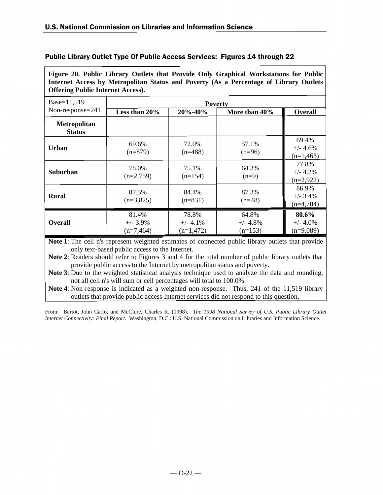# Public Library Outlet Type Of Public Access Services: Figures 14 through 22

**Figure 20. Public Library Outlets that Provide Only Graphical Workstations for Public Internet Access by Metropolitan Status and Poverty (As a Percentage of Library Outlets Offering Public Internet Access).**

| Base=11,519                          | <b>Poverty</b>                      |                                     |                                  |                                     |
|--------------------------------------|-------------------------------------|-------------------------------------|----------------------------------|-------------------------------------|
| Non-response=241                     | Less than 20%                       | 20%-40%                             | More than 40%                    | <b>Overall</b>                      |
| <b>Metropolitan</b><br><b>Status</b> |                                     |                                     |                                  |                                     |
| Urban                                | 69.6%<br>$(n=879)$                  | 72.0%<br>$(n=488)$                  | 57.1%<br>$(n=96)$                | 69.4%<br>$+/- 4.6%$<br>$(n=1,463)$  |
| <b>Suburban</b>                      | 78.0%<br>$(n=2,759)$                | 75.1%<br>$(n=154)$                  | 64.3%<br>$(n=9)$                 | 77.8%<br>$+/- 4.2%$<br>$(n=2,922)$  |
| <b>Rural</b>                         | 87.5%<br>$(n=3,825)$                | 84.4%<br>$(n=831)$                  | 87.3%<br>$(n=48)$                | 86.9%<br>$+/- 3.4\%$<br>$(n=4,704)$ |
| <b>Overall</b>                       | 81.4%<br>$+/- 3.9\%$<br>$(n=7,464)$ | 78.8%<br>$+/- 4.1\%$<br>$(n=1,472)$ | 64.8%<br>$+/- 4.8%$<br>$(n=153)$ | 80.6%<br>$+/- 4.0\%$<br>$(n=9,089)$ |

**Note 1**: The cell n's represent weighted estimates of connected public library outlets that provide only text-based public access to the Internet.

**Note 2**: Readers should refer to Figures 3 and 4 for the total number of public library outlets that provide public access to the Internet by metropolitan status and poverty.

**Note 3**: Due to the weighted statistical analysis technique used to analyze the data and rounding, not all cell n's will sum or cell percentages will total to 100.0%.

**Note 4**: Non-response is indicated as a weighted non-response. Thus, 241 of the 11,519 library outlets that provide public access Internet services did not respond to this question.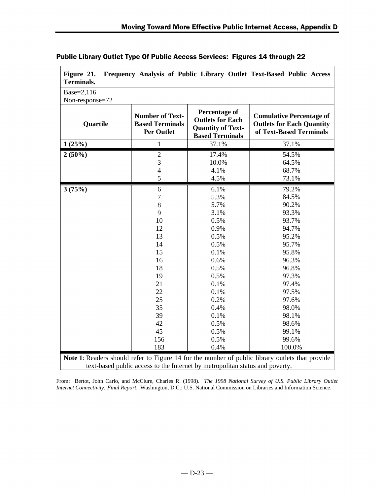| Base=2,116<br>Non-response=72 |                                                                                                                                       |                                                                                                                                                                      |                                                                                                                                                                                            |
|-------------------------------|---------------------------------------------------------------------------------------------------------------------------------------|----------------------------------------------------------------------------------------------------------------------------------------------------------------------|--------------------------------------------------------------------------------------------------------------------------------------------------------------------------------------------|
| Quartile                      | <b>Number of Text-</b><br><b>Based Terminals</b><br><b>Per Outlet</b>                                                                 | <b>Percentage of</b><br><b>Outlets for Each</b><br><b>Quantity of Text-</b><br><b>Based Terminals</b>                                                                | <b>Cumulative Percentage of</b><br><b>Outlets for Each Quantity</b><br>of Text-Based Terminals                                                                                             |
| 1(25%)                        | $\mathbf{1}$                                                                                                                          | 37.1%                                                                                                                                                                | 37.1%                                                                                                                                                                                      |
| $2(50\%)$                     | $\overline{2}$<br>3<br>$\overline{\mathcal{L}}$<br>5                                                                                  | 17.4%<br>10.0%<br>4.1%<br>4.5%                                                                                                                                       | 54.5%<br>64.5%<br>68.7%<br>73.1%                                                                                                                                                           |
| 3(75%)                        | 6<br>$\overline{7}$<br>8<br>9<br>10<br>12<br>13<br>14<br>15<br>16<br>18<br>19<br>21<br>22<br>25<br>35<br>39<br>42<br>45<br>156<br>183 | 6.1%<br>5.3%<br>5.7%<br>3.1%<br>0.5%<br>0.9%<br>0.5%<br>0.5%<br>0.1%<br>0.6%<br>0.5%<br>0.5%<br>0.1%<br>0.1%<br>0.2%<br>0.4%<br>0.1%<br>0.5%<br>0.5%<br>0.5%<br>0.4% | 79.2%<br>84.5%<br>90.2%<br>93.3%<br>93.7%<br>94.7%<br>95.2%<br>95.7%<br>95.8%<br>96.3%<br>96.8%<br>97.3%<br>97.4%<br>97.5%<br>97.6%<br>98.0%<br>98.1%<br>98.6%<br>99.1%<br>99.6%<br>100.0% |

# Public Library Outlet Type Of Public Access Services: Figures 14 through 22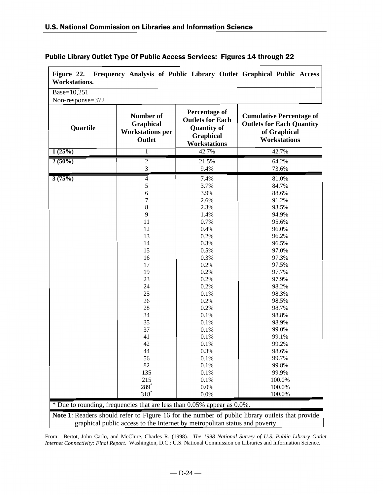$\blacksquare$ 

| Quartile<br>1(25%)<br>$2(50\%)$<br>3(75%) | Number of<br><b>Graphical</b><br><b>Workstations per</b><br>Outlet<br>$\mathbf{1}$<br>$\mathfrak{2}$<br>3<br>$\overline{4}$<br>5<br>$\sqrt{6}$<br>7 | <b>Percentage of</b><br><b>Outlets for Each</b><br><b>Quantity of</b><br>Graphical<br><b>Workstations</b><br>42.7%<br>21.5%<br>9.4%<br>7.4%<br>3.7%<br>3.9% | <b>Cumulative Percentage of</b><br><b>Outlets for Each Quantity</b><br>of Graphical<br><b>Workstations</b><br>42.7%<br>64.2%<br>73.6%<br>81.0%<br>84.7% |
|-------------------------------------------|-----------------------------------------------------------------------------------------------------------------------------------------------------|-------------------------------------------------------------------------------------------------------------------------------------------------------------|---------------------------------------------------------------------------------------------------------------------------------------------------------|
|                                           |                                                                                                                                                     |                                                                                                                                                             |                                                                                                                                                         |
|                                           |                                                                                                                                                     |                                                                                                                                                             |                                                                                                                                                         |
|                                           |                                                                                                                                                     |                                                                                                                                                             |                                                                                                                                                         |
|                                           |                                                                                                                                                     |                                                                                                                                                             |                                                                                                                                                         |
|                                           |                                                                                                                                                     |                                                                                                                                                             |                                                                                                                                                         |
|                                           |                                                                                                                                                     |                                                                                                                                                             |                                                                                                                                                         |
|                                           |                                                                                                                                                     |                                                                                                                                                             | 88.6%                                                                                                                                                   |
|                                           |                                                                                                                                                     | 2.6%                                                                                                                                                        | 91.2%                                                                                                                                                   |
|                                           | $8\,$                                                                                                                                               | 2.3%                                                                                                                                                        | 93.5%                                                                                                                                                   |
|                                           | 9                                                                                                                                                   | 1.4%                                                                                                                                                        | 94.9%                                                                                                                                                   |
|                                           | 11                                                                                                                                                  | 0.7%                                                                                                                                                        | 95.6%                                                                                                                                                   |
|                                           | 12                                                                                                                                                  | 0.4%                                                                                                                                                        | 96.0%                                                                                                                                                   |
|                                           | 13                                                                                                                                                  | 0.2%                                                                                                                                                        | 96.2%                                                                                                                                                   |
|                                           | 14                                                                                                                                                  | 0.3%                                                                                                                                                        | 96.5%                                                                                                                                                   |
|                                           | 15                                                                                                                                                  | 0.5%                                                                                                                                                        | 97.0%                                                                                                                                                   |
|                                           | 16                                                                                                                                                  | 0.3%                                                                                                                                                        | 97.3%                                                                                                                                                   |
|                                           | 17                                                                                                                                                  | 0.2%                                                                                                                                                        | 97.5%                                                                                                                                                   |
|                                           | 19                                                                                                                                                  | 0.2%                                                                                                                                                        | 97.7%                                                                                                                                                   |
|                                           | 23                                                                                                                                                  | 0.2%                                                                                                                                                        | 97.9%                                                                                                                                                   |
|                                           | 24                                                                                                                                                  | 0.2%                                                                                                                                                        | 98.2%                                                                                                                                                   |
|                                           | 25                                                                                                                                                  | 0.1%                                                                                                                                                        | 98.3%                                                                                                                                                   |
|                                           | 26                                                                                                                                                  | 0.2%                                                                                                                                                        | 98.5%                                                                                                                                                   |
|                                           | 28                                                                                                                                                  | 0.2%                                                                                                                                                        | 98.7%                                                                                                                                                   |
|                                           | 34                                                                                                                                                  | 0.1%                                                                                                                                                        | 98.8%                                                                                                                                                   |
|                                           | 35                                                                                                                                                  | 0.1%                                                                                                                                                        | 98.9%                                                                                                                                                   |
|                                           | 37                                                                                                                                                  | 0.1%                                                                                                                                                        | 99.0%                                                                                                                                                   |
|                                           | 41                                                                                                                                                  | 0.1%                                                                                                                                                        | 99.1%                                                                                                                                                   |
|                                           | 42                                                                                                                                                  | 0.1%                                                                                                                                                        | 99.2%                                                                                                                                                   |
|                                           | 44                                                                                                                                                  | 0.3%                                                                                                                                                        | 98.6%                                                                                                                                                   |
|                                           | 56                                                                                                                                                  | 0.1%                                                                                                                                                        | 99.7%                                                                                                                                                   |
|                                           | 82                                                                                                                                                  | 0.1%                                                                                                                                                        | 99.8%                                                                                                                                                   |
|                                           | 135                                                                                                                                                 | 0.1%                                                                                                                                                        | 99.9%                                                                                                                                                   |
|                                           | 215                                                                                                                                                 | 0.1%                                                                                                                                                        | 100.0%                                                                                                                                                  |
|                                           | 289*                                                                                                                                                | 0.0%                                                                                                                                                        | 100.0%                                                                                                                                                  |
|                                           | $318*$                                                                                                                                              | 0.0%                                                                                                                                                        | 100.0%                                                                                                                                                  |
|                                           | * Due to rounding, frequencies that are less than 0.05% appear as 0.0%.                                                                             |                                                                                                                                                             |                                                                                                                                                         |

# Public Library Outlet Type Of Public Access Services: Figures 14 through 22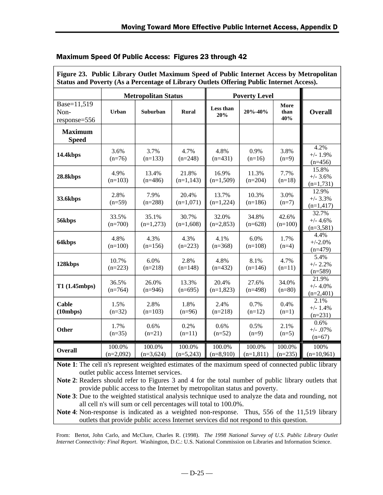| Figure 23. Public Library Outlet Maximum Speed of Public Internet Access by Metropolitan<br>Status and Poverty (As a Percentage of Library Outlets Offering Public Internet Access). |                       |                            |                       |                       |                       |                     |                                    |
|--------------------------------------------------------------------------------------------------------------------------------------------------------------------------------------|-----------------------|----------------------------|-----------------------|-----------------------|-----------------------|---------------------|------------------------------------|
|                                                                                                                                                                                      |                       | <b>Metropolitan Status</b> |                       |                       | <b>Poverty Level</b>  |                     |                                    |
| Base=11,519<br>Non-<br>response=556                                                                                                                                                  | Urban                 | Suburban                   | <b>Rural</b>          | Less than<br>20%      | 20%-40%               | More<br>than<br>40% | <b>Overall</b>                     |
| <b>Maximum</b><br><b>Speed</b>                                                                                                                                                       |                       |                            |                       |                       |                       |                     |                                    |
| 14.4kbps                                                                                                                                                                             | 3.6%<br>$(n=76)$      | 3.7%<br>$(n=133)$          | 4.7%<br>$(n=248)$     | 4.8%<br>$(n=431)$     | 0.9%<br>$(n=16)$      | 3.8%<br>$(n=9)$     | 4.2%<br>$+/- 1.9%$<br>$(n=456)$    |
| 28.8kbps                                                                                                                                                                             | 4.9%<br>$(n=103)$     | 13.4%<br>$(n=486)$         | 21.8%<br>$(n=1,143)$  | 16.9%<br>$(n=1,509)$  | 11.3%<br>$(n=204)$    | 7.7%<br>$(n=18)$    | 15.8%<br>$+/- 3.6%$<br>$(n=1,731)$ |
| 33.6kbps                                                                                                                                                                             | 2.8%<br>$(n=59)$      | 7.9%<br>$(n=288)$          | 20.4%<br>$(n=1,071)$  | 13.7%<br>$(n=1,224)$  | 10.3%<br>$(n=186)$    | 3.0%<br>$(n=7)$     | 12.9%<br>$+/- 3.3%$<br>$(n=1,417)$ |
| 56kbps                                                                                                                                                                               | 33.5%<br>$(n=700)$    | 35.1%<br>$(n=1,273)$       | 30.7%<br>$(n=1,608)$  | 32.0%<br>$(n=2,853)$  | 34.8%<br>$(n=628)$    | 42.6%<br>$(n=100)$  | 32.7%<br>$+/- 4.6%$<br>$(n=3,581)$ |
| 64kbps                                                                                                                                                                               | 4.8%<br>$(n=100)$     | 4.3%<br>$(n=156)$          | 4.3%<br>$(n=223)$     | 4.1%<br>$(n=368)$     | 6.0%<br>$(n=108)$     | 1.7%<br>$(n=4)$     | 4.4%<br>$+/-2.0%$<br>$(n=479)$     |
| 128kbps                                                                                                                                                                              | 10.7%<br>$(n=223)$    | 6.0%<br>$(n=218)$          | 2.8%<br>$(n=148)$     | 4.8%<br>$(n=432)$     | 8.1%<br>$(n=146)$     | 4.7%<br>$(n=11)$    | 5.4%<br>$+/- 2.2%$<br>$(n=589)$    |
| T1(1.45mbps)                                                                                                                                                                         | 36.5%<br>$(n=764)$    | 26.0%<br>$(n=946)$         | 13.3%<br>$(n=695)$    | 20.4%<br>$(n=1,823)$  | 27.6%<br>$(n=498)$    | 34.0%<br>$(n=80)$   | 21.9%<br>$+/- 4.0%$<br>$(n=2,401)$ |
| <b>Cable</b><br>(10mbps)                                                                                                                                                             | 1.5%<br>$(n=32)$      | 2.8%<br>$(n=103)$          | 1.8%<br>$(n=96)$      | 2.4%<br>$(n=218)$     | 0.7%<br>$(n=12)$      | 0.4%<br>$(n=1)$     | 2.1%<br>$+/- 1.4%$<br>$(n=231)$    |
| <b>Other</b>                                                                                                                                                                         | 1.7%<br>$(n=35)$      | 0.6%<br>$(n=21)$           | 0.2%<br>$(n=11)$      | 0.6%<br>$(n=52)$      | 0.5%<br>$(n=9)$       | 2.1%<br>$(n=5)$     | 0.6%<br>$+/- .07%$<br>$(n=67)$     |
| <b>Overall</b>                                                                                                                                                                       | 100.0%<br>$(n=2,092)$ | 100.0%<br>$(n=3,624)$      | 100.0%<br>$(n=5,243)$ | 100.0%<br>$(n=8,910)$ | 100.0%<br>$(n=1,811)$ | 100.0%<br>$(n=235)$ | 100%<br>$(n=10,961)$               |

**Note 1**: The cell n's represent weighted estimates of the maximum speed of connected public library outlet public access Internet services.

**Note 2**: Readers should refer to Figures 3 and 4 for the total number of public library outlets that provide public access to the Internet by metropolitan status and poverty.

**Note 3**: Due to the weighted statistical analysis technique used to analyze the data and rounding, not all cell n's will sum or cell percentages will total to 100.0%.

**Note 4**: Non-response is indicated as a weighted non-response. Thus, 556 of the 11,519 library outlets that provide public access Internet services did not respond to this question.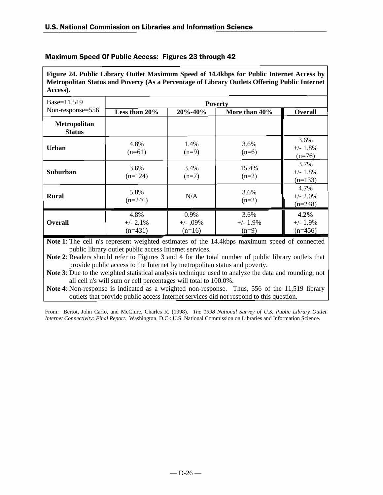**Figure 24. Public Library Outlet Maximum Speed of 14.4kbps for Public Internet Access by Metropolitan Status and Poverty (As a Percentage of Library Outlets Offering Public Internet Access).**

| Base=11,519                   | <b>Poverty</b>                   |                                   |                                |                                  |  |
|-------------------------------|----------------------------------|-----------------------------------|--------------------------------|----------------------------------|--|
| Non-response=556              | Less than 20%                    | 20%-40%                           | More than 40%                  | <b>Overall</b>                   |  |
| Metropolitan<br><b>Status</b> |                                  |                                   |                                |                                  |  |
| Urban                         | 4.8%<br>$(n=61)$                 | 1.4%<br>$(n=9)$                   | 3.6%<br>$(n=6)$                | 3.6%<br>$+/- 1.8%$<br>$(n=76)$   |  |
| <b>Suburban</b>               | 3.6%<br>$(n=124)$                | 3.4%<br>$(n=7)$                   | 15.4%<br>$(n=2)$               | 3.7%<br>$+/- 1.8%$<br>$(n=133)$  |  |
| <b>Rural</b>                  | 5.8%<br>$(n=246)$                | N/A                               | 3.6%<br>$(n=2)$                | 4.7%<br>$+/- 2.0\%$<br>$(n=248)$ |  |
| <b>Overall</b>                | 4.8%<br>$+/- 2.1\%$<br>$(n=431)$ | $0.9\%$<br>$+/- .09%$<br>$(n=16)$ | 3.6%<br>$+/- 1.9\%$<br>$(n=9)$ | 4.2%<br>$+/- 1.9%$<br>$(n=456)$  |  |

**Note 1**: The cell n's represent weighted estimates of the 14.4kbps maximum speed of connected public library outlet public access Internet services.

**Note 2**: Readers should refer to Figures 3 and 4 for the total number of public library outlets that provide public access to the Internet by metropolitan status and poverty.

**Note 3**: Due to the weighted statistical analysis technique used to analyze the data and rounding, not all cell n's will sum or cell percentages will total to 100.0%.

**Note 4**: Non-response is indicated as a weighted non-response. Thus, 556 of the 11,519 library outlets that provide public access Internet services did not respond to this question.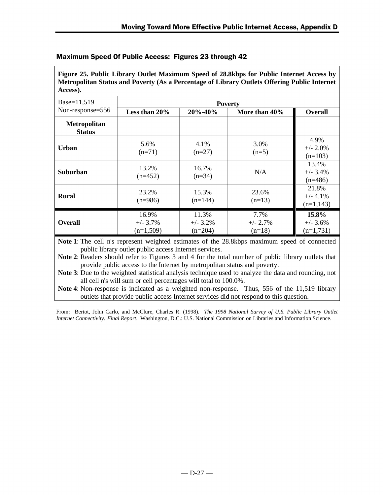**Figure 25. Public Library Outlet Maximum Speed of 28.8kbps for Public Internet Access by Metropolitan Status and Poverty (As a Percentage of Library Outlets Offering Public Internet Access).**

| Base=11,519                          | <b>Poverty</b>                      |                                   |                                 |                                     |  |
|--------------------------------------|-------------------------------------|-----------------------------------|---------------------------------|-------------------------------------|--|
| Non-response=556                     | Less than $20\%$                    | 20%-40%                           | More than 40%                   | Overall                             |  |
| <b>Metropolitan</b><br><b>Status</b> |                                     |                                   |                                 |                                     |  |
| Urban                                | 5.6%<br>$(n=71)$                    | 4.1%<br>$(n=27)$                  | 3.0%<br>$(n=5)$                 | 4.9%<br>$+/- 2.0\%$<br>$(n=103)$    |  |
| <b>Suburban</b>                      | 13.2%<br>$(n=452)$                  | 16.7%<br>$(n=34)$                 | N/A                             | 13.4%<br>$+/- 3.4%$<br>$(n=486)$    |  |
| <b>Rural</b>                         | 23.2%<br>$(n=986)$                  | 15.3%<br>$(n=144)$                | 23.6%<br>$(n=13)$               | 21.8%<br>$+/- 4.1%$<br>$(n=1,143)$  |  |
| <b>Overall</b>                       | 16.9%<br>$+/- 3.7\%$<br>$(n=1,509)$ | 11.3%<br>$+/- 3.2\%$<br>$(n=204)$ | 7.7%<br>$+/- 2.7\%$<br>$(n=18)$ | 15.8%<br>$+/- 3.6\%$<br>$(n=1,731)$ |  |

**Note 1**: The cell n's represent weighted estimates of the 28.8kbps maximum speed of connected public library outlet public access Internet services.

**Note 2**: Readers should refer to Figures 3 and 4 for the total number of public library outlets that provide public access to the Internet by metropolitan status and poverty.

**Note 3**: Due to the weighted statistical analysis technique used to analyze the data and rounding, not all cell n's will sum or cell percentages will total to 100.0%.

**Note 4**: Non-response is indicated as a weighted non-response. Thus, 556 of the 11,519 library outlets that provide public access Internet services did not respond to this question.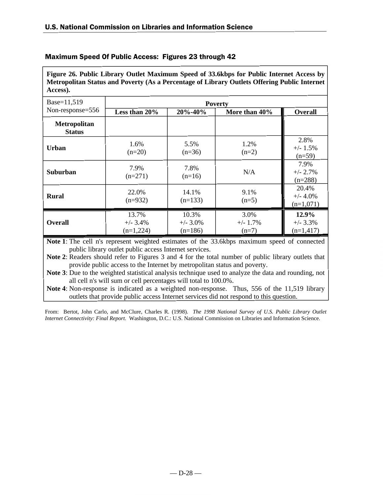**Figure 26. Public Library Outlet Maximum Speed of 33.6kbps for Public Internet Access by Metropolitan Status and Poverty (As a Percentage of Library Outlets Offering Public Internet Access).**

| Base=11,519                   | <b>Poverty</b>                     |                                   |                                |                                    |  |
|-------------------------------|------------------------------------|-----------------------------------|--------------------------------|------------------------------------|--|
| Non-response=556              | Less than 20%                      | 20%-40%                           | More than 40%                  | <b>Overall</b>                     |  |
| Metropolitan<br><b>Status</b> |                                    |                                   |                                |                                    |  |
| Urban                         | 1.6%<br>$(n=20)$                   | 5.5%<br>$(n=36)$                  | 1.2%<br>$(n=2)$                | 2.8%<br>$+/- 1.5%$<br>$(n=59)$     |  |
| <b>Suburban</b>               | 7.9%<br>$(n=271)$                  | 7.8%<br>$(n=16)$                  | N/A                            | 7.9%<br>$+/- 2.7%$<br>$(n=288)$    |  |
| <b>Rural</b>                  | 22.0%<br>$(n=932)$                 | 14.1%<br>$(n=133)$                | 9.1%<br>$(n=5)$                | 20.4%<br>$+/- 4.0%$<br>$(n=1,071)$ |  |
| <b>Overall</b>                | 13.7%<br>$+/- 3.4%$<br>$(n=1,224)$ | 10.3%<br>$+/- 3.0\%$<br>$(n=186)$ | 3.0%<br>$+/- 1.7\%$<br>$(n=7)$ | 12.9%<br>$+/- 3.3%$<br>$(n=1,417)$ |  |

**Note 1**: The cell n's represent weighted estimates of the 33.6kbps maximum speed of connected public library outlet public access Internet services.

**Note 2**: Readers should refer to Figures 3 and 4 for the total number of public library outlets that provide public access to the Internet by metropolitan status and poverty.

**Note 3**: Due to the weighted statistical analysis technique used to analyze the data and rounding, not all cell n's will sum or cell percentages will total to 100.0%.

**Note 4**: Non-response is indicated as a weighted non-response. Thus, 556 of the 11,519 library outlets that provide public access Internet services did not respond to this question.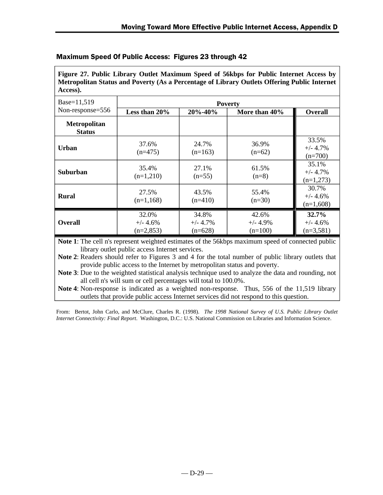**Figure 27. Public Library Outlet Maximum Speed of 56kbps for Public Internet Access by Metropolitan Status and Poverty (As a Percentage of Library Outlets Offering Public Internet Access).**

| Base=11,519                          | <b>Poverty</b>                     |                                   |                                  |                                     |  |
|--------------------------------------|------------------------------------|-----------------------------------|----------------------------------|-------------------------------------|--|
| Non-response=556                     | Less than $20\%$                   | 20%-40%                           | More than 40%                    | <b>Overall</b>                      |  |
| <b>Metropolitan</b><br><b>Status</b> |                                    |                                   |                                  |                                     |  |
| Urban                                | 37.6%<br>$(n=475)$                 | 24.7%<br>$(n=163)$                | 36.9%<br>$(n=62)$                | 33.5%<br>$+/- 4.7%$<br>$(n=700)$    |  |
| <b>Suburban</b>                      | 35.4%<br>$(n=1,210)$               | 27.1%<br>$(n=55)$                 | 61.5%<br>$(n=8)$                 | 35.1%<br>$+/- 4.7\%$<br>$(n=1,273)$ |  |
| <b>Rural</b>                         | 27.5%<br>$(n=1,168)$               | 43.5%<br>$(n=410)$                | 55.4%<br>$(n=30)$                | 30.7%<br>$+/- 4.6%$<br>$(n=1,608)$  |  |
| <b>Overall</b>                       | 32.0%<br>$+/- 4.6%$<br>$(n=2,853)$ | 34.8%<br>$+/- 4.7\%$<br>$(n=628)$ | 42.6%<br>$+/- 4.9%$<br>$(n=100)$ | 32.7%<br>$+/- 4.6%$<br>$(n=3,581)$  |  |

**Note 1**: The cell n's represent weighted estimates of the 56kbps maximum speed of connected public library outlet public access Internet services.

**Note 2**: Readers should refer to Figures 3 and 4 for the total number of public library outlets that provide public access to the Internet by metropolitan status and poverty.

**Note 3**: Due to the weighted statistical analysis technique used to analyze the data and rounding, not all cell n's will sum or cell percentages will total to 100.0%.

**Note 4**: Non-response is indicated as a weighted non-response. Thus, 556 of the 11,519 library outlets that provide public access Internet services did not respond to this question.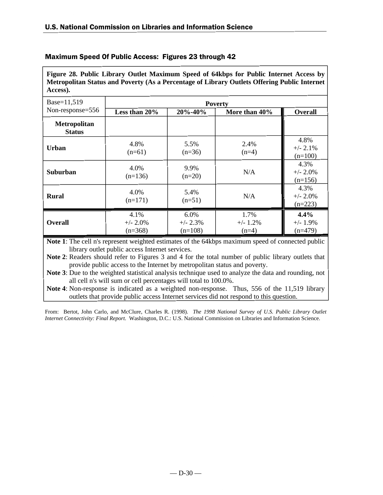**Figure 28. Public Library Outlet Maximum Speed of 64kbps for Public Internet Access by Metropolitan Status and Poverty (As a Percentage of Library Outlets Offering Public Internet Access).**

| Base=11,519                   | <b>Poverty</b>                   |                                  |                                |                                  |  |
|-------------------------------|----------------------------------|----------------------------------|--------------------------------|----------------------------------|--|
| Non-response=556              | Less than 20%                    | 20%-40%                          | More than 40%                  | <b>Overall</b>                   |  |
| Metropolitan<br><b>Status</b> |                                  |                                  |                                |                                  |  |
| Urban                         | 4.8%<br>$(n=61)$                 | 5.5%<br>$(n=36)$                 | 2.4%<br>$(n=4)$                | 4.8%<br>$+/- 2.1%$<br>$(n=100)$  |  |
| <b>Suburban</b>               | 4.0%<br>$(n=136)$                | 9.9%<br>$(n=20)$                 | N/A                            | 4.3%<br>$+/- 2.0\%$<br>$(n=156)$ |  |
| <b>Rural</b>                  | 4.0%<br>$(n=171)$                | 5.4%<br>$(n=51)$                 | N/A                            | 4.3%<br>$+/- 2.0\%$<br>$(n=223)$ |  |
| <b>Overall</b>                | 4.1%<br>$+/- 2.0\%$<br>$(n=368)$ | 6.0%<br>$+/- 2.3\%$<br>$(n=108)$ | 1.7%<br>$+/- 1.2\%$<br>$(n=4)$ | 4.4%<br>$+/- 1.9%$<br>$(n=479)$  |  |

**Note 1**: The cell n's represent weighted estimates of the 64kbps maximum speed of connected public library outlet public access Internet services.

**Note 2**: Readers should refer to Figures 3 and 4 for the total number of public library outlets that provide public access to the Internet by metropolitan status and poverty.

**Note 3**: Due to the weighted statistical analysis technique used to analyze the data and rounding, not all cell n's will sum or cell percentages will total to 100.0%.

**Note 4**: Non-response is indicated as a weighted non-response. Thus, 556 of the 11,519 library outlets that provide public access Internet services did not respond to this question.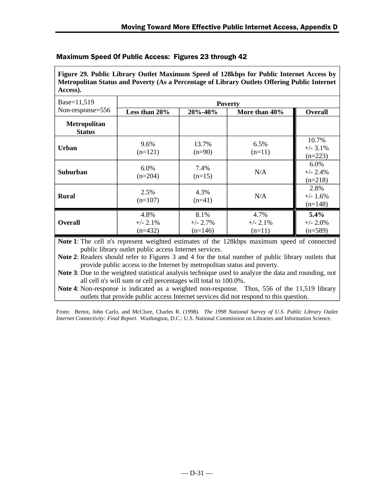**Figure 29. Public Library Outlet Maximum Speed of 128kbps for Public Internet Access by Metropolitan Status and Poverty (As a Percentage of Library Outlets Offering Public Internet Access).**

| Base=11,519                          | <b>Poverty</b>                  |                                  |                                |                                    |  |
|--------------------------------------|---------------------------------|----------------------------------|--------------------------------|------------------------------------|--|
| Non-response=556                     | Less than 20%                   | $20\% - 40\%$                    | More than 40%                  | <b>Overall</b>                     |  |
| <b>Metropolitan</b><br><b>Status</b> |                                 |                                  |                                |                                    |  |
| <b>Urban</b>                         | 9.6%<br>$(n=121)$               | 13.7%<br>$(n=90)$                | 6.5%<br>$(n=11)$               | 10.7%<br>$+/-$ 3.1%<br>$(n=223)$   |  |
| <b>Suburban</b>                      | 6.0%<br>$(n=204)$               | 7.4%<br>$(n=15)$                 | N/A                            | $6.0\%$<br>$+/- 2.4%$<br>$(n=218)$ |  |
| <b>Rural</b>                         | 2.5%<br>$(n=107)$               | 4.3%<br>$(n=41)$                 | N/A                            | 2.8%<br>$+/- 1.6\%$<br>$(n=148)$   |  |
| <b>Overall</b>                       | 4.8%<br>$+/- 2.1%$<br>$(n=432)$ | 8.1%<br>$+/- 2.7\%$<br>$(n=146)$ | 4.7%<br>$+/- 2.1%$<br>$(n=11)$ | 5.4%<br>$+/- 2.0\%$<br>$(n=589)$   |  |

**Note 1**: The cell n's represent weighted estimates of the 128kbps maximum speed of connected public library outlet public access Internet services.

**Note 2**: Readers should refer to Figures 3 and 4 for the total number of public library outlets that provide public access to the Internet by metropolitan status and poverty.

**Note 3**: Due to the weighted statistical analysis technique used to analyze the data and rounding, not all cell n's will sum or cell percentages will total to 100.0%.

**Note 4**: Non-response is indicated as a weighted non-response. Thus, 556 of the 11,519 library outlets that provide public access Internet services did not respond to this question.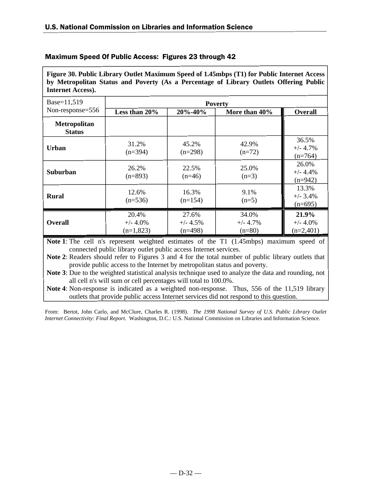**Figure 30. Public Library Outlet Maximum Speed of 1.45mbps (T1) for Public Internet Access by Metropolitan Status and Poverty (As a Percentage of Library Outlets Offering Public Internet Access).**

| Base=11,519                   | <b>Poverty</b>                      |                                   |                                  |                                    |  |
|-------------------------------|-------------------------------------|-----------------------------------|----------------------------------|------------------------------------|--|
| Non-response=556              | Less than 20%                       | 20%-40%                           | More than 40%                    | <b>Overall</b>                     |  |
| Metropolitan<br><b>Status</b> |                                     |                                   |                                  |                                    |  |
| Urban                         | 31.2%<br>$(n=394)$                  | 45.2%<br>$(n=298)$                | 42.9%<br>$(n=72)$                | 36.5%<br>$+/- 4.7%$<br>$(n=764)$   |  |
| Suburban                      | 26.2%<br>$(n=893)$                  | 22.5%<br>$(n=46)$                 | 25.0%<br>$(n=3)$                 | 26.0%<br>$+/- 4.4%$<br>$(n=942)$   |  |
| <b>Rural</b>                  | 12.6%<br>$(n=536)$                  | 16.3%<br>$(n=154)$                | 9.1%<br>$(n=5)$                  | 13.3%<br>$+/- 3.4%$<br>$(n=695)$   |  |
| <b>Overall</b>                | 20.4%<br>$+/- 4.0\%$<br>$(n=1,823)$ | 27.6%<br>$+/- 4.5\%$<br>$(n=498)$ | 34.0%<br>$+/- 4.7\%$<br>$(n=80)$ | 21.9%<br>$+/- 4.0%$<br>$(n=2,401)$ |  |

**Note 1**: The cell n's represent weighted estimates of the T1 (1.45mbps) maximum speed of connected public library outlet public access Internet services.

**Note 2**: Readers should refer to Figures 3 and 4 for the total number of public library outlets that provide public access to the Internet by metropolitan status and poverty.

**Note 3**: Due to the weighted statistical analysis technique used to analyze the data and rounding, not all cell n's will sum or cell percentages will total to 100.0%.

**Note 4**: Non-response is indicated as a weighted non-response. Thus, 556 of the 11,519 library outlets that provide public access Internet services did not respond to this question.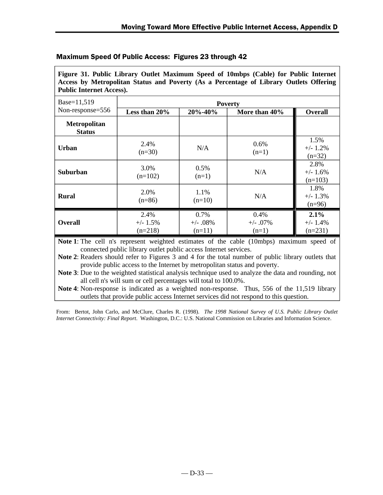| Access by Metropolitan Status and Poverty (As a Percentage of Library Outlets Offering<br><b>Public Internet Access).</b> |                                  |                                |                                                                                                |                                  |  |
|---------------------------------------------------------------------------------------------------------------------------|----------------------------------|--------------------------------|------------------------------------------------------------------------------------------------|----------------------------------|--|
| Base=11,519                                                                                                               | <b>Poverty</b>                   |                                |                                                                                                |                                  |  |
| Non-response=556                                                                                                          | Less than 20%                    | 20%-40%                        | More than 40%                                                                                  | <b>Overall</b>                   |  |
| <b>Metropolitan</b><br><b>Status</b>                                                                                      |                                  |                                |                                                                                                |                                  |  |
| <b>Urban</b>                                                                                                              | 2.4%<br>$(n=30)$                 | N/A                            | $0.6\%$<br>$(n=1)$                                                                             | 1.5%<br>$+/- 1.2\%$<br>$(n=32)$  |  |
| Suburban                                                                                                                  | 3.0%<br>$(n=102)$                | $0.5\%$<br>$(n=1)$             | N/A                                                                                            | 2.8%<br>$+/- 1.6%$<br>$(n=103)$  |  |
| <b>Rural</b>                                                                                                              | 2.0%<br>$(n=86)$                 | 1.1%<br>$(n=10)$               | N/A                                                                                            | 1.8%<br>$+/- 1.3\%$<br>$(n=96)$  |  |
| <b>Overall</b>                                                                                                            | 2.4%<br>$+/- 1.5\%$<br>$(n=218)$ | 0.7%<br>$+/- .08%$<br>$(n=11)$ | 0.4%<br>$+/-$ .07%<br>$(n=1)$                                                                  | 2.1%<br>$+/- 1.4\%$<br>$(n=231)$ |  |
|                                                                                                                           |                                  |                                | Note 1: The call $n_s$ represent weighted estimates of the cable $(10m\hbar)$ maximum speed of |                                  |  |

**Figure 31. Public Library Outlet Maximum Speed of 10mbps (Cable) for Public Internet Access by Metropolitan Status and Poverty (As a Percentage of Library Outlets Offering**

#### Maximum Speed Of Public Access: Figures 23 through 42

**Note 1**: The cell n's represent weighted estimates of the cable (10mbps) maximum speed of connected public library outlet public access Internet services.

**Note 2**: Readers should refer to Figures 3 and 4 for the total number of public library outlets that provide public access to the Internet by metropolitan status and poverty.

**Note 3**: Due to the weighted statistical analysis technique used to analyze the data and rounding, not all cell n's will sum or cell percentages will total to 100.0%.

**Note 4**: Non-response is indicated as a weighted non-response. Thus, 556 of the 11,519 library outlets that provide public access Internet services did not respond to this question.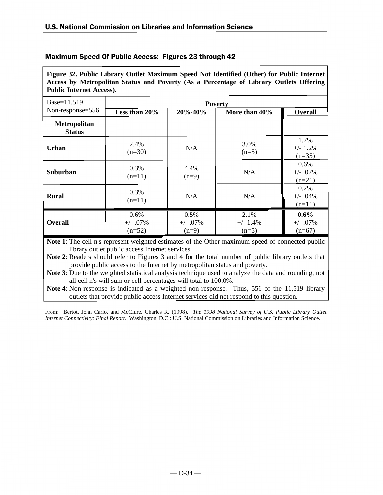**Figure 32. Public Library Outlet Maximum Speed Not Identified (Other) for Public Internet Access by Metropolitan Status and Poverty (As a Percentage of Library Outlets Offering Public Internet Access).**

| Base=11,519                   | <b>Poverty</b>                  |                                |                               |                                   |  |
|-------------------------------|---------------------------------|--------------------------------|-------------------------------|-----------------------------------|--|
| Non-response=556              | Less than 20%                   | 20%-40%                        | More than 40%                 | <b>Overall</b>                    |  |
| Metropolitan<br><b>Status</b> |                                 |                                |                               |                                   |  |
| Urban                         | 2.4%<br>$(n=30)$                | N/A                            | 3.0%<br>$(n=5)$               | 1.7%<br>$+/- 1.2%$<br>$(n=35)$    |  |
| Suburban                      | 0.3%<br>$(n=11)$                | 4.4%<br>$(n=9)$                | N/A                           | 0.6%<br>$+/- .07%$<br>$(n=21)$    |  |
| <b>Rural</b>                  | 0.3%<br>$(n=11)$                | N/A                            | N/A                           | 0.2%<br>$+/- .04%$<br>$(n=11)$    |  |
| <b>Overall</b>                | 0.6%<br>$+/- .07\%$<br>$(n=52)$ | 0.5%<br>$+/- .07\%$<br>$(n=9)$ | 2.1%<br>$+/- 1.4%$<br>$(n=5)$ | $0.6\%$<br>$+/- .07%$<br>$(n=67)$ |  |

**Note 1**: The cell n's represent weighted estimates of the Other maximum speed of connected public library outlet public access Internet services.

**Note 2**: Readers should refer to Figures 3 and 4 for the total number of public library outlets that provide public access to the Internet by metropolitan status and poverty.

**Note 3**: Due to the weighted statistical analysis technique used to analyze the data and rounding, not all cell n's will sum or cell percentages will total to 100.0%.

**Note 4**: Non-response is indicated as a weighted non-response. Thus, 556 of the 11,519 library outlets that provide public access Internet services did not respond to this question.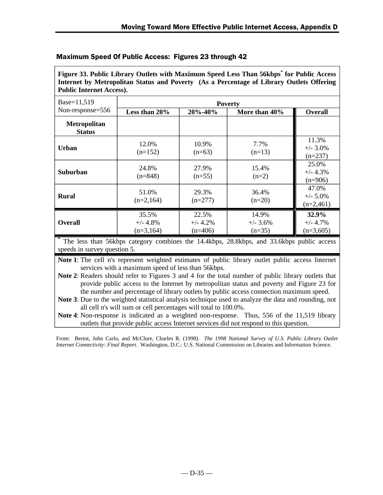| <b>Public Internet Access).</b>      |                                     |                                  |                                  |                                     |  |  |
|--------------------------------------|-------------------------------------|----------------------------------|----------------------------------|-------------------------------------|--|--|
| Base=11,519                          | <b>Poverty</b>                      |                                  |                                  |                                     |  |  |
| Non-response=556                     | Less than 20%                       | 20%-40%                          | More than 40%                    | <b>Overall</b>                      |  |  |
| <b>Metropolitan</b><br><b>Status</b> |                                     |                                  |                                  |                                     |  |  |
| Urban                                | 12.0%<br>$(n=152)$                  | 10.9%<br>$(n=63)$                | 7.7%<br>$(n=13)$                 | 11.3%<br>$+/- 3.0\%$<br>$(n=237)$   |  |  |
| Suburban                             | 24.8%<br>$(n=848)$                  | 27.9%<br>$(n=55)$                | 15.4%<br>$(n=2)$                 | 25.0%<br>$+/- 4.3%$<br>$(n=906)$    |  |  |
| <b>Rural</b>                         | 51.0%<br>$(n=2,164)$                | 29.3%<br>$(n=277)$               | 36.4%<br>$(n=20)$                | 47.0%<br>$+/- 5.0\%$<br>$(n=2,461)$ |  |  |
| <b>Overall</b>                       | 35.5%<br>$+/- 4.8\%$<br>$(n=3,164)$ | 22.5%<br>$+/- 4.2%$<br>$(n=406)$ | 14.9%<br>$+/- 3.6\%$<br>$(n=35)$ | 32.9%<br>$+/- 4.7%$<br>$(n=3,605)$  |  |  |

**Figure 33. Public Library Outlets with Maximum Speed Less Than 56kbps\* for Public Access Internet by Metropolitan Status and Poverty (As a Percentage of Library Outlets Offering**

#### Maximum Speed Of Public Access: Figures 23 through 42

The less than 56kbps category combines the 14.4kbps, 28.8kbps, and 33.6kbps public access speeds in survey question 5.

Note 1: The cell n's represent weighted estimates of public library outlet public access Internet services with a maximum speed of less than 56kbps.

**Note 2**: Readers should refer to Figures 3 and 4 for the total number of public library outlets that provide public access to the Internet by metropolitan status and poverty and Figure 23 for the number and percentage of library outlets by public access connection maximum speed.

**Note 3**: Due to the weighted statistical analysis technique used to analyze the data and rounding, not all cell n's will sum or cell percentages will total to 100.0%.

**Note 4**: Non-response is indicated as a weighted non-response. Thus, 556 of the 11,519 library outlets that provide public access Internet services did not respond to this question.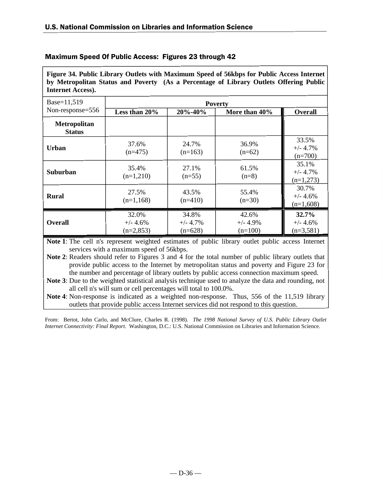**Figure 34. Public Library Outlets with Maximum Speed of 56kbps for Public Access Internet by Metropolitan Status and Poverty (As a Percentage of Library Outlets Offering Public Internet Access).**

| Base=11,519                          | <b>Poverty</b>                     |                                  |                                  |                                     |  |
|--------------------------------------|------------------------------------|----------------------------------|----------------------------------|-------------------------------------|--|
| Non-response=556                     | Less than 20%                      | 20%-40%                          | More than 40%                    | <b>Overall</b>                      |  |
| <b>Metropolitan</b><br><b>Status</b> |                                    |                                  |                                  |                                     |  |
| <b>Urban</b>                         | 37.6%<br>$(n=475)$                 | 24.7%<br>$(n=163)$               | 36.9%<br>$(n=62)$                | 33.5%<br>$+/- 4.7%$<br>$(n=700)$    |  |
| <b>Suburban</b>                      | 35.4%<br>$(n=1,210)$               | 27.1%<br>$(n=55)$                | 61.5%<br>$(n=8)$                 | 35.1%<br>$+/- 4.7\%$<br>$(n=1,273)$ |  |
| <b>Rural</b>                         | 27.5%<br>$(n=1,168)$               | 43.5%<br>$(n=410)$               | 55.4%<br>$(n=30)$                | 30.7%<br>$+/- 4.6%$<br>$(n=1,608)$  |  |
| <b>Overall</b>                       | 32.0%<br>$+/- 4.6%$<br>$(n=2,853)$ | 34.8%<br>$+/- 4.7%$<br>$(n=628)$ | 42.6%<br>$+/- 4.9%$<br>$(n=100)$ | 32.7%<br>$+/- 4.6%$<br>$(n=3,581)$  |  |

**Note 1**: The cell n's represent weighted estimates of public library outlet public access Internet services with a maximum speed of 56kbps.

**Note 2**: Readers should refer to Figures 3 and 4 for the total number of public library outlets that provide public access to the Internet by metropolitan status and poverty and Figure 23 for the number and percentage of library outlets by public access connection maximum speed.

**Note 3**: Due to the weighted statistical analysis technique used to analyze the data and rounding, not all cell n's will sum or cell percentages will total to 100.0%.

**Note 4**: Non-response is indicated as a weighted non-response. Thus, 556 of the 11,519 library outlets that provide public access Internet services did not respond to this question.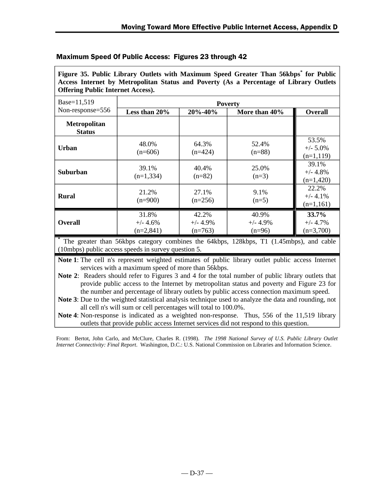| Access Internet by Metropolitan Status and Poverty (As a Percentage of Library Outlets<br><b>Offering Public Internet Access).</b> |                                    |                                   |                                 |                                     |  |  |
|------------------------------------------------------------------------------------------------------------------------------------|------------------------------------|-----------------------------------|---------------------------------|-------------------------------------|--|--|
| Base=11,519                                                                                                                        |                                    |                                   | <b>Poverty</b>                  |                                     |  |  |
| Non-response=556                                                                                                                   | Less than 20%                      | 20%-40%                           | More than 40%                   | <b>Overall</b>                      |  |  |
| <b>Metropolitan</b><br><b>Status</b>                                                                                               |                                    |                                   |                                 |                                     |  |  |
| Urban                                                                                                                              | 48.0%<br>$(n=606)$                 | 64.3%<br>$(n=424)$                | 52.4%<br>$(n=88)$               | 53.5%<br>$+/- 5.0\%$<br>$(n=1,119)$ |  |  |
| <b>Suburban</b>                                                                                                                    | 39.1%<br>$(n=1,334)$               | 40.4%<br>$(n=82)$                 | 25.0%<br>$(n=3)$                | 39.1%<br>$+/- 4.8%$<br>$(n=1,420)$  |  |  |
| <b>Rural</b>                                                                                                                       | 21.2%<br>$(n=900)$                 | 27.1%<br>$(n=256)$                | 9.1%<br>$(n=5)$                 | 22.2%<br>$+/- 4.1\%$<br>$(n=1,161)$ |  |  |
| <b>Overall</b><br>*                                                                                                                | 31.8%<br>$+/- 4.6%$<br>$(n=2,841)$ | 42.2%<br>$+/- 4.9\%$<br>$(n=763)$ | 40.9%<br>$+/- 4.9%$<br>$(n=96)$ | 33.7%<br>$+/- 4.7\%$<br>$(n=3,700)$ |  |  |

**Figure 35. Public Library Outlets with Maximum Speed Greater Than 56kbps\* for Public**

# Maximum Speed Of Public Access: Figures 23 through 42

**\*** The greater than 56kbps category combines the 64kbps, 128kbps, T1 (1.45mbps), and cable (10mbps) public access speeds in survey question 5.

**Note 1**: The cell n's represent weighted estimates of public library outlet public access Internet services with a maximum speed of more than 56kbps.

**Note 2**: Readers should refer to Figures 3 and 4 for the total number of public library outlets that provide public access to the Internet by metropolitan status and poverty and Figure 23 for the number and percentage of library outlets by public access connection maximum speed.

**Note 3**: Due to the weighted statistical analysis technique used to analyze the data and rounding, not all cell n's will sum or cell percentages will total to 100.0%.

**Note 4**: Non-response is indicated as a weighted non-response. Thus, 556 of the 11,519 library outlets that provide public access Internet services did not respond to this question.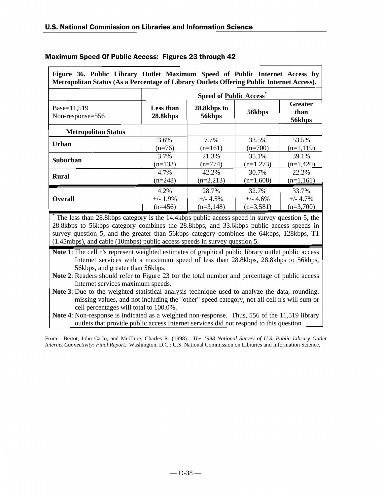| Figure 36. Public Library Outlet Maximum Speed of Public Internet Access by<br>Metropolitan Status (As a Percentage of Library Outlets Offering Public Internet Access). |                               |                       |             |                                  |  |
|--------------------------------------------------------------------------------------------------------------------------------------------------------------------------|-------------------------------|-----------------------|-------------|----------------------------------|--|
|                                                                                                                                                                          | <b>Speed of Public Access</b> |                       |             |                                  |  |
| Base=11,519<br>Non-response=556                                                                                                                                          | Less than<br>28.8kbps         | 28.8kbps to<br>56kbps | 56kbps      | <b>Greater</b><br>than<br>56kbps |  |
| <b>Metropolitan Status</b>                                                                                                                                               |                               |                       |             |                                  |  |
| <b>Urban</b>                                                                                                                                                             | 3.6%                          | 7.7%                  | 33.5%       | 53.5%                            |  |
|                                                                                                                                                                          | $(n=76)$                      | $(n=161)$             | $(n=700)$   | $(n=1,119)$                      |  |
| Suburban                                                                                                                                                                 | 3.7%                          | 21.3%                 | 35.1%       | 39.1%                            |  |
|                                                                                                                                                                          | $(n=133)$                     | $(n=774)$             | $(n=1,273)$ | $(n=1,420)$                      |  |
| <b>Rural</b>                                                                                                                                                             | 4.7%                          | 42.2%                 | 30.7%       | 22.2%                            |  |
|                                                                                                                                                                          | $(n=248)$                     | $(n=2,213)$           | $(n=1,608)$ | $(n=1,161)$                      |  |
| <b>Overall</b>                                                                                                                                                           | 4.2%                          | 28.7%                 | 32.7%       | 33.7%                            |  |
|                                                                                                                                                                          | $+/- 1.9\%$                   | $+/- 4.5%$            | $+/- 4.6%$  | $+/- 4.7\%$                      |  |
|                                                                                                                                                                          | $(n=456)$                     | $(n=3,148)$           | $(n=3,581)$ | $(n=3,700)$                      |  |

**\*** The less than 28.8kbps category is the 14.4kbps public access speed in survey question 5, the 28.8kbps to 56kbps category combines the 28.8kbps, and 33.6kbps public access speeds in survey question 5, and the greater than 56kbps category combines the 64kbps, 128kbps, T1 (1.45mbps), and cable (10mbps) public access speeds in survey question 5.

**Note 1**: The cell n's represent weighted estimates of graphical public library outlet public access Internet services with a maximum speed of less than 28.8kbps, 28.8kbps to 56kbps, 56kbps, and greater than 56kbps.

**Note 2**: Readers should refer to Figure 23 for the total number and percentage of public access Internet services maximum speeds.

**Note 3**: Due to the weighted statistical analysis technique used to analyze the data, rounding, missing values, and not including the "other" speed category, not all cell n's will sum or cell percentages will total to 100.0%.

**Note 4**: Non-response is indicated as a weighted non-response. Thus, 556 of the 11,519 library outlets that provide public access Internet services did not respond to this question.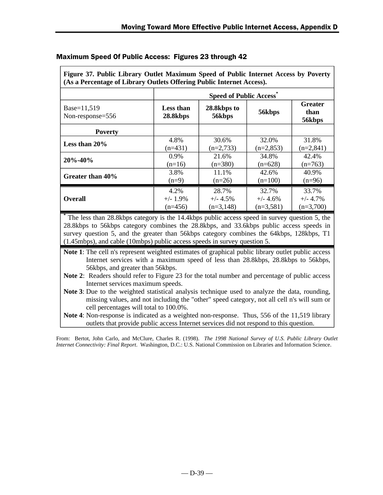| (As a Percentage of Library Outlets Offering Public Internet Access). |                               |                       |             |                           |  |
|-----------------------------------------------------------------------|-------------------------------|-----------------------|-------------|---------------------------|--|
|                                                                       | <b>Speed of Public Access</b> |                       |             |                           |  |
| Base=11,519<br>Non-response=556                                       | Less than<br>28.8kbps         | 28.8kbps to<br>56kbps | 56kbps      | Greater<br>than<br>56kbps |  |
| <b>Poverty</b>                                                        |                               |                       |             |                           |  |
| Less than $20\%$                                                      | 4.8%                          | 30.6%                 | 32.0%       | 31.8%                     |  |
|                                                                       | $(n=431)$                     | $(n=2,733)$           | $(n=2,853)$ | $(n=2,841)$               |  |
| $20\% - 40\%$                                                         | $0.9\%$                       | 21.6%                 | 34.8%       | 42.4%                     |  |
|                                                                       | $(n=16)$                      | $(n=380)$             | $(n=628)$   | $(n=763)$                 |  |
| Greater than 40%                                                      | 3.8%                          | 11.1%                 | 42.6%       | 40.9%                     |  |
|                                                                       | $(n=9)$                       | $(n=26)$              | $(n=100)$   | $(n=96)$                  |  |
| <b>Overall</b>                                                        | 4.2%                          | 28.7%                 | 32.7%       | 33.7%                     |  |
|                                                                       | $+/- 1.9\%$                   | $+/- 4.5\%$           | $+/- 4.6\%$ | $+/- 4.7\%$               |  |
|                                                                       | $(n=456)$                     | $(n=3,148)$           | $(n=3,581)$ | $(n=3,700)$               |  |

**Figure 37. Public Library Outlet Maximum Speed of Public Internet Access by Poverty**

# Maximum Speed Of Public Access: Figures 23 through 42

**\*** The less than 28.8kbps category is the 14.4kbps public access speed in survey question 5, the 28.8kbps to 56kbps category combines the 28.8kbps, and 33.6kbps public access speeds in survey question 5, and the greater than 56kbps category combines the 64kbps, 128kbps, T1 (1.45mbps), and cable (10mbps) public access speeds in survey question 5.

**Note 1**: The cell n's represent weighted estimates of graphical public library outlet public access Internet services with a maximum speed of less than 28.8kbps, 28.8kbps to 56kbps, 56kbps, and greater than 56kbps.

- **Note 2**: Readers should refer to Figure 23 for the total number and percentage of public access Internet services maximum speeds.
- **Note 3**: Due to the weighted statistical analysis technique used to analyze the data, rounding, missing values, and not including the "other" speed category, not all cell n's will sum or cell percentages will total to 100.0%.

**Note 4**: Non-response is indicated as a weighted non-response. Thus, 556 of the 11,519 library outlets that provide public access Internet services did not respond to this question.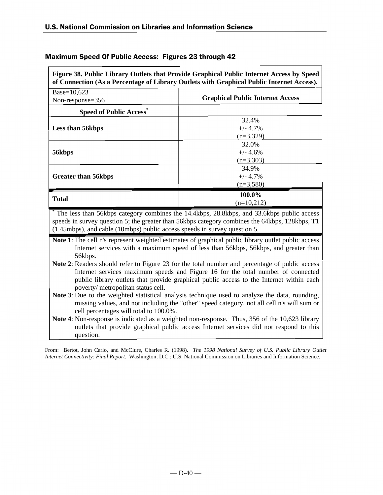|                                                                           | of Connection (As a Percentage of Library Outlets with Graphical Public Internet Access).                                                                                                                                                                                                                                                                                                                                                                                                                                                                                                          |
|---------------------------------------------------------------------------|----------------------------------------------------------------------------------------------------------------------------------------------------------------------------------------------------------------------------------------------------------------------------------------------------------------------------------------------------------------------------------------------------------------------------------------------------------------------------------------------------------------------------------------------------------------------------------------------------|
| Base=10,623                                                               |                                                                                                                                                                                                                                                                                                                                                                                                                                                                                                                                                                                                    |
| Non-response=356                                                          | <b>Graphical Public Internet Access</b>                                                                                                                                                                                                                                                                                                                                                                                                                                                                                                                                                            |
| <b>Speed of Public Access</b> *                                           |                                                                                                                                                                                                                                                                                                                                                                                                                                                                                                                                                                                                    |
|                                                                           | 32.4%                                                                                                                                                                                                                                                                                                                                                                                                                                                                                                                                                                                              |
| Less than 56kbps                                                          | $+/- 4.7%$                                                                                                                                                                                                                                                                                                                                                                                                                                                                                                                                                                                         |
|                                                                           | $(n=3,329)$                                                                                                                                                                                                                                                                                                                                                                                                                                                                                                                                                                                        |
|                                                                           | 32.0%                                                                                                                                                                                                                                                                                                                                                                                                                                                                                                                                                                                              |
| 56kbps                                                                    | $+/- 4.6%$                                                                                                                                                                                                                                                                                                                                                                                                                                                                                                                                                                                         |
|                                                                           | $(n=3,303)$                                                                                                                                                                                                                                                                                                                                                                                                                                                                                                                                                                                        |
|                                                                           | 34.9%                                                                                                                                                                                                                                                                                                                                                                                                                                                                                                                                                                                              |
| <b>Greater than 56kbps</b>                                                | $+/- 4.7%$                                                                                                                                                                                                                                                                                                                                                                                                                                                                                                                                                                                         |
|                                                                           | $(n=3,580)$                                                                                                                                                                                                                                                                                                                                                                                                                                                                                                                                                                                        |
| <b>Total</b>                                                              | 100.0%                                                                                                                                                                                                                                                                                                                                                                                                                                                                                                                                                                                             |
|                                                                           | $(n=10,212)$                                                                                                                                                                                                                                                                                                                                                                                                                                                                                                                                                                                       |
| (1.45mbps), and cable (10mbps) public access speeds in survey question 5. | The less than 56kbps category combines the 14.4kbps, 28.8kbps, and 33.6kbps public access<br>speeds in survey question 5; the greater than 56kbps category combines the 64kbps, 128kbps, T1                                                                                                                                                                                                                                                                                                                                                                                                        |
|                                                                           |                                                                                                                                                                                                                                                                                                                                                                                                                                                                                                                                                                                                    |
| 56kbps.<br>poverty/ metropolitan status cell.                             | <b>Note 1:</b> The cell n's represent weighted estimates of graphical public library outlet public access<br>Internet services with a maximum speed of less than 56kbps, 56kbps, and greater than<br><b>Note 2:</b> Readers should refer to Figure 23 for the total number and percentage of public access<br>Internet services maximum speeds and Figure 16 for the total number of connected<br>public library outlets that provide graphical public access to the Internet within each<br><b>Note 3:</b> Due to the weighted statistical analysis technique used to analyze the data, rounding, |
| cell percentages will total to 100.0%.                                    | missing values, and not including the "other" speed category, not all cell n's will sum or<br>Note 4: Non-response is indicated as a weighted non-response. Thus, 356 of the 10,623 library                                                                                                                                                                                                                                                                                                                                                                                                        |

٦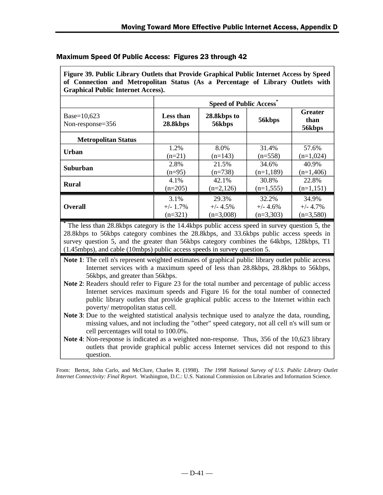| <b>Graphical Public Internet Access).</b> |                               |                       |             |                           |  |  |
|-------------------------------------------|-------------------------------|-----------------------|-------------|---------------------------|--|--|
|                                           | <b>Speed of Public Access</b> |                       |             |                           |  |  |
| Base=10,623<br>Non-response=356           | Less than<br>28.8kbps         | 28.8kbps to<br>56kbps | 56kbps      | Greater<br>than<br>56kbps |  |  |
| <b>Metropolitan Status</b>                |                               |                       |             |                           |  |  |
| Urban                                     | 1.2%                          | 8.0%                  | 31.4%       | 57.6%                     |  |  |
|                                           | $(n=21)$                      | $(n=143)$             | $(n=558)$   | $(n=1,024)$               |  |  |
| <b>Suburban</b>                           | 2.8%                          | 21.5%                 | 34.6%       | 40.9%                     |  |  |
|                                           | $(n=95)$                      | $(n=738)$             | $(n=1,189)$ | $(n=1,406)$               |  |  |
| <b>Rural</b>                              | 4.1%                          | 42.1%                 | 30.8%       | 22.8%                     |  |  |
|                                           | $(n=205)$                     | $(n=2,126)$           | $(n=1,555)$ | $(n=1,151)$               |  |  |
|                                           | 3.1%                          | 29.3%                 | 32.2%       | 34.9%                     |  |  |
| <b>Overall</b>                            | $+/- 1.7\%$                   | $+/- 4.5\%$           | $+/- 4.6%$  | $+/- 4.7\%$               |  |  |
|                                           | $(n=321)$                     | $(n=3,008)$           | $(n=3,303)$ | $(n=3,580)$               |  |  |

**Figure 39. Public Library Outlets that Provide Graphical Public Internet Access by Speed of Connection and Metropolitan Status (As a Percentage of Library Outlets with**

# Maximum Speed Of Public Access: Figures 23 through 42

**\*** The less than 28.8kbps category is the 14.4kbps public access speed in survey question 5, the 28.8kbps to 56kbps category combines the 28.8kbps, and 33.6kbps public access speeds in survey question 5, and the greater than 56kbps category combines the 64kbps, 128kbps, T1 (1.45mbps), and cable (10mbps) public access speeds in survey question 5.

**Note 1**: The cell n's represent weighted estimates of graphical public library outlet public access Internet services with a maximum speed of less than 28.8kbps, 28.8kbps to 56kbps, 56kbps, and greater than 56kbps.

- **Note 2**: Readers should refer to Figure 23 for the total number and percentage of public access Internet services maximum speeds and Figure 16 for the total number of connected public library outlets that provide graphical public access to the Internet within each poverty/ metropolitan status cell.
- **Note 3**: Due to the weighted statistical analysis technique used to analyze the data, rounding, missing values, and not including the "other" speed category, not all cell n's will sum or cell percentages will total to 100.0%.
- **Note 4**: Non-response is indicated as a weighted non-response. Thus, 356 of the 10,623 library outlets that provide graphical public access Internet services did not respond to this question.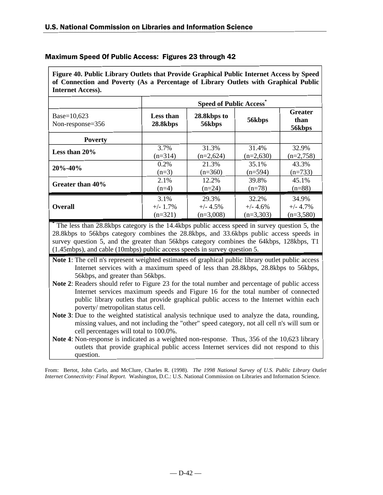| <b>Internet Access).</b>           |                               |                       |             |                                  |  |  |
|------------------------------------|-------------------------------|-----------------------|-------------|----------------------------------|--|--|
|                                    | <b>Speed of Public Access</b> |                       |             |                                  |  |  |
| Base= $10,623$<br>Non-response=356 | Less than<br>28.8kbps         | 28.8kbps to<br>56kbps | 56kbps      | <b>Greater</b><br>than<br>56kbps |  |  |
| <b>Poverty</b>                     |                               |                       |             |                                  |  |  |
| Less than $20\%$                   | 3.7%                          | 31.3%                 | 31.4%       | 32.9%                            |  |  |
|                                    | $(n=314)$                     | $(n=2,624)$           | $(n=2,630)$ | $(n=2,758)$                      |  |  |
| $20\% - 40\%$                      | 0.2%                          | 21.3%                 | 35.1%       | 43.3%                            |  |  |
|                                    | $(n=3)$                       | $(n=360)$             | $(n=594)$   | $(n=733)$                        |  |  |
| Greater than 40%                   | 2.1%                          | 12.2%                 | 39.8%       | 45.1%                            |  |  |
|                                    | $(n=4)$                       | $(n=24)$              | $(n=78)$    | $(n=88)$                         |  |  |
| <b>Overall</b>                     | 3.1%                          | 29.3%                 | 32.2%       | 34.9%                            |  |  |
|                                    | $+/- 1.7\%$                   | $+/- 4.5%$            | $+/- 4.6%$  | $+/- 4.7\%$                      |  |  |
|                                    | $(n=321)$                     | $(n=3,008)$           | $(n=3,303)$ | $(n=3,580)$                      |  |  |

**Figure 40. Public Library Outlets that Provide Graphical Public Internet Access by Speed of Connection and Poverty (As a Percentage of Library Outlets with Graphical Public**

Maximum Speed Of Public Access: Figures 23 through 42

**\*** The less than 28.8kbps category is the 14.4kbps public access speed in survey question 5, the 28.8kbps to 56kbps category combines the 28.8kbps, and 33.6kbps public access speeds in survey question 5, and the greater than 56kbps category combines the 64kbps, 128kbps, T1 (1.45mbps), and cable (10mbps) public access speeds in survey question 5.

**Note 1**: The cell n's represent weighted estimates of graphical public library outlet public access Internet services with a maximum speed of less than 28.8kbps, 28.8kbps to 56kbps, 56kbps, and greater than 56kbps.

**Note 2**: Readers should refer to Figure 23 for the total number and percentage of public access Internet services maximum speeds and Figure 16 for the total number of connected public library outlets that provide graphical public access to the Internet within each poverty/ metropolitan status cell.

**Note 3**: Due to the weighted statistical analysis technique used to analyze the data, rounding, missing values, and not including the "other" speed category, not all cell n's will sum or cell percentages will total to 100.0%.

**Note 4**: Non-response is indicated as a weighted non-response. Thus, 356 of the 10,623 library outlets that provide graphical public access Internet services did not respond to this question.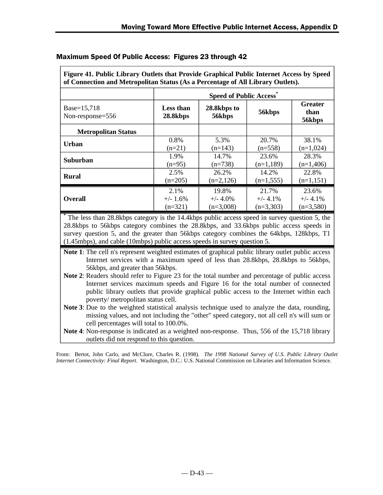| of Connection and Metropolitan Status (As a Percentage of All Library Outlets). |                               |                           |             |             |  |
|---------------------------------------------------------------------------------|-------------------------------|---------------------------|-------------|-------------|--|
|                                                                                 | <b>Speed of Public Access</b> |                           |             |             |  |
| Base=15,718<br>Non-response=556                                                 | Less than<br>28.8kbps         | Greater<br>than<br>56kbps |             |             |  |
| <b>Metropolitan Status</b>                                                      |                               |                           |             |             |  |
| <b>Urban</b>                                                                    | 0.8%                          | 5.3%                      | 20.7%       | 38.1%       |  |
|                                                                                 | $(n=21)$                      | $(n=143)$                 | $(n=558)$   | $(n=1,024)$ |  |
| Suburban                                                                        | 1.9%                          | 14.7%                     | 23.6%       | 28.3%       |  |
|                                                                                 | $(n=95)$                      | $(n=738)$                 | $(n=1,189)$ | $(n=1,406)$ |  |
| <b>Rural</b>                                                                    | 2.5%                          | 26.2%                     | 14.2%       | 22.8%       |  |
|                                                                                 | $(n=205)$                     | $(n=2,126)$               | $(n=1,555)$ | $(n=1,151)$ |  |
| <b>Overall</b>                                                                  | 2.1%                          | 19.8%                     | 21.7%       | 23.6%       |  |
|                                                                                 | $+/- 1.6\%$                   | $+/- 4.0\%$               | $+/- 4.1\%$ | $+/- 4.1\%$ |  |
|                                                                                 | $(n=321)$                     | $(n=3,008)$               | $(n=3,303)$ | $(n=3,580)$ |  |

**Figure 41. Public Library Outlets that Provide Graphical Public Internet Access by Speed**

# Maximum Speed Of Public Access: Figures 23 through 42

**\*** The less than 28.8kbps category is the 14.4kbps public access speed in survey question 5, the 28.8kbps to 56kbps category combines the 28.8kbps, and 33.6kbps public access speeds in survey question 5, and the greater than 56kbps category combines the 64kbps, 128kbps, T1 (1.45mbps), and cable (10mbps) public access speeds in survey question 5.

**Note 1**: The cell n's represent weighted estimates of graphical public library outlet public access Internet services with a maximum speed of less than 28.8kbps, 28.8kbps to 56kbps, 56kbps, and greater than 56kbps.

- **Note 2**: Readers should refer to Figure 23 for the total number and percentage of public access Internet services maximum speeds and Figure 16 for the total number of connected public library outlets that provide graphical public access to the Internet within each poverty/ metropolitan status cell.
- **Note 3**: Due to the weighted statistical analysis technique used to analyze the data, rounding, missing values, and not including the "other" speed category, not all cell n's will sum or cell percentages will total to 100.0%.
- **Note 4**: Non-response is indicated as a weighted non-response. Thus, 556 of the 15,718 library outlets did not respond to this question.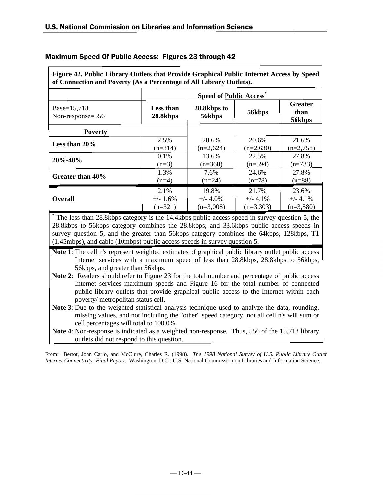| $\mathbf{r}$ and $\mathbf{r}$ and $\mathbf{r}$ are $\mathbf{r}$ and $\mathbf{r}$ and $\mathbf{r}$ are $\mathbf{r}$ and $\mathbf{r}$ and $\mathbf{r}$ are $\mathbf{r}$ and $\mathbf{r}$ are $\mathbf{r}$<br>of Connection and Poverty (As a Percentage of All Library Outlets). |                               |                       |             |                                  |  |
|--------------------------------------------------------------------------------------------------------------------------------------------------------------------------------------------------------------------------------------------------------------------------------|-------------------------------|-----------------------|-------------|----------------------------------|--|
|                                                                                                                                                                                                                                                                                | <b>Speed of Public Access</b> |                       |             |                                  |  |
| Base=15,718<br>Non-response=556                                                                                                                                                                                                                                                | Less than<br>28.8kbps         | 28.8kbps to<br>56kbps | 56kbps      | <b>Greater</b><br>than<br>56kbps |  |
| <b>Poverty</b>                                                                                                                                                                                                                                                                 |                               |                       |             |                                  |  |
| Less than 20%                                                                                                                                                                                                                                                                  | 2.5%                          | 20.6%                 | 20.6%       | 21.6%                            |  |
|                                                                                                                                                                                                                                                                                | $(n=314)$                     | $(n=2,624)$           | $(n=2,630)$ | $(n=2,758)$                      |  |
| $20\% - 40\%$                                                                                                                                                                                                                                                                  | 0.1%                          | 13.6%                 | 22.5%       | 27.8%                            |  |
|                                                                                                                                                                                                                                                                                | $(n=3)$                       | $(n=360)$             | $(n=594)$   | $(n=733)$                        |  |
| Greater than 40%                                                                                                                                                                                                                                                               | 1.3%                          | 7.6%                  | 24.6%       | 27.8%                            |  |
|                                                                                                                                                                                                                                                                                | $(n=4)$                       | $(n=24)$              | $(n=78)$    | $(n=88)$                         |  |
| <b>Overall</b>                                                                                                                                                                                                                                                                 | 2.1%                          | 19.8%                 | 21.7%       | 23.6%                            |  |
|                                                                                                                                                                                                                                                                                | $+/- 1.6\%$                   | $+/- 4.0\%$           | $+/- 4.1\%$ | $+/- 4.1\%$                      |  |
|                                                                                                                                                                                                                                                                                | $(n=321)$                     | $(n=3,008)$           | $(n=3,303)$ | $(n=3,580)$                      |  |

**Figure 42. Public Library Outlets that Provide Graphical Public Internet Access by Speed**

# Maximum Speed Of Public Access: Figures 23 through 42

**\*** The less than 28.8kbps category is the 14.4kbps public access speed in survey question 5, the 28.8kbps to 56kbps category combines the 28.8kbps, and 33.6kbps public access speeds in survey question 5, and the greater than 56kbps category combines the 64kbps, 128kbps, T1 (1.45mbps), and cable (10mbps) public access speeds in survey question 5.

**Note 1**: The cell n's represent weighted estimates of graphical public library outlet public access Internet services with a maximum speed of less than 28.8kbps, 28.8kbps to 56kbps, 56kbps, and greater than 56kbps.

**Note 2:** Readers should refer to Figure 23 for the total number and percentage of public access Internet services maximum speeds and Figure 16 for the total number of connected public library outlets that provide graphical public access to the Internet within each poverty/ metropolitan status cell.

**Note 3**: Due to the weighted statistical analysis technique used to analyze the data, rounding, missing values, and not including the "other" speed category, not all cell n's will sum or cell percentages will total to 100.0%.

**Note 4**: Non-response is indicated as a weighted non-response. Thus, 556 of the 15,718 library outlets did not respond to this question.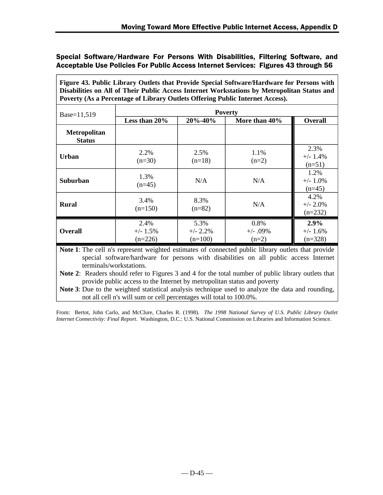**Figure 43. Public Library Outlets that Provide Special Software/Hardware for Persons with Disabilities on All of Their Public Access Internet Workstations by Metropolitan Status and Poverty (As a Percentage of Library Outlets Offering Public Internet Access).**

| Base=11,519                   | <b>Poverty</b>                   |                                  |                               |                                  |  |  |
|-------------------------------|----------------------------------|----------------------------------|-------------------------------|----------------------------------|--|--|
|                               | Less than 20%                    | 20%-40%                          | More than 40%                 | Overall                          |  |  |
| Metropolitan<br><b>Status</b> |                                  |                                  |                               |                                  |  |  |
| Urban                         | 2.2%<br>$(n=30)$                 | 2.5%<br>$(n=18)$                 | 1.1%<br>$(n=2)$               | 2.3%<br>$+/- 1.4%$<br>$(n=51)$   |  |  |
| <b>Suburban</b>               | 1.3%<br>$(n=45)$                 | N/A                              | N/A                           | 1.2%<br>$+/- 1.0%$<br>$(n=45)$   |  |  |
| <b>Rural</b>                  | 3.4%<br>$(n=150)$                | 8.3%<br>$(n=82)$                 | N/A                           | 4.2%<br>$+/- 2.0\%$<br>$(n=232)$ |  |  |
| <b>Overall</b>                | 2.4%<br>$+/- 1.5\%$<br>$(n=226)$ | 5.3%<br>$+/- 2.2\%$<br>$(n=100)$ | 0.8%<br>$+/-$ .09%<br>$(n=2)$ | 2.9%<br>$+/- 1.6\%$<br>$(n=328)$ |  |  |

**Note 1**: The cell n's represent weighted estimates of connected public library outlets that provide special software/hardware for persons with disabilities on all public access Internet terminals/workstations.

**Note 2**: Readers should refer to Figures 3 and 4 for the total number of public library outlets that provide public access to the Internet by metropolitan status and poverty

**Note 3**: Due to the weighted statistical analysis technique used to analyze the data and rounding, not all cell n's will sum or cell percentages will total to 100.0%.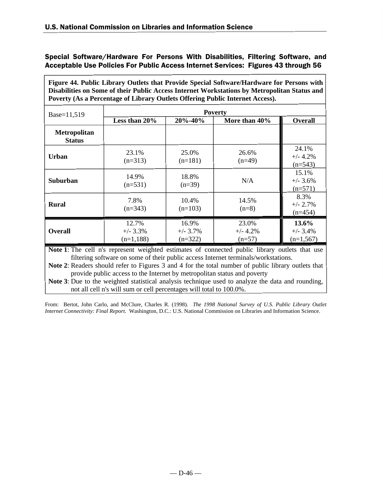**Figure 44. Public Library Outlets that Provide Special Software/Hardware for Persons with Disabilities on Some of their Public Access Internet Workstations by Metropolitan Status and Poverty (As a Percentage of Library Outlets Offering Public Internet Access).**

| Base=11,519                          | <b>Poverty</b>                      |                                   |                                 |                                     |
|--------------------------------------|-------------------------------------|-----------------------------------|---------------------------------|-------------------------------------|
|                                      | Less than 20%                       | 20%-40%                           | More than 40%                   | <b>Overall</b>                      |
| <b>Metropolitan</b><br><b>Status</b> |                                     |                                   |                                 |                                     |
| Urban                                | 23.1%<br>$(n=313)$                  | 25.0%<br>$(n=181)$                | 26.6%<br>$(n=49)$               | 24.1%<br>$+/- 4.2%$<br>$(n=543)$    |
| <b>Suburban</b>                      | 14.9%<br>$(n=531)$                  | 18.8%<br>$(n=39)$                 | N/A                             | 15.1%<br>$+/- 3.6%$<br>$(n=571)$    |
| <b>Rural</b>                         | 7.8%<br>$(n=343)$                   | 10.4%<br>$(n=103)$                | 14.5%<br>$(n=8)$                | 8.3%<br>$+/- 2.7%$<br>$(n=454)$     |
| <b>Overall</b>                       | 12.7%<br>$+/- 3.3\%$<br>$(n=1,188)$ | 16.9%<br>$+/- 3.7\%$<br>$(n=322)$ | 23.0%<br>$+/- 4.2%$<br>$(n=57)$ | 13.6%<br>$+/- 3.4\%$<br>$(n=1,567)$ |

**Note 1**: The cell n's represent weighted estimates of connected public library outlets that use filtering software on some of their public access Internet terminals/workstations.

**Note 2**: Readers should refer to Figures 3 and 4 for the total number of public library outlets that provide public access to the Internet by metropolitan status and poverty

**Note 3**: Due to the weighted statistical analysis technique used to analyze the data and rounding, not all cell n's will sum or cell percentages will total to 100.0%.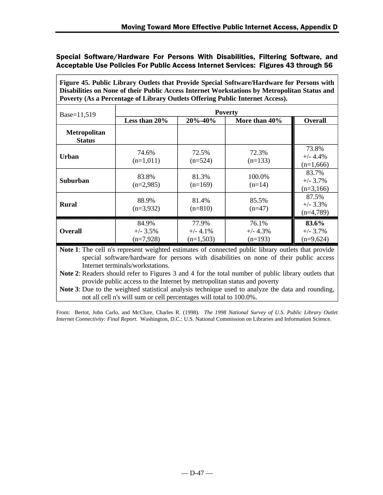**Figure 45. Public Library Outlets that Provide Special Software/Hardware for Persons with Disabilities on None of their Public Access Internet Workstations by Metropolitan Status and Poverty (As a Percentage of Library Outlets Offering Public Internet Access).**

| Base=11,519                          | <b>Poverty</b>                      |                                     |                                  |                                     |  |
|--------------------------------------|-------------------------------------|-------------------------------------|----------------------------------|-------------------------------------|--|
|                                      | Less than 20%                       | 20%-40%                             | More than 40%                    | <b>Overall</b>                      |  |
| <b>Metropolitan</b><br><b>Status</b> |                                     |                                     |                                  |                                     |  |
| Urban                                | 74.6%<br>$(n=1,011)$                | 72.5%<br>$(n=524)$                  | 72.3%<br>$(n=133)$               | 73.8%<br>$+/- 4.4\%$<br>$(n=1,666)$ |  |
| Suburban                             | 83.8%<br>$(n=2,985)$                | 81.3%<br>$(n=169)$                  | 100.0%<br>$(n=14)$               | 83.7%<br>$+/- 3.7%$<br>$(n=3,166)$  |  |
| <b>Rural</b>                         | 88.9%<br>$(n=3,932)$                | 81.4%<br>$(n=810)$                  | 85.5%<br>$(n=47)$                | 87.5%<br>$+/- 3.3\%$<br>$(n=4,789)$ |  |
| <b>Overall</b>                       | 84.9%<br>$+/- 3.5\%$<br>$(n=7,928)$ | 77.9%<br>$+/- 4.1\%$<br>$(n=1,503)$ | 76.1%<br>$+/- 4.3%$<br>$(n=193)$ | 83.6%<br>$+/- 3.7\%$<br>$(n=9,624)$ |  |

**Note 1**: The cell n's represent weighted estimates of connected public library outlets that provide special software/hardware for persons with disabilities on none of their public access Internet terminals/workstations.

**Note 2**: Readers should refer to Figures 3 and 4 for the total number of public library outlets that provide public access to the Internet by metropolitan status and poverty

**Note 3**: Due to the weighted statistical analysis technique used to analyze the data and rounding, not all cell n's will sum or cell percentages will total to 100.0%.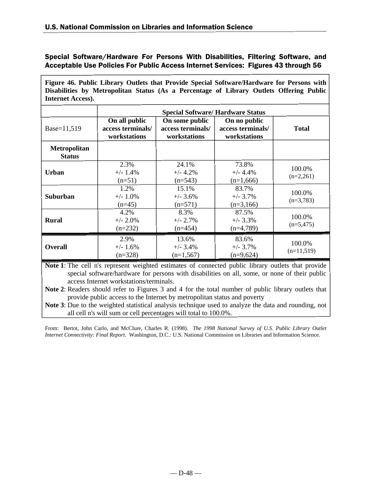**Figure 46. Public Library Outlets that Provide Special Software/Hardware for Persons with Disabilities by Metropolitan Status (As a Percentage of Library Outlets Offering Public Internet Access).**

|                                      |                                                    | <b>Special Software/ Hardware Status</b>            |                                                   |                        |
|--------------------------------------|----------------------------------------------------|-----------------------------------------------------|---------------------------------------------------|------------------------|
| Base=11,519                          | On all public<br>access terminals/<br>workstations | On some public<br>access terminals/<br>workstations | On no public<br>access terminals/<br>workstations | <b>Total</b>           |
| <b>Metropolitan</b><br><b>Status</b> |                                                    |                                                     |                                                   |                        |
| <b>Urban</b>                         | 2.3%<br>$+/- 1.4%$<br>$(n=51)$                     | 24.1%<br>$+/- 4.2%$<br>$(n=543)$                    | 73.8%<br>$+/- 4.4%$<br>$(n=1,666)$                | 100.0%<br>$(n=2,261)$  |
| Suburban                             | 1.2%<br>$+/- 1.0\%$<br>$(n=45)$                    | 15.1%<br>$+/- 3.6%$<br>$(n=571)$                    | 83.7%<br>$+/- 3.7%$<br>$(n=3,166)$                | 100.0%<br>$(n=3,783)$  |
| <b>Rural</b>                         | 4.2%<br>$+/- 2.0\%$<br>$(n=232)$                   | 8.3%<br>$+/- 2.7\%$<br>$(n=454)$                    | 87.5%<br>$+/- 3.3\%$<br>$(n=4,789)$               | 100.0%<br>$(n=5,475)$  |
| <b>Overall</b>                       | 2.9%<br>$+/- 1.6%$<br>$(n=328)$                    | 13.6%<br>$+/- 3.4%$<br>$(n=1,567)$                  | 83.6%<br>$+/- 3.7%$<br>$(n=9,624)$                | 100.0%<br>$(n=11,519)$ |

**Note 1**: The cell n's represent weighted estimates of connected public library outlets that provide special software/hardware for persons with disabilities on all, some, or none of their public access Internet workstations/terminals.

**Note 2**: Readers should refer to Figures 3 and 4 for the total number of public library outlets that provide public access to the Internet by metropolitan status and poverty

**Note 3**: Due to the weighted statistical analysis technique used to analyze the data and rounding, not all cell n's will sum or cell percentages will total to 100.0%.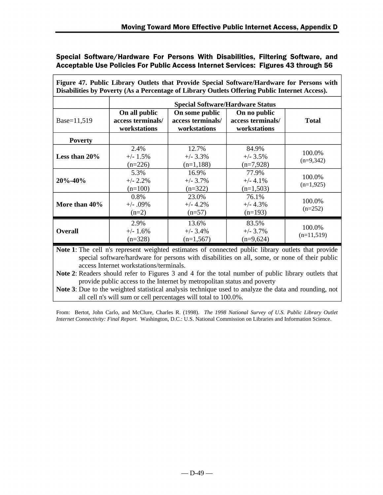|                  |                                                    | Disabilities by Poverty (As a Percentage of Library Outlets Offering Public Internet Access).<br><b>Special Software/Hardware Status</b> |                                                   |                        |
|------------------|----------------------------------------------------|------------------------------------------------------------------------------------------------------------------------------------------|---------------------------------------------------|------------------------|
| Base=11,519      | On all public<br>access terminals/<br>workstations | On some public<br>access terminals/<br>workstations                                                                                      | On no public<br>access terminals/<br>workstations | <b>Total</b>           |
| <b>Poverty</b>   |                                                    |                                                                                                                                          |                                                   |                        |
| Less than $20\%$ | 2.4%<br>$+/- 1.5%$<br>$(n=226)$                    | 12.7%<br>$+/- 3.3%$<br>$(n=1,188)$                                                                                                       | 84.9%<br>$+/- 3.5%$<br>$(n=7,928)$                | 100.0%<br>$(n=9,342)$  |
| 20%-40%          | 5.3%<br>$+/- 2.2\%$<br>$(n=100)$                   | 16.9%<br>$+/- 3.7\%$<br>$(n=322)$                                                                                                        | 77.9%<br>$+/- 4.1%$<br>$(n=1,503)$                | 100.0%<br>$(n=1,925)$  |
| More than 40%    | 0.8%<br>$+/- .09%$<br>$(n=2)$                      | 23.0%<br>$+/- 4.2%$<br>$(n=57)$                                                                                                          | 76.1%<br>$+/- 4.3%$<br>$(n=193)$                  | 100.0%<br>$(n=252)$    |
| <b>Overall</b>   | 2.9%<br>$+/- 1.6%$<br>$(n=328)$                    | 13.6%<br>$+/- 3.4%$<br>$(n=1,567)$                                                                                                       | 83.5%<br>$+/- 3.7\%$<br>$(n=9,624)$               | 100.0%<br>$(n=11,519)$ |

**Figure 47. Public Library Outlets that Provide Special Software/Hardware for Persons with**

**Note 1**: The cell n's represent weighted estimates of connected public library outlets that provide special software/hardware for persons with disabilities on all, some, or none of their public access Internet workstations/terminals.

**Note 2**: Readers should refer to Figures 3 and 4 for the total number of public library outlets that provide public access to the Internet by metropolitan status and poverty

**Note 3**: Due to the weighted statistical analysis technique used to analyze the data and rounding, not all cell n's will sum or cell percentages will total to 100.0%.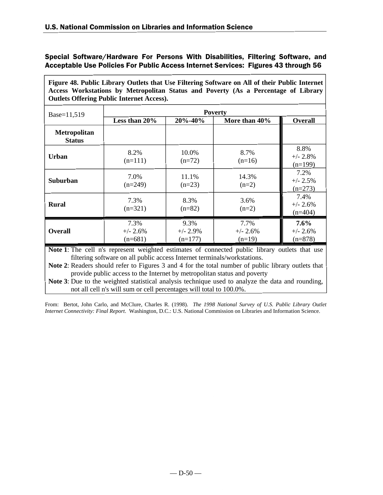**Figure 48. Public Library Outlets that Use Filtering Software on All of their Public Internet Access Workstations by Metropolitan Status and Poverty (As a Percentage of Library Outlets Offering Public Internet Access).**

| Base=11,519                   |                                 |                                  | <b>Poverty</b>                 |                                  |
|-------------------------------|---------------------------------|----------------------------------|--------------------------------|----------------------------------|
|                               | Less than 20%                   | 20%-40%                          | More than 40%                  | <b>Overall</b>                   |
| Metropolitan<br><b>Status</b> |                                 |                                  |                                |                                  |
| Urban                         | 8.2%<br>$(n=111)$               | 10.0%<br>$(n=72)$                | 8.7%<br>$(n=16)$               | 8.8%<br>$+/- 2.8\%$<br>$(n=199)$ |
| <b>Suburban</b>               | 7.0%<br>$(n=249)$               | 11.1%<br>$(n=23)$                | 14.3%<br>$(n=2)$               | 7.2%<br>$+/- 2.5%$<br>$(n=273)$  |
| <b>Rural</b>                  | 7.3%<br>$(n=321)$               | 8.3%<br>$(n=82)$                 | 3.6%<br>$(n=2)$                | 7.4%<br>$+/- 2.6%$<br>$(n=404)$  |
| <b>Overall</b>                | 7.3%<br>$+/- 2.6%$<br>$(n=681)$ | 9.3%<br>$+/- 2.9\%$<br>$(n=177)$ | 7.7%<br>$+/- 2.6%$<br>$(n=19)$ | 7.6%<br>$+/- 2.6%$<br>$(n=878)$  |

**Note 1**: The cell n's represent weighted estimates of connected public library outlets that use filtering software on all public access Internet terminals/workstations.

**Note 2**: Readers should refer to Figures 3 and 4 for the total number of public library outlets that provide public access to the Internet by metropolitan status and poverty

**Note 3**: Due to the weighted statistical analysis technique used to analyze the data and rounding, not all cell n's will sum or cell percentages will total to 100.0%.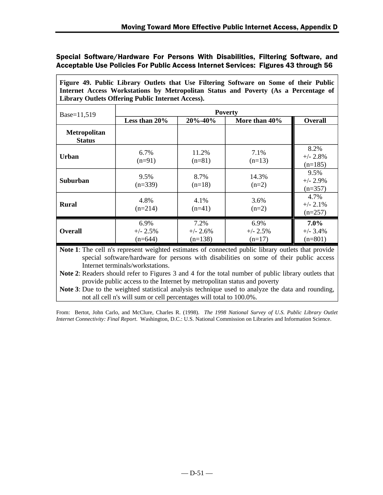**Figure 49. Public Library Outlets that Use Filtering Software on Some of their Public Internet Access Workstations by Metropolitan Status and Poverty (As a Percentage of Library Outlets Offering Public Internet Access).**

| Base=11,519                          | <b>Poverty</b>                  |                                 |                                |                                  |  |
|--------------------------------------|---------------------------------|---------------------------------|--------------------------------|----------------------------------|--|
|                                      | Less than 20%                   | $20\% - 40\%$                   | More than 40%                  | <b>Overall</b>                   |  |
| <b>Metropolitan</b><br><b>Status</b> |                                 |                                 |                                |                                  |  |
| Urban                                | 6.7%<br>$(n=91)$                | 11.2%<br>$(n=81)$               | 7.1%<br>$(n=13)$               | 8.2%<br>$+/- 2.8%$<br>$(n=185)$  |  |
| <b>Suburban</b>                      | 9.5%<br>$(n=339)$               | 8.7%<br>$(n=18)$                | 14.3%<br>$(n=2)$               | 9.5%<br>$+/- 2.9%$<br>$(n=357)$  |  |
| <b>Rural</b>                         | 4.8%<br>$(n=214)$               | 4.1%<br>$(n=41)$                | 3.6%<br>$(n=2)$                | 4.7%<br>$+/- 2.1\%$<br>$(n=257)$ |  |
| <b>Overall</b>                       | 6.9%<br>$+/- 2.5%$<br>$(n=644)$ | 7.2%<br>$+/- 2.6%$<br>$(n=138)$ | 6.9%<br>$+/- 2.5%$<br>$(n=17)$ | 7.0%<br>$+/- 3.4%$<br>$(n=801)$  |  |

**Note 1**: The cell n's represent weighted estimates of connected public library outlets that provide special software/hardware for persons with disabilities on some of their public access Internet terminals/workstations.

**Note 2**: Readers should refer to Figures 3 and 4 for the total number of public library outlets that provide public access to the Internet by metropolitan status and poverty

**Note 3**: Due to the weighted statistical analysis technique used to analyze the data and rounding, not all cell n's will sum or cell percentages will total to 100.0%.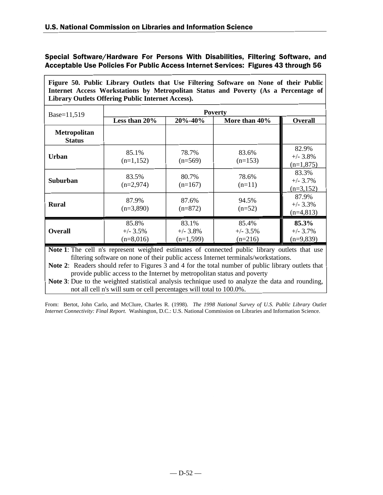**Figure 50. Public Library Outlets that Use Filtering Software on None of their Public Internet Access Workstations by Metropolitan Status and Poverty (As a Percentage of Library Outlets Offering Public Internet Access).**

| Base=11,519                   |                                     |                                     | <b>Poverty</b>                    |                                     |
|-------------------------------|-------------------------------------|-------------------------------------|-----------------------------------|-------------------------------------|
|                               | Less than 20%                       | 20%-40%                             | More than 40%                     | Overall                             |
| Metropolitan<br><b>Status</b> |                                     |                                     |                                   |                                     |
| Urban                         | 85.1%<br>$(n=1,152)$                | 78.7%<br>$(n=569)$                  | 83.6%<br>$(n=153)$                | 82.9%<br>$+/- 3.8\%$<br>$(n=1,875)$ |
| <b>Suburban</b>               | 83.5%<br>$(n=2,974)$                | 80.7%<br>$(n=167)$                  | 78.6%<br>$(n=11)$                 | 83.3%<br>$+/- 3.7%$<br>$(n=3,152)$  |
| <b>Rural</b>                  | 87.9%<br>$(n=3,890)$                | 87.6%<br>$(n=872)$                  | 94.5%<br>$(n=52)$                 | 87.9%<br>$+/- 3.3%$<br>$(n=4,813)$  |
| <b>Overall</b>                | 85.8%<br>$+/- 3.5\%$<br>$(n=8,016)$ | 83.1%<br>$+/- 3.8\%$<br>$(n=1,599)$ | 85.4%<br>$+/- 3.5\%$<br>$(n=216)$ | 85.3%<br>$+/- 3.7\%$<br>$(n=9,839)$ |

**Note 1**: The cell n's represent weighted estimates of connected public library outlets that use filtering software on none of their public access Internet terminals/workstations.

**Note 2**: Readers should refer to Figures 3 and 4 for the total number of public library outlets that provide public access to the Internet by metropolitan status and poverty

**Note 3**: Due to the weighted statistical analysis technique used to analyze the data and rounding, not all cell n's will sum or cell percentages will total to 100.0%.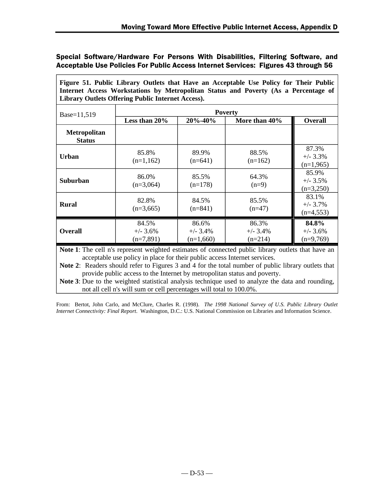**Figure 51. Public Library Outlets that Have an Acceptable Use Policy for Their Public Internet Access Workstations by Metropolitan Status and Poverty (As a Percentage of Library Outlets Offering Public Internet Access).**

| Base=11,519                          | <b>Poverty</b>                      |                                    |                                  |                                     |  |
|--------------------------------------|-------------------------------------|------------------------------------|----------------------------------|-------------------------------------|--|
|                                      | Less than 20%                       | $20\% - 40\%$                      | More than 40%                    | <b>Overall</b>                      |  |
| <b>Metropolitan</b><br><b>Status</b> |                                     |                                    |                                  |                                     |  |
| Urban                                | 85.8%<br>$(n=1,162)$                | 89.9%<br>$(n=641)$                 | 88.5%<br>$(n=162)$               | 87.3%<br>$+/- 3.3\%$<br>$(n=1,965)$ |  |
| <b>Suburban</b>                      | 86.0%<br>$(n=3,064)$                | 85.5%<br>$(n=178)$                 | 64.3%<br>$(n=9)$                 | 85.9%<br>$+/- 3.5\%$<br>$(n=3,250)$ |  |
| <b>Rural</b>                         | 82.8%<br>$(n=3,665)$                | 84.5%<br>$(n=841)$                 | 85.5%<br>$(n=47)$                | 83.1%<br>$+/- 3.7\%$<br>$(n=4,553)$ |  |
| <b>Overall</b>                       | 84.5%<br>$+/- 3.6\%$<br>$(n=7,891)$ | 86.6%<br>$+/-$ 3.4%<br>$(n=1,660)$ | 86.3%<br>$+/- 3.4%$<br>$(n=214)$ | 84.8%<br>$+/- 3.6\%$<br>$(n=9,769)$ |  |

**Note 1**: The cell n's represent weighted estimates of connected public library outlets that have an acceptable use policy in place for their public access Internet services.

**Note 2**: Readers should refer to Figures 3 and 4 for the total number of public library outlets that provide public access to the Internet by metropolitan status and poverty.

**Note 3**: Due to the weighted statistical analysis technique used to analyze the data and rounding, not all cell n's will sum or cell percentages will total to 100.0%.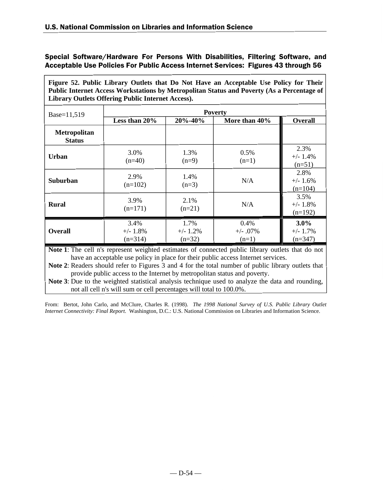**Figure 52. Public Library Outlets that Do Not Have an Acceptable Use Policy for Their Public Internet Access Workstations by Metropolitan Status and Poverty (As a Percentage of Library Outlets Offering Public Internet Access).**

| Base=11,519                          | <b>Poverty</b>                   |                                 |                                |                                 |  |
|--------------------------------------|----------------------------------|---------------------------------|--------------------------------|---------------------------------|--|
|                                      | Less than 20%                    | $20\% - 40\%$                   | More than 40%                  | <b>Overall</b>                  |  |
| <b>Metropolitan</b><br><b>Status</b> |                                  |                                 |                                |                                 |  |
| Urban                                | 3.0%<br>$(n=40)$                 | 1.3%<br>$(n=9)$                 | 0.5%<br>$(n=1)$                | 2.3%<br>$+/- 1.4%$<br>$(n=51)$  |  |
| <b>Suburban</b>                      | 2.9%<br>$(n=102)$                | 1.4%<br>$(n=3)$                 | N/A                            | 2.8%<br>$+/- 1.6%$<br>$(n=104)$ |  |
| <b>Rural</b>                         | 3.9%<br>$(n=171)$                | 2.1%<br>$(n=21)$                | N/A                            | 3.5%<br>$+/- 1.8%$<br>$(n=192)$ |  |
| <b>Overall</b>                       | 3.4%<br>$+/- 1.8\%$<br>$(n=314)$ | 1.7%<br>$+/- 1.2\%$<br>$(n=32)$ | 0.4%<br>$+/- .07\%$<br>$(n=1)$ | 3.0%<br>$+/- 1.7%$<br>$(n=347)$ |  |

**Note 1**: The cell n's represent weighted estimates of connected public library outlets that do not have an acceptable use policy in place for their public access Internet services.

**Note 2**: Readers should refer to Figures 3 and 4 for the total number of public library outlets that provide public access to the Internet by metropolitan status and poverty.

**Note 3**: Due to the weighted statistical analysis technique used to analyze the data and rounding, not all cell n's will sum or cell percentages will total to 100.0%.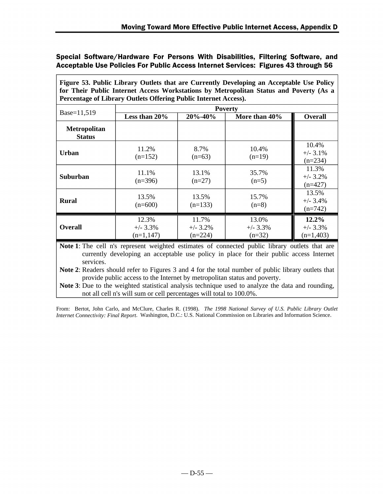**Figure 53. Public Library Outlets that are Currently Developing an Acceptable Use Policy for Their Public Internet Access Workstations by Metropolitan Status and Poverty (As a Percentage of Library Outlets Offering Public Internet Access).**

|                               |                                     |                                  | <b>Poverty</b>                  |                                    |
|-------------------------------|-------------------------------------|----------------------------------|---------------------------------|------------------------------------|
| Base=11,519                   | Less than 20%                       | $20\% - 40\%$                    | More than 40%                   | <b>Overall</b>                     |
| Metropolitan<br><b>Status</b> |                                     |                                  |                                 |                                    |
| <b>Urban</b>                  | 11.2%<br>$(n=152)$                  | 8.7%<br>$(n=63)$                 | 10.4%<br>$(n=19)$               | 10.4%<br>$+/- 3.1%$<br>$(n=234)$   |
| <b>Suburban</b>               | 11.1%<br>$(n=396)$                  | 13.1%<br>$(n=27)$                | 35.7%<br>$(n=5)$                | 11.3%<br>$+/- 3.2%$<br>$(n=427)$   |
| <b>Rural</b>                  | 13.5%<br>$(n=600)$                  | 13.5%<br>$(n=133)$               | 15.7%<br>$(n=8)$                | 13.5%<br>$+/- 3.4%$<br>$(n=742)$   |
| <b>Overall</b>                | 12.3%<br>$+/- 3.3%$<br>$(n=1, 147)$ | 11.7%<br>$+/- 3.2%$<br>$(n=224)$ | 13.0%<br>$+/- 3.3%$<br>$(n=32)$ | 12.2%<br>$+/- 3.3%$<br>$(n=1,403)$ |

**Note 1**: The cell n's represent weighted estimates of connected public library outlets that are currently developing an acceptable use policy in place for their public access Internet services.

**Note 2**: Readers should refer to Figures 3 and 4 for the total number of public library outlets that provide public access to the Internet by metropolitan status and poverty.

**Note 3**: Due to the weighted statistical analysis technique used to analyze the data and rounding, not all cell n's will sum or cell percentages will total to 100.0%.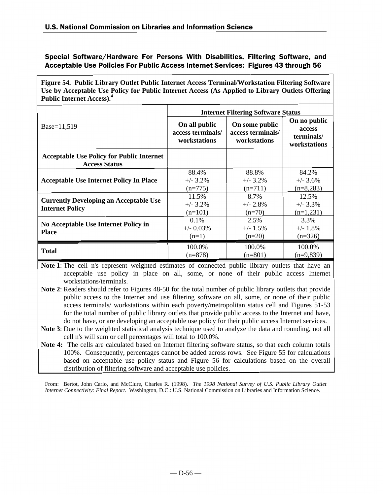**Figure 54. Public Library Outlet Public Internet Access Terminal/Workstation Filtering Software Use by Acceptable Use Policy for Public Internet Access (As Applied to Library Outlets Offering Public Internet Access).<sup>4</sup>**

|                                                                          | <b>Internet Filtering Software Status</b>          |                                                     |                                                      |  |
|--------------------------------------------------------------------------|----------------------------------------------------|-----------------------------------------------------|------------------------------------------------------|--|
| Base=11,519                                                              | On all public<br>access terminals/<br>workstations | On some public<br>access terminals/<br>workstations | On no public<br>access<br>terminals/<br>workstations |  |
| <b>Acceptable Use Policy for Public Internet</b><br><b>Access Status</b> |                                                    |                                                     |                                                      |  |
|                                                                          | 88.4%                                              | 88.8%                                               | 84.2%                                                |  |
| <b>Acceptable Use Internet Policy In Place</b>                           | $+/- 3.2\%$                                        | $+/- 3.2\%$                                         | $+/- 3.6\%$                                          |  |
|                                                                          | $(n=775)$                                          | $(n=711)$                                           | $(n=8,283)$                                          |  |
|                                                                          | 11.5%                                              | 8.7%                                                | 12.5%                                                |  |
| <b>Currently Developing an Acceptable Use</b><br><b>Internet Policy</b>  | $+/- 3.2\%$                                        | $+/- 2.8\%$                                         | $+/- 3.3%$                                           |  |
|                                                                          | $(n=101)$                                          | $(n=70)$                                            | $(n=1,231)$                                          |  |
|                                                                          | 0.1%                                               | 2.5%                                                | 3.3%                                                 |  |
| <b>No Acceptable Use Internet Policy in</b>                              | $+/-$ 0.03%                                        | $+/- 1.5\%$                                         | $+/- 1.8\%$                                          |  |
| <b>Place</b>                                                             | $(n=1)$                                            | $(n=20)$                                            | $(n=326)$                                            |  |
|                                                                          | 100.0%                                             | 100.0%                                              | 100.0%                                               |  |
| <b>Total</b>                                                             | $(n=878)$                                          | $(n=801)$                                           | $(n=9,839)$                                          |  |

**Note 1**: The cell n's represent weighted estimates of connected public library outlets that have an acceptable use policy in place on all, some, or none of their public access Internet workstations/terminals.

**Note 2**: Readers should refer to Figures 48-50 for the total number of public library outlets that provide public access to the Internet and use filtering software on all, some, or none of their public access terminals/ workstations within each poverty/metropolitan status cell and Figures 51-53 for the total number of public library outlets that provide public access to the Internet and have, do not have, or are developing an acceptable use policy for their public access Internet services.

**Note 3**: Due to the weighted statistical analysis technique used to analyze the data and rounding, not all cell n's will sum or cell percentages will total to 100.0%.

**Note 4:** The cells are calculated based on Internet filtering software status, so that each column totals 100%. Consequently, percentages cannot be added across rows. See Figure 55 for calculations based on acceptable use policy status and Figure 56 for calculations based on the overall distribution of filtering software and acceptable use policies.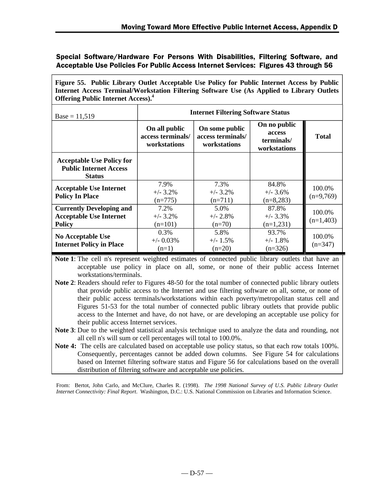| Figure 55. Public Library Outlet Acceptable Use Policy for Public Internet Access by Public |
|---------------------------------------------------------------------------------------------|
| Internet Access Terminal/Workstation Filtering Software Use (As Applied to Library Outlets  |
| <b>Offering Public Internet Access).</b> <sup>4</sup>                                       |

| $Base = 11,519$                                                                    | <b>Internet Filtering Software Status</b>          |                                                     |                                                      |                       |  |
|------------------------------------------------------------------------------------|----------------------------------------------------|-----------------------------------------------------|------------------------------------------------------|-----------------------|--|
|                                                                                    | On all public<br>access terminals/<br>workstations | On some public<br>access terminals/<br>workstations | On no public<br>access<br>terminals/<br>workstations | <b>Total</b>          |  |
| <b>Acceptable Use Policy for</b><br><b>Public Internet Access</b><br><b>Status</b> |                                                    |                                                     |                                                      |                       |  |
| <b>Acceptable Use Internet</b><br><b>Policy In Place</b>                           | 7.9%<br>$+/- 3.2\%$<br>$(n=775)$                   | 7.3%<br>$+/- 3.2\%$<br>$(n=711)$                    | 84.8%<br>$+/- 3.6\%$<br>$(n=8,283)$                  | 100.0%<br>$(n=9,769)$ |  |
| <b>Currently Developing and</b><br><b>Acceptable Use Internet</b><br><b>Policy</b> | 7.2%<br>$+/- 3.2\%$<br>$(n=101)$                   | 5.0%<br>$+/- 2.8\%$<br>$(n=70)$                     | 87.8%<br>$+/- 3.3%$<br>$(n=1,231)$                   | 100.0%<br>$(n=1,403)$ |  |
| No Acceptable Use<br><b>Internet Policy in Place</b>                               | 0.3%<br>$+/-$ 0.03%<br>$(n=1)$                     | 5.8%<br>$+/- 1.5\%$<br>$(n=20)$                     | 93.7%<br>$+/- 1.8%$<br>$(n=326)$                     | 100.0%<br>$(n=347)$   |  |

**Note 1**: The cell n's represent weighted estimates of connected public library outlets that have an acceptable use policy in place on all, some, or none of their public access Internet workstations/terminals.

- **Note 2**: Readers should refer to Figures 48-50 for the total number of connected public library outlets that provide public access to the Internet and use filtering software on all, some, or none of their public access terminals/workstations within each poverty/metropolitan status cell and Figures 51-53 for the total number of connected public library outlets that provide public access to the Internet and have, do not have, or are developing an acceptable use policy for their public access Internet services.
- **Note 3**: Due to the weighted statistical analysis technique used to analyze the data and rounding, not all cell n's will sum or cell percentages will total to 100.0%.
- **Note 4:** The cells are calculated based on acceptable use policy status, so that each row totals 100%. Consequently, percentages cannot be added down columns. See Figure 54 for calculations based on Internet filtering software status and Figure 56 for calculations based on the overall distribution of filtering software and acceptable use policies.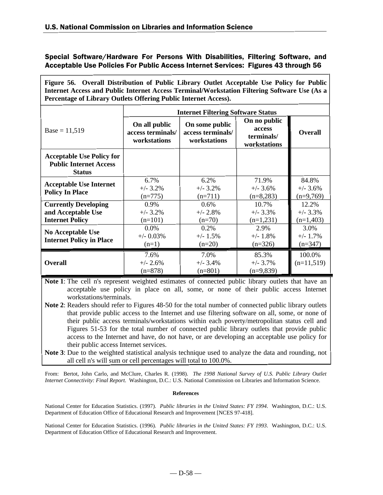**Figure 56. Overall Distribution of Public Library Outlet Acceptable Use Policy for Public Internet Access and Public Internet Access Terminal/Workstation Filtering Software Use (As a Percentage of Library Outlets Offering Public Internet Access).**

|                                                                                    | <b>Internet Filtering Software Status</b>          |                                                     |                                                      |                                            |
|------------------------------------------------------------------------------------|----------------------------------------------------|-----------------------------------------------------|------------------------------------------------------|--------------------------------------------|
| $Base = 11,519$                                                                    | On all public<br>access terminals/<br>workstations | On some public<br>access terminals/<br>workstations | On no public<br>access<br>terminals/<br>workstations | <b>Overall</b>                             |
| <b>Acceptable Use Policy for</b><br><b>Public Internet Access</b><br><b>Status</b> |                                                    |                                                     |                                                      |                                            |
| <b>Acceptable Use Internet</b><br><b>Policy In Place</b>                           | 6.7%<br>$+/- 3.2%$<br>$(n=775)$                    | 6.2%<br>$+/- 3.2%$<br>$(n=711)$                     | 71.9%<br>$+/- 3.6%$<br>$(n=8,283)$                   | 84.8%<br>$+/- 3.6%$<br>$(n=9,769)$         |
| <b>Currently Developing</b><br>and Acceptable Use<br><b>Internet Policy</b>        | 0.9%<br>$+/- 3.2%$<br>$(n=101)$<br>$0.0\%$         | $0.6\%$<br>$+/- 2.8%$<br>$(n=70)$<br>$0.2\%$        | 10.7%<br>$+/- 3.3%$<br>$(n=1,231)$<br>2.9%           | 12.2%<br>$+/- 3.3%$<br>$(n=1,403)$<br>3.0% |
| <b>No Acceptable Use</b><br><b>Internet Policy in Place</b>                        | $+/-$ 0.03%<br>$(n=1)$                             | $+/- 1.5%$<br>$(n=20)$                              | $+/- 1.8%$<br>$(n=326)$                              | $+/- 1.7%$<br>$(n=347)$                    |
| <b>Overall</b>                                                                     | 7.6%<br>$+/- 2.6%$<br>$(n=878)$                    | 7.0%<br>$+/- 3.4\%$<br>$(n=801)$                    | 85.3%<br>$+/- 3.7\%$<br>$(n=9,839)$                  | 100.0%<br>$(n=11,519)$                     |

**Note 1**: The cell n's represent weighted estimates of connected public library outlets that have an acceptable use policy in place on all, some, or none of their public access Internet workstations/terminals.

**Note 2**: Readers should refer to Figures 48-50 for the total number of connected public library outlets that provide public access to the Internet and use filtering software on all, some, or none of their public access terminals/workstations within each poverty/metropolitan status cell and Figures 51-53 for the total number of connected public library outlets that provide public access to the Internet and have, do not have, or are developing an acceptable use policy for their public access Internet services.

**Note 3**: Due to the weighted statistical analysis technique used to analyze the data and rounding, not all cell n's will sum or cell percentages will total to 100.0%.

From: Bertot, John Carlo, and McClure, Charles R. (1998). *The 1998 National Survey of U.S. Public Library Outlet Internet Connectivity: Final Report*. Washington, D.C.: U.S. National Commission on Libraries and Information Science.

#### **References**

National Center for Education Statistics. (1997). *Public libraries in the United States: FY 1994*. Washington, D.C.: U.S. Department of Education Office of Educational Research and Improvement [NCES 97-418].

National Center for Education Statistics. (1996). *Public libraries in the United States: FY 1993*. Washington, D.C.: U.S. Department of Education Office of Educational Research and Improvement.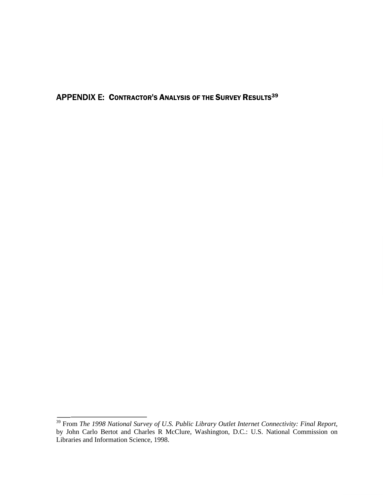**APPENDIX E: CONTRACTOR'S ANALYSIS OF THE SURVEY RESULTS39** 

<sup>&</sup>lt;sup>39</sup> From *The 1998 National Survey of U.S. Public Library Outlet Internet Connectivity: Final Report, by John Carlo Bertot and Charles R McClure, Washington, D.C.: U.S. National Commission on Libraries and Information Sci*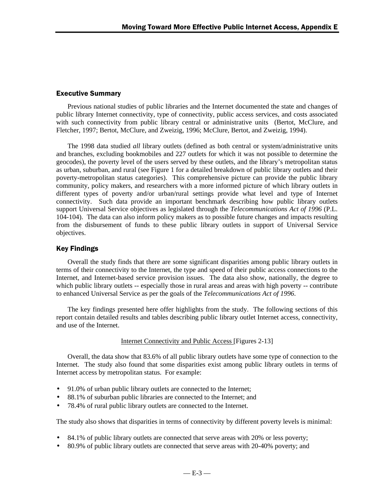## **Executive Summary**

Previous national studies of public libraries and the Internet documented the state and changes of public library Internet connectivity, type of connectivity, public access services, and costs associated with such connectivity from public library central or administrative units (Bertot, McClure, and Fletcher, 1997; Bertot, McClure, and Zweizig, 1996; McClure, Bertot, and Zweizig, 1994).

The 1998 data studied *all* library outlets (defined as both central or system/administrative units and branches, excluding bookmobiles and 227 outlets for which it was not possible to determine the geocodes), the poverty level of the users served by these outlets, and the library's metropolitan status as urban, suburban, and rural (see Figure 1 for a detailed breakdown of public library outlets and their poverty-metropolitan status categories). This comprehensive picture can provide the public library community, policy makers, and researchers with a more informed picture of which library outlets in different types of poverty and/or urban/rural settings provide what level and type of Internet connectivity. Such data provide an important benchmark describing how public library outlets support Universal Service objectives as legislated through the *Telecommunications Act of 1996* (P.L. 104-104). The data can also inform policy makers as to possible future changes and impacts resulting from the disbursement of funds to these public library outlets in support of Universal Service objectives.

# Key Findings

Overall the study finds that there are some significant disparities among public library outlets in terms of their connectivity to the Internet, the type and speed of their public access connections to the Internet, and Internet-based service provision issues. The data also show, nationally, the degree to which public library outlets -- especially those in rural areas and areas with high poverty -- contribute to enhanced Universal Service as per the goals of the *Telecommunications Act of 1996*.

The key findings presented here offer highlights from the study. The following sections of this report contain detailed results and tables describing public library outlet Internet access, connectivity, and use of the Internet.

### Internet Connectivity and Public Access [Figures 2-13]

Overall, the data show that 83.6% of all public library outlets have some type of connection to the Internet. The study also found that some disparities exist among public library outlets in terms of Internet access by metropolitan status. For example:

- 91.0% of urban public library outlets are connected to the Internet;
- 88.1% of suburban public libraries are connected to the Internet; and
- 78.4% of rural public library outlets are connected to the Internet.

The study also shows that disparities in terms of connectivity by different poverty levels is minimal:

- 84.1% of public library outlets are connected that serve areas with 20% or less poverty;
- 80.9% of public library outlets are connected that serve areas with 20-40% poverty; and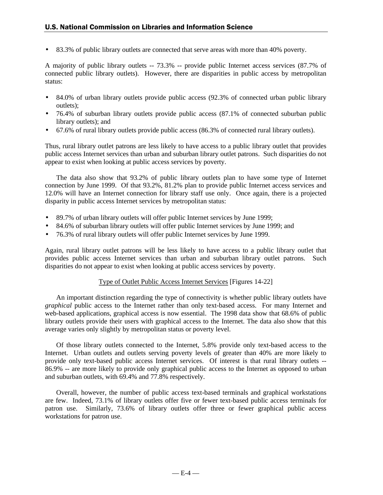• 83.3% of public library outlets are connected that serve areas with more than 40% poverty.

A majority of public library outlets -- 73.3% -- provide public Internet access services (87.7% of connected public library outlets). However, there are disparities in public access by metropolitan status:

- 84.0% of urban library outlets provide public access (92.3% of connected urban public library outlets);
- 76.4% of suburban library outlets provide public access (87.1% of connected suburban public library outlets); and
- 67.6% of rural library outlets provide public access (86.3% of connected rural library outlets).

Thus, rural library outlet patrons are less likely to have access to a public library outlet that provides public access Internet services than urban and suburban library outlet patrons. Such disparities do not appear to exist when looking at public access services by poverty.

The data also show that 93.2% of public library outlets plan to have some type of Internet connection by June 1999. Of that 93.2%, 81.2% plan to provide public Internet access services and 12.0% will have an Internet connection for library staff use only. Once again, there is a projected disparity in public access Internet services by metropolitan status:

- 89.7% of urban library outlets will offer public Internet services by June 1999;
- 84.6% of suburban library outlets will offer public Internet services by June 1999; and
- 76.3% of rural library outlets will offer public Internet services by June 1999.

Again, rural library outlet patrons will be less likely to have access to a public library outlet that provides public access Internet services than urban and suburban library outlet patrons. Such disparities do not appear to exist when looking at public access services by poverty.

#### Type of Outlet Public Access Internet Services [Figures 14-22]

An important distinction regarding the type of connectivity is whether public library outlets have *graphical* public access to the Internet rather than only text-based access. For many Internet and web-based applications, graphical access is now essential. The 1998 data show that 68.6% of public library outlets provide their users with graphical access to the Internet. The data also show that this average varies only slightly by metropolitan status or poverty level.

Of those library outlets connected to the Internet, 5.8% provide only text-based access to the Internet. Urban outlets and outlets serving poverty levels of greater than 40% are more likely to provide only text-based public access Internet services. Of interest is that rural library outlets -- 86.9% -- are more likely to provide only graphical public access to the Internet as opposed to urban and suburban outlets, with 69.4% and 77.8% respectively.

Overall, however, the number of public access text-based terminals and graphical workstations are few. Indeed, 73.1% of library outlets offer five or fewer text-based public access terminals for patron use. Similarly, 73.6% of library outlets offer three or fewer graphical public access workstations for patron use.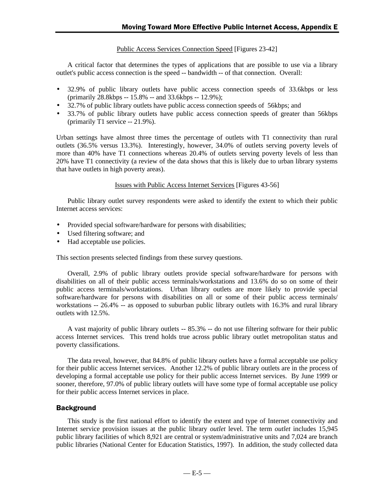Public Access Services Connection Speed [Figures 23-42]

A critical factor that determines the types of applications that are possible to use via a library outlet's public access connection is the speed -- bandwidth -- of that connection. Overall:

- 32.9% of public library outlets have public access connection speeds of 33.6kbps or less (primarily 28.8kbps -- 15.8% -- and 33.6kbps -- 12.9%);
- 32.7% of public library outlets have public access connection speeds of 56kbps; and
- 33.7% of public library outlets have public access connection speeds of greater than 56kbps (primarily T1 service -- 21.9%).

Urban settings have almost three times the percentage of outlets with T1 connectivity than rural outlets (36.5% versus 13.3%). Interestingly, however, 34.0% of outlets serving poverty levels of more than 40% have T1 connections whereas 20.4% of outlets serving poverty levels of less than 20% have T1 connectivity (a review of the data shows that this is likely due to urban library systems that have outlets in high poverty areas).

Issues with Public Access Internet Services [Figures 43-56]

Public library outlet survey respondents were asked to identify the extent to which their public Internet access services:

- Provided special software/hardware for persons with disabilities;
- Used filtering software; and
- Had acceptable use policies.

This section presents selected findings from these survey questions.

Overall, 2.9% of public library outlets provide special software/hardware for persons with disabilities on all of their public access terminals/workstations and 13.6% do so on some of their public access terminals/workstations. Urban library outlets are more likely to provide special software/hardware for persons with disabilities on all or some of their public access terminals/ workstations -- 26.4% -- as opposed to suburban public library outlets with 16.3% and rural library outlets with 12.5%.

A vast majority of public library outlets -- 85.3% -- do not use filtering software for their public access Internet services. This trend holds true across public library outlet metropolitan status and poverty classifications.

The data reveal, however, that 84.8% of public library outlets have a formal acceptable use policy for their public access Internet services. Another 12.2% of public library outlets are in the process of developing a formal acceptable use policy for their public access Internet services. By June 1999 or sooner, therefore, 97.0% of public library outlets will have some type of formal acceptable use policy for their public access Internet services in place.

# Background

This study is the first national effort to identify the extent and type of Internet connectivity and Internet service provision issues at the public library *outlet* level. The term *outlet* includes 15,945 public library facilities of which 8,921 are central or system/administrative units and 7,024 are branch public libraries (National Center for Education Statistics, 1997). In addition, the study collected data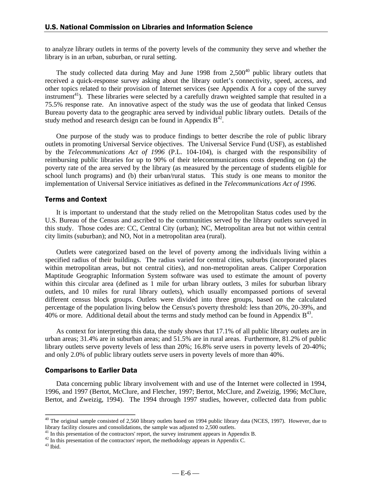to analyze library outlets in terms of the poverty levels of the community they serve and whether the library is in an urban, suburban, or rural setting.

The study collected data during May and June 1998 from  $2,500^{40}$  public library outlets that received a quick-response survey asking about the library outlet's connectivity, speed, access, and other topics related to their provision of Internet services (see Appendix A for a copy of the survey instrument<sup>41</sup>). These libraries were selected by a carefully drawn weighted sample that resulted in a 75.5% response rate. An innovative aspect of the study was the use of geodata that linked Census Bureau poverty data to the geographic area served by individual public library outlets. Details of the study method and research design can be found in Appendix  $B^{42}$ .

One purpose of the study was to produce findings to better describe the role of public library outlets in promoting Universal Service objectives. The Universal Service Fund (USF), as established by the *Telecommunications Act of 1996* (P.L. 104-104), is charged with the responsibility of reimbursing public libraries for up to 90% of their telecommunications costs depending on (a) the poverty rate of the area served by the library (as measured by the percentage of students eligible for school lunch programs) and (b) their urban/rural status. This study is one means to monitor the implementation of Universal Service initiatives as defined in the *Telecommunications Act of 1996*.

#### **Terms and Context**

It is important to understand that the study relied on the Metropolitan Status codes used by the U.S. Bureau of the Census and ascribed to the communities served by the library outlets surveyed in this study. Those codes are: CC, Central City (urban); NC, Metropolitan area but not within central city limits (suburban); and NO, Not in a metropolitan area (rural).

Outlets were categorized based on the level of poverty among the individuals living within a specified radius of their buildings. The radius varied for central cities, suburbs (incorporated places within metropolitan areas, but not central cities), and non-metropolitan areas. Caliper Corporation Maptitude Geographic Information System software was used to estimate the amount of poverty within this circular area (defined as 1 mile for urban library outlets, 3 miles for suburban library outlets, and 10 miles for rural library outlets), which usually encompassed portions of several different census block groups. Outlets were divided into three groups, based on the calculated percentage of the population living below the Census's poverty threshold: less than 20%, 20-39%, and 40% or more. Additional detail about the terms and study method can be found in Appendix  $B^{43}$ .

As context for interpreting this data, the study shows that 17.1% of all public library outlets are in urban areas; 31.4% are in suburban areas; and 51.5% are in rural areas. Furthermore, 81.2% of public library outlets serve poverty levels of less than 20%; 16.8% serve users in poverty levels of 20-40%; and only 2.0% of public library outlets serve users in poverty levels of more than 40%.

#### Comparisons to Earlier Data

Data concerning public library involvement with and use of the Internet were collected in 1994, 1996, and 1997 (Bertot, McClure, and Fletcher, 1997; Bertot, McClure, and Zweizig, 1996; McClure, Bertot, and Zweizig, 1994). The 1994 through 1997 studies, however, collected data from public

 $\overline{a}$ 

 $40$  The original sample consisted of 2,560 library outlets based on 1994 public library data (NCES, 1997). However, due to library facility closures and consolidations, the sample was adjusted to 2,500 outlets.

<sup>&</sup>lt;sup>41</sup> In this presentation of the contractors' report, the survey instrument appears in Appendix B.

<sup>&</sup>lt;sup>42</sup> In this presentation of the contractors' report, the methodology appears in Appendix C.

 $^{43}$  Ibid.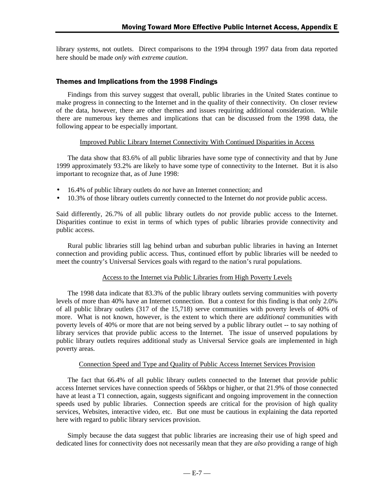library *systems*, not outlets. Direct comparisons to the 1994 through 1997 data from data reported here should be made *only with extreme caution*.

## Themes and Implications from the 1998 Findings

Findings from this survey suggest that overall, public libraries in the United States continue to make progress in connecting to the Internet and in the quality of their connectivity. On closer review of the data, however, there are other themes and issues requiring additional consideration. While there are numerous key themes and implications that can be discussed from the 1998 data, the following appear to be especially important.

### Improved Public Library Internet Connectivity With Continued Disparities in Access

The data show that 83.6% of all public libraries have some type of connectivity and that by June 1999 approximately 93.2% are likely to have some type of connectivity to the Internet. But it is also important to recognize that, as of June 1998:

- 16.4% of public library outlets do *not* have an Internet connection; and
- 10.3% of those library outlets currently connected to the Internet do *not* provide public access.

Said differently, 26.7% of all public library outlets do *not* provide public access to the Internet. Disparities continue to exist in terms of which types of public libraries provide connectivity and public access.

Rural public libraries still lag behind urban and suburban public libraries in having an Internet connection and providing public access. Thus, continued effort by public libraries will be needed to meet the country's Universal Services goals with regard to the nation's rural populations.

### Access to the Internet via Public Libraries from High Poverty Levels

The 1998 data indicate that 83.3% of the public library outlets serving communities with poverty levels of more than 40% have an Internet connection. But a context for this finding is that only 2.0% of all public library outlets (317 of the 15,718) serve communities with poverty levels of 40% of more. What is not known, however, is the extent to which there are *additional* communities with poverty levels of 40% or more that are not being served by a public library outlet -- to say nothing of library services that provide public access to the Internet. The issue of unserved populations by public library outlets requires additional study as Universal Service goals are implemented in high poverty areas.

## Connection Speed and Type and Quality of Public Access Internet Services Provision

The fact that 66.4% of all public library outlets connected to the Internet that provide public access Internet services have connection speeds of 56kbps or higher, or that 21.9% of those connected have at least a T1 connection, again, suggests significant and ongoing improvement in the connection speeds used by public libraries. Connection speeds are critical for the provision of high quality services, Websites, interactive video, etc. But one must be cautious in explaining the data reported here with regard to public library services provision.

Simply because the data suggest that public libraries are increasing their use of high speed and dedicated lines for connectivity does not necessarily mean that they are *also* providing a range of high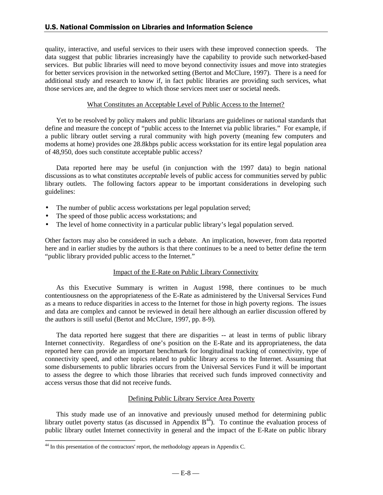quality, interactive, and useful services to their users with these improved connection speeds. The data suggest that public libraries increasingly have the capability to provide such networked-based services. But public libraries will need to move beyond connectivity issues and move into strategies for better services provision in the networked setting (Bertot and McClure, 1997). There is a need for additional study and research to know if, in fact public libraries are providing such services, what those services are, and the degree to which those services meet user or societal needs.

### What Constitutes an Acceptable Level of Public Access to the Internet?

Yet to be resolved by policy makers and public librarians are guidelines or national standards that define and measure the concept of "public access to the Internet via public libraries." For example, if a public library outlet serving a rural community with high poverty (meaning few computers and modems at home) provides one 28.8kbps public access workstation for its entire legal population area of 48,950, does such constitute acceptable public access?

Data reported here may be useful (in conjunction with the 1997 data) to begin national discussions as to what constitutes *acceptable* levels of public access for communities served by public library outlets. The following factors appear to be important considerations in developing such guidelines:

- The number of public access workstations per legal population served;
- The speed of those public access workstations; and
- The level of home connectivity in a particular public library's legal population served.

Other factors may also be considered in such a debate. An implication, however, from data reported here and in earlier studies by the authors is that there continues to be a need to better define the term "public library provided public access to the Internet."

#### Impact of the E-Rate on Public Library Connectivity

As this Executive Summary is written in August 1998, there continues to be much contentiousness on the appropriateness of the E-Rate as administered by the Universal Services Fund as a means to reduce disparities in access to the Internet for those in high poverty regions. The issues and data are complex and cannot be reviewed in detail here although an earlier discussion offered by the authors is still useful (Bertot and McClure, 1997, pp. 8-9).

The data reported here suggest that there are disparities -- at least in terms of public library Internet connectivity. Regardless of one's position on the E-Rate and its appropriateness, the data reported here can provide an important benchmark for longitudinal tracking of connectivity, type of connectivity speed, and other topics related to public library access to the Internet. Assuming that some disbursements to public libraries occurs from the Universal Services Fund it will be important to assess the degree to which those libraries that received such funds improved connectivity and access versus those that did not receive funds.

### Defining Public Library Service Area Poverty

This study made use of an innovative and previously unused method for determining public library outlet poverty status (as discussed in Appendix  $B<sup>44</sup>$ ). To continue the evaluation process of public library outlet Internet connectivity in general and the impact of the E-Rate on public library

-

 $44$  In this presentation of the contractors' report, the methodology appears in Appendix C.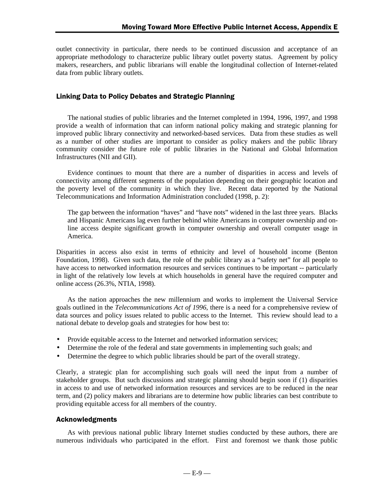outlet connectivity in particular, there needs to be continued discussion and acceptance of an appropriate methodology to characterize public library outlet poverty status. Agreement by policy makers, researchers, and public librarians will enable the longitudinal collection of Internet-related data from public library outlets.

## Linking Data to Policy Debates and Strategic Planning

The national studies of public libraries and the Internet completed in 1994, 1996, 1997, and 1998 provide a wealth of information that can inform national policy making and strategic planning for improved public library connectivity and networked-based services. Data from these studies as well as a number of other studies are important to consider as policy makers and the public library community consider the future role of public libraries in the National and Global Information Infrastructures (NII and GII).

Evidence continues to mount that there are a number of disparities in access and levels of connectivity among different segments of the population depending on their geographic location and the poverty level of the community in which they live. Recent data reported by the National Telecommunications and Information Administration concluded (1998, p. 2):

The gap between the information "haves" and "have nots" widened in the last three years. Blacks and Hispanic Americans lag even further behind white Americans in computer ownership and online access despite significant growth in computer ownership and overall computer usage in America.

Disparities in access also exist in terms of ethnicity and level of household income (Benton Foundation, 1998). Given such data, the role of the public library as a "safety net" for all people to have access to networked information resources and services continues to be important -- particularly in light of the relatively low levels at which households in general have the required computer and online access (26.3%, NTIA, 1998).

As the nation approaches the new millennium and works to implement the Universal Service goals outlined in the *Telecommunications Act of 1996*, there is a need for a comprehensive review of data sources and policy issues related to public access to the Internet. This review should lead to a national debate to develop goals and strategies for how best to:

- Provide equitable access to the Internet and networked information services;
- Determine the role of the federal and state governments in implementing such goals; and
- Determine the degree to which public libraries should be part of the overall strategy.

Clearly, a strategic plan for accomplishing such goals will need the input from a number of stakeholder groups. But such discussions and strategic planning should begin soon if (1) disparities in access to and use of networked information resources and services are to be reduced in the near term, and (2) policy makers and librarians are to determine how public libraries can best contribute to providing equitable access for all members of the country.

### **Acknowledgments**

As with previous national public library Internet studies conducted by these authors, there are numerous individuals who participated in the effort. First and foremost we thank those public